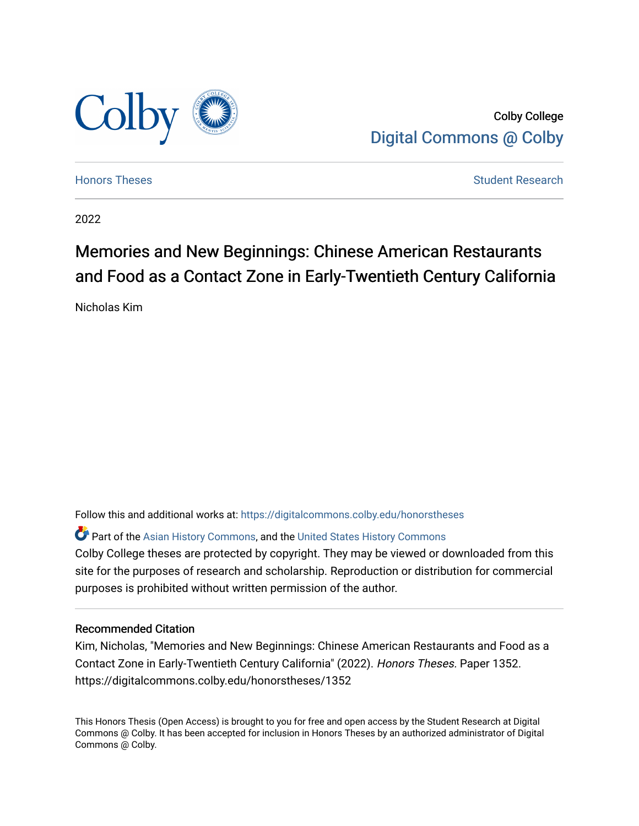

Colby College [Digital Commons @ Colby](https://digitalcommons.colby.edu/) 

[Honors Theses](https://digitalcommons.colby.edu/honorstheses) [Student Research](https://digitalcommons.colby.edu/student_research) and the Student Research Student Research

2022

# Memories and New Beginnings: Chinese American Restaurants and Food as a Contact Zone in Early-Twentieth Century California

Nicholas Kim

Follow this and additional works at: [https://digitalcommons.colby.edu/honorstheses](https://digitalcommons.colby.edu/honorstheses?utm_source=digitalcommons.colby.edu%2Fhonorstheses%2F1352&utm_medium=PDF&utm_campaign=PDFCoverPages) 

**C** Part of the [Asian History Commons](https://network.bepress.com/hgg/discipline/491?utm_source=digitalcommons.colby.edu%2Fhonorstheses%2F1352&utm_medium=PDF&utm_campaign=PDFCoverPages), and the United States History Commons Colby College theses are protected by copyright. They may be viewed or downloaded from this site for the purposes of research and scholarship. Reproduction or distribution for commercial purposes is prohibited without written permission of the author.

### Recommended Citation

Kim, Nicholas, "Memories and New Beginnings: Chinese American Restaurants and Food as a Contact Zone in Early-Twentieth Century California" (2022). Honors Theses. Paper 1352. https://digitalcommons.colby.edu/honorstheses/1352

This Honors Thesis (Open Access) is brought to you for free and open access by the Student Research at Digital Commons @ Colby. It has been accepted for inclusion in Honors Theses by an authorized administrator of Digital Commons @ Colby.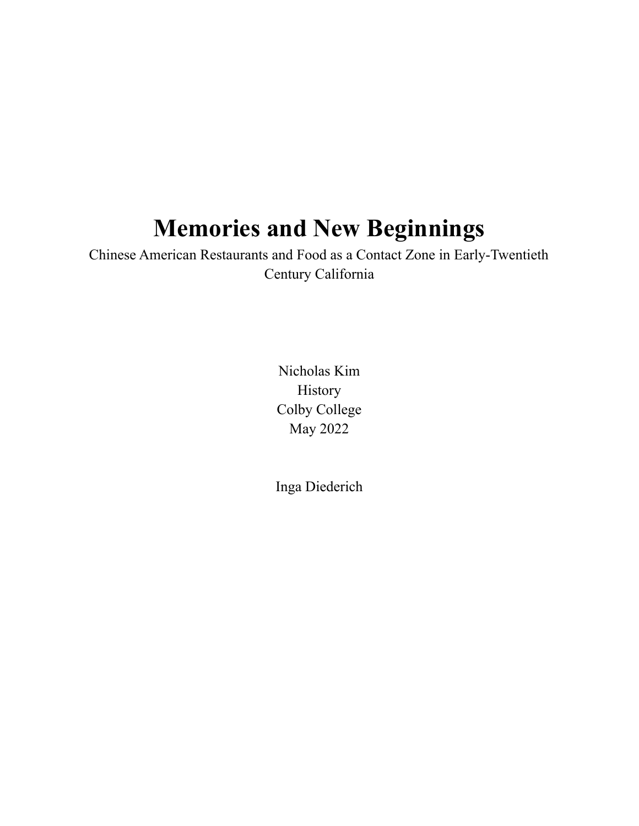# **Memories and New Beginnings**

Chinese American Restaurants and Food as a Contact Zone in Early-Twentieth Century California

> Nicholas Kim History Colby College May 2022

Inga Diederich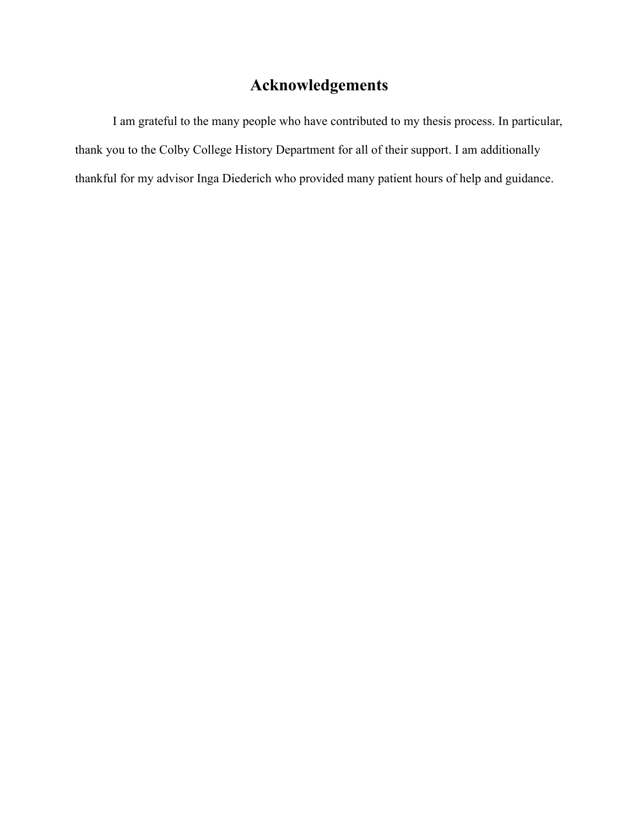# **Acknowledgements**

I am grateful to the many people who have contributed to my thesis process. In particular, thank you to the Colby College History Department for all of their support. I am additionally thankful for my advisor Inga Diederich who provided many patient hours of help and guidance.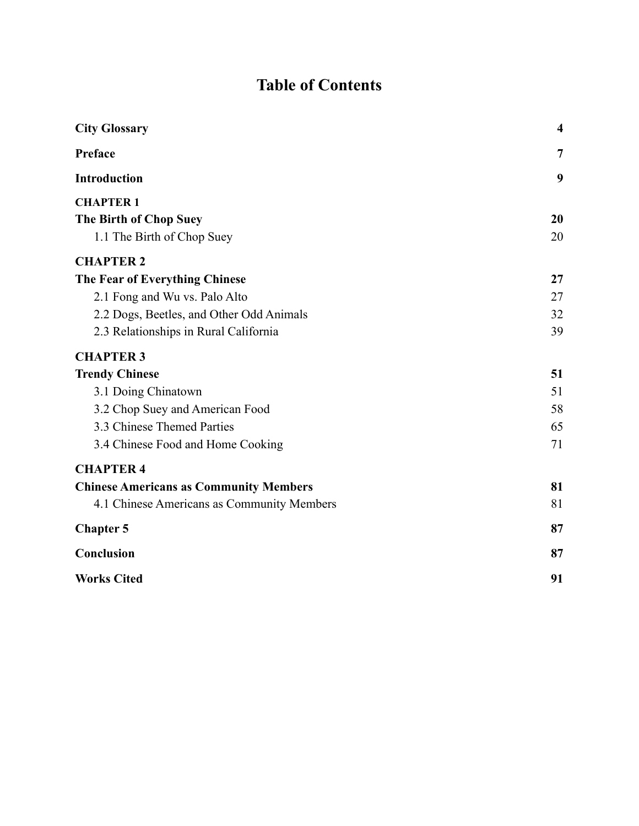# **Table of Contents**

| <b>City Glossary</b>                          | $\overline{\mathbf{4}}$ |
|-----------------------------------------------|-------------------------|
| Preface                                       | $\overline{7}$          |
| <b>Introduction</b>                           | 9                       |
| <b>CHAPTER 1</b>                              |                         |
| The Birth of Chop Suey                        | 20                      |
| 1.1 The Birth of Chop Suey                    | 20                      |
| <b>CHAPTER 2</b>                              |                         |
| The Fear of Everything Chinese                | 27                      |
| 2.1 Fong and Wu vs. Palo Alto                 | 27                      |
| 2.2 Dogs, Beetles, and Other Odd Animals      | 32                      |
| 2.3 Relationships in Rural California         | 39                      |
| <b>CHAPTER 3</b>                              |                         |
| <b>Trendy Chinese</b>                         | 51                      |
| 3.1 Doing Chinatown                           | 51                      |
| 3.2 Chop Suey and American Food               | 58                      |
| 3.3 Chinese Themed Parties                    | 65                      |
| 3.4 Chinese Food and Home Cooking             | 71                      |
| <b>CHAPTER 4</b>                              |                         |
| <b>Chinese Americans as Community Members</b> | 81                      |
| 4.1 Chinese Americans as Community Members    | 81                      |
| <b>Chapter 5</b>                              | 87                      |
| Conclusion                                    | 87                      |
| <b>Works Cited</b>                            | 91                      |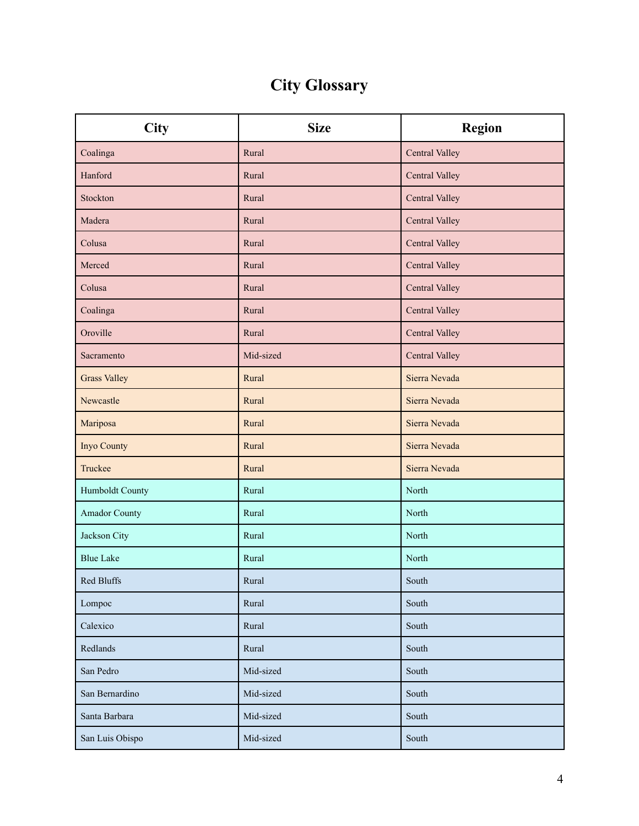# **City Glossary**

<span id="page-4-0"></span>

| <b>City</b>          | <b>Size</b> | <b>Region</b>  |
|----------------------|-------------|----------------|
| Coalinga             | Rural       | Central Valley |
| Hanford              | Rural       | Central Valley |
| Stockton             | Rural       | Central Valley |
| Madera               | Rural       | Central Valley |
| Colusa               | Rural       | Central Valley |
| Merced               | Rural       | Central Valley |
| Colusa               | Rural       | Central Valley |
| Coalinga             | Rural       | Central Valley |
| Oroville             | Rural       | Central Valley |
| Sacramento           | Mid-sized   | Central Valley |
| <b>Grass Valley</b>  | Rural       | Sierra Nevada  |
| Newcastle            | Rural       | Sierra Nevada  |
| Mariposa             | Rural       | Sierra Nevada  |
| Inyo County          | Rural       | Sierra Nevada  |
| Truckee              | Rural       | Sierra Nevada  |
| Humboldt County      | Rural       | North          |
| <b>Amador County</b> | Rural       | North          |
| Jackson City         | Rural       | North          |
| <b>Blue Lake</b>     | Rural       | North          |
| Red Bluffs           | Rural       | South          |
| Lompoc               | Rural       | South          |
| Calexico             | Rural       | South          |
| Redlands             | Rural       | South          |
| San Pedro            | Mid-sized   | South          |
| San Bernardino       | Mid-sized   | South          |
| Santa Barbara        | Mid-sized   | South          |
| San Luis Obispo      | Mid-sized   | South          |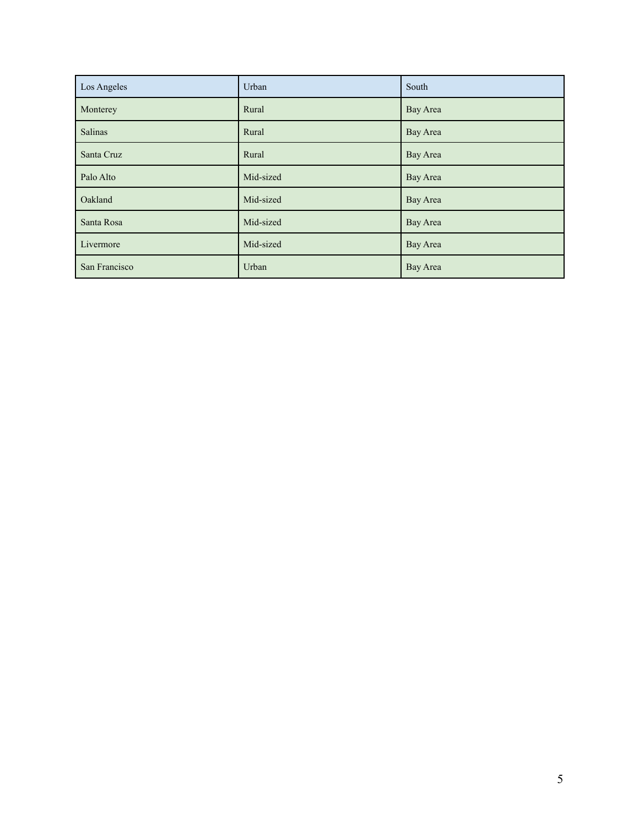| Los Angeles   | Urban     | South    |
|---------------|-----------|----------|
| Monterey      | Rural     | Bay Area |
| Salinas       | Rural     | Bay Area |
| Santa Cruz    | Rural     | Bay Area |
| Palo Alto     | Mid-sized | Bay Area |
| Oakland       | Mid-sized | Bay Area |
| Santa Rosa    | Mid-sized | Bay Area |
| Livermore     | Mid-sized | Bay Area |
| San Francisco | Urban     | Bay Area |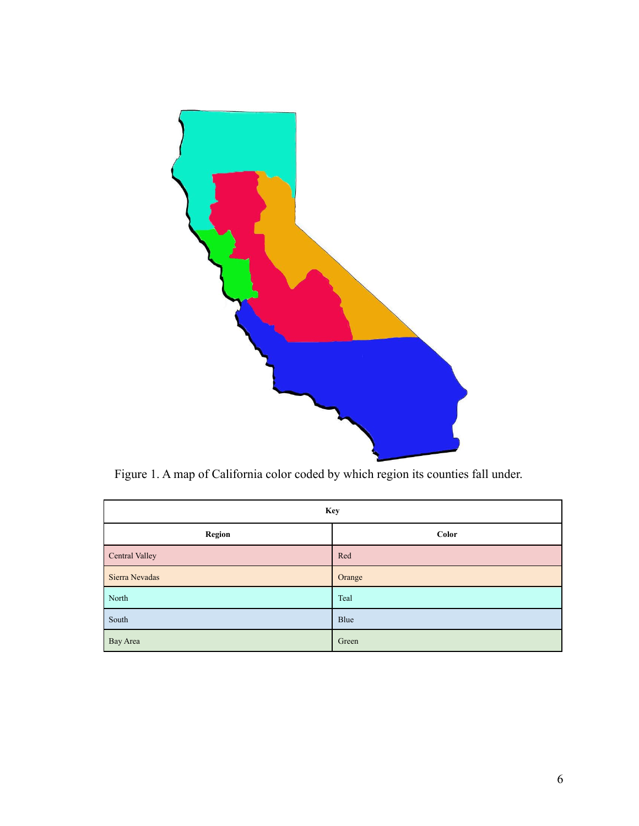

Figure 1. A map of California color coded by which region its counties fall under.

| <b>Key</b>     |        |  |
|----------------|--------|--|
| <b>Region</b>  | Color  |  |
| Central Valley | Red    |  |
| Sierra Nevadas | Orange |  |
| North          | Teal   |  |
| South          | Blue   |  |
| Bay Area       | Green  |  |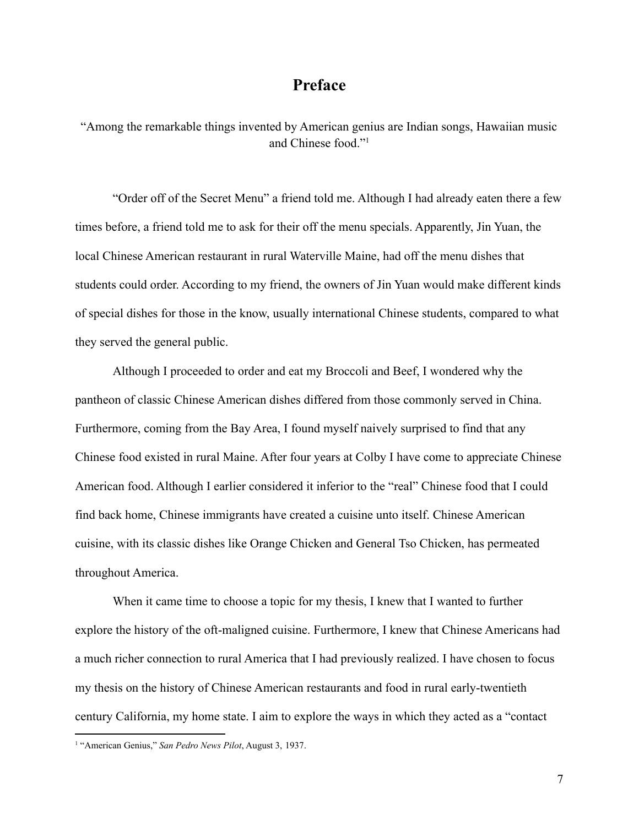## **Preface**

<span id="page-7-0"></span>"Among the remarkable things invented by American genius are Indian songs, Hawaiian music and Chinese food."<sup>1</sup>

"Order off of the Secret Menu" a friend told me. Although I had already eaten there a few times before, a friend told me to ask for their off the menu specials. Apparently, Jin Yuan, the local Chinese American restaurant in rural Waterville Maine, had off the menu dishes that students could order. According to my friend, the owners of Jin Yuan would make different kinds of special dishes for those in the know, usually international Chinese students, compared to what they served the general public.

Although I proceeded to order and eat my Broccoli and Beef, I wondered why the pantheon of classic Chinese American dishes differed from those commonly served in China. Furthermore, coming from the Bay Area, I found myself naively surprised to find that any Chinese food existed in rural Maine. After four years at Colby I have come to appreciate Chinese American food. Although I earlier considered it inferior to the "real" Chinese food that I could find back home, Chinese immigrants have created a cuisine unto itself. Chinese American cuisine, with its classic dishes like Orange Chicken and General Tso Chicken, has permeated throughout America.

When it came time to choose a topic for my thesis, I knew that I wanted to further explore the history of the oft-maligned cuisine. Furthermore, I knew that Chinese Americans had a much richer connection to rural America that I had previously realized. I have chosen to focus my thesis on the history of Chinese American restaurants and food in rural early-twentieth century California, my home state. I aim to explore the ways in which they acted as a "contact

<sup>1</sup> "American Genius," *San Pedro News Pilot*, August 3, 1937.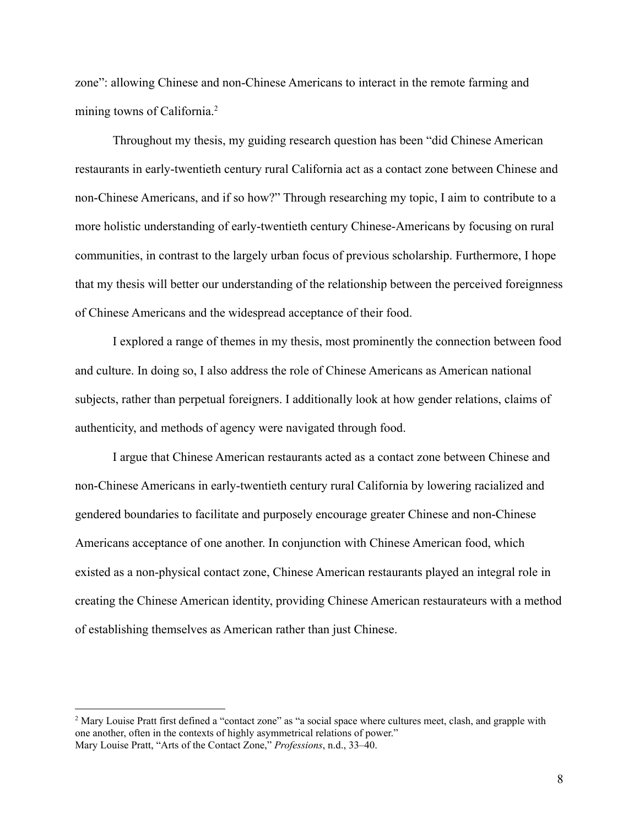zone": allowing Chinese and non-Chinese Americans to interact in the remote farming and mining towns of California.<sup>2</sup>

Throughout my thesis, my guiding research question has been "did Chinese American restaurants in early-twentieth century rural California act as a contact zone between Chinese and non-Chinese Americans, and if so how?" Through researching my topic, I aim to contribute to a more holistic understanding of early-twentieth century Chinese-Americans by focusing on rural communities, in contrast to the largely urban focus of previous scholarship. Furthermore, I hope that my thesis will better our understanding of the relationship between the perceived foreignness of Chinese Americans and the widespread acceptance of their food.

I explored a range of themes in my thesis, most prominently the connection between food and culture. In doing so, I also address the role of Chinese Americans as American national subjects, rather than perpetual foreigners. I additionally look at how gender relations, claims of authenticity, and methods of agency were navigated through food.

I argue that Chinese American restaurants acted as a contact zone between Chinese and non-Chinese Americans in early-twentieth century rural California by lowering racialized and gendered boundaries to facilitate and purposely encourage greater Chinese and non-Chinese Americans acceptance of one another. In conjunction with Chinese American food, which existed as a non-physical contact zone, Chinese American restaurants played an integral role in creating the Chinese American identity, providing Chinese American restaurateurs with a method of establishing themselves as American rather than just Chinese.

<sup>&</sup>lt;sup>2</sup> Mary Louise Pratt first defined a "contact zone" as "a social space where cultures meet, clash, and grapple with one another, often in the contexts of highly asymmetrical relations of power." Mary Louise Pratt, "Arts of the Contact Zone," *Professions*, n.d., 33–40.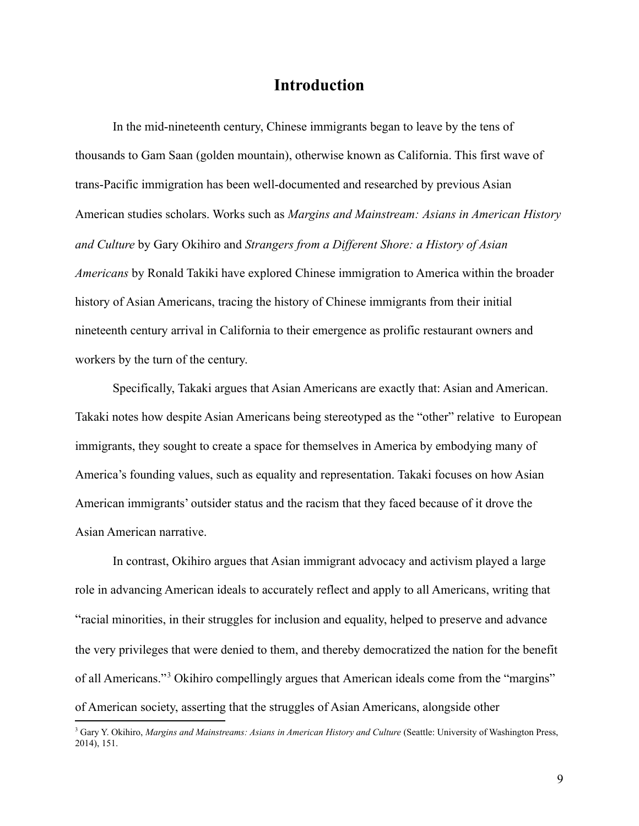## **Introduction**

<span id="page-9-0"></span>In the mid-nineteenth century, Chinese immigrants began to leave by the tens of thousands to Gam Saan (golden mountain), otherwise known as California. This first wave of trans-Pacific immigration has been well-documented and researched by previous Asian American studies scholars. Works such as *Margins and Mainstream: Asians in American History and Culture* by Gary Okihiro and *Strangers from a Different Shore: a History of Asian Americans* by Ronald Takiki have explored Chinese immigration to America within the broader history of Asian Americans, tracing the history of Chinese immigrants from their initial nineteenth century arrival in California to their emergence as prolific restaurant owners and workers by the turn of the century.

Specifically, Takaki argues that Asian Americans are exactly that: Asian and American. Takaki notes how despite Asian Americans being stereotyped as the "other" relative to European immigrants, they sought to create a space for themselves in America by embodying many of America's founding values, such as equality and representation. Takaki focuses on how Asian American immigrants' outsider status and the racism that they faced because of it drove the Asian American narrative.

In contrast, Okihiro argues that Asian immigrant advocacy and activism played a large role in advancing American ideals to accurately reflect and apply to all Americans, writing that "racial minorities, in their struggles for inclusion and equality, helped to preserve and advance the very privileges that were denied to them, and thereby democratized the nation for the benefit of all Americans."<sup>3</sup> Okihiro compellingly argues that American ideals come from the "margins" of American society, asserting that the struggles of Asian Americans, alongside other

<sup>3</sup> Gary Y. Okihiro, *Margins and Mainstreams: Asians in American History and Culture* (Seattle: University of Washington Press, 2014), 151.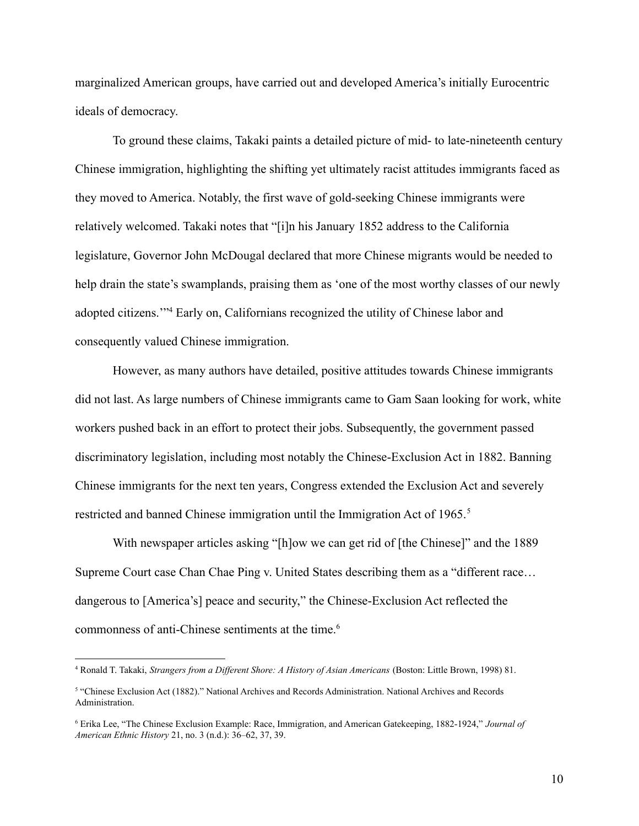marginalized American groups, have carried out and developed America's initially Eurocentric ideals of democracy.

To ground these claims, Takaki paints a detailed picture of mid- to late-nineteenth century Chinese immigration, highlighting the shifting yet ultimately racist attitudes immigrants faced as they moved to America. Notably, the first wave of gold-seeking Chinese immigrants were relatively welcomed. Takaki notes that "[i]n his January 1852 address to the California legislature, Governor John McDougal declared that more Chinese migrants would be needed to help drain the state's swamplands, praising them as 'one of the most worthy classes of our newly adopted citizens.'"<sup>4</sup> Early on, Californians recognized the utility of Chinese labor and consequently valued Chinese immigration.

However, as many authors have detailed, positive attitudes towards Chinese immigrants did not last. As large numbers of Chinese immigrants came to Gam Saan looking for work, white workers pushed back in an effort to protect their jobs. Subsequently, the government passed discriminatory legislation, including most notably the Chinese-Exclusion Act in 1882. Banning Chinese immigrants for the next ten years, Congress extended the Exclusion Act and severely restricted and banned Chinese immigration until the Immigration Act of 1965.<sup>5</sup>

With newspaper articles asking "[h]ow we can get rid of [the Chinese]" and the 1889 Supreme Court case Chan Chae Ping v. United States describing them as a "different race… dangerous to [America's] peace and security," the Chinese-Exclusion Act reflected the commonness of anti-Chinese sentiments at the time.<sup>6</sup>

<sup>4</sup> Ronald T. Takaki, *Strangers from a Different Shore: A History of Asian Americans* (Boston: Little Brown, 1998) 81.

<sup>5</sup> "Chinese Exclusion Act (1882)." National Archives and Records Administration. National Archives and Records Administration.

<sup>6</sup> Erika Lee, "The Chinese Exclusion Example: Race, Immigration, and American Gatekeeping, 1882-1924," *Journal of American Ethnic History* 21, no. 3 (n.d.): 36–62, 37, 39.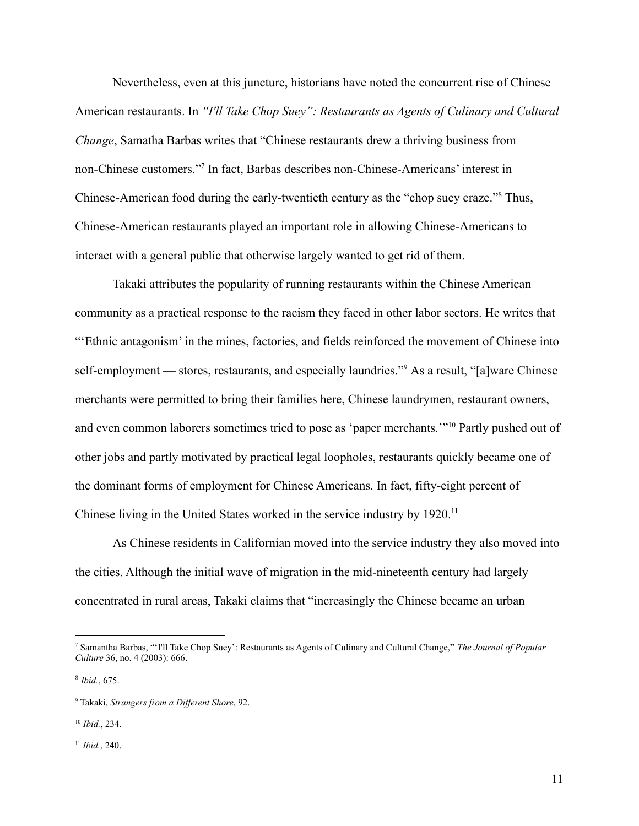Nevertheless, even at this juncture, historians have noted the concurrent rise of Chinese American restaurants. In *"I'll Take Chop Suey": Restaurants as Agents of Culinary and Cultural Change*, Samatha Barbas writes that "Chinese restaurants drew a thriving business from non-Chinese customers."<sup>7</sup> In fact, Barbas describes non-Chinese-Americans' interest in Chinese-American food during the early-twentieth century as the "chop suey craze."<sup>8</sup> Thus, Chinese-American restaurants played an important role in allowing Chinese-Americans to interact with a general public that otherwise largely wanted to get rid of them.

Takaki attributes the popularity of running restaurants within the Chinese American community as a practical response to the racism they faced in other labor sectors. He writes that "'Ethnic antagonism' in the mines, factories, and fields reinforced the movement of Chinese into self-employment — stores, restaurants, and especially laundries."<sup>9</sup> As a result, "[a]ware Chinese merchants were permitted to bring their families here, Chinese laundrymen, restaurant owners, and even common laborers sometimes tried to pose as 'paper merchants.'"<sup>10</sup> Partly pushed out of other jobs and partly motivated by practical legal loopholes, restaurants quickly became one of the dominant forms of employment for Chinese Americans. In fact, fifty-eight percent of Chinese living in the United States worked in the service industry by 1920.<sup>11</sup>

As Chinese residents in Californian moved into the service industry they also moved into the cities. Although the initial wave of migration in the mid-nineteenth century had largely concentrated in rural areas, Takaki claims that "increasingly the Chinese became an urban

<sup>7</sup> Samantha Barbas, "'I'll Take Chop Suey': Restaurants as Agents of Culinary and Cultural Change," *The Journal of Popular Culture* 36, no. 4 (2003): 666.

<sup>8</sup> *Ibid.*, 675.

<sup>9</sup> Takaki, *Strangers from a Different Shore*, 92.

<sup>10</sup> *Ibid.*, 234.

<sup>11</sup> *Ibid.*, 240.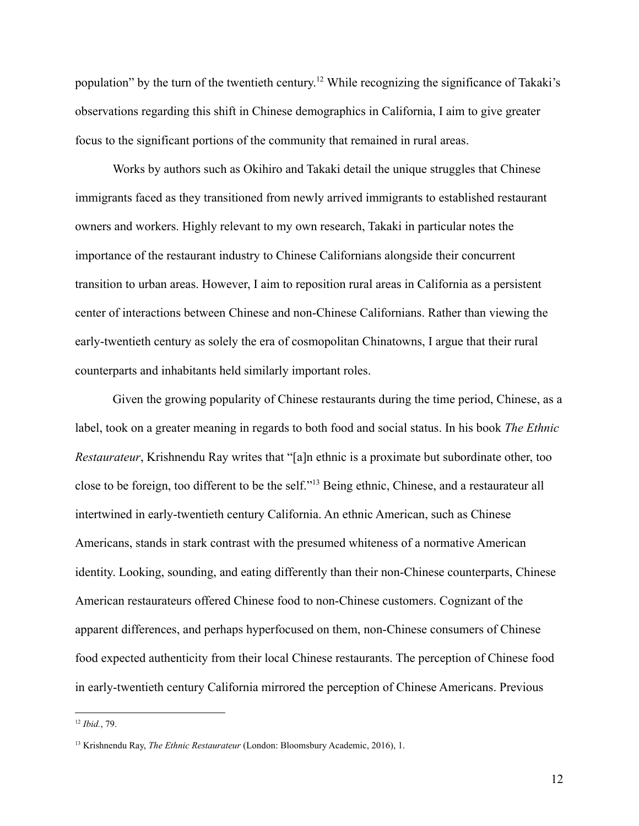population" by the turn of the twentieth century.<sup>12</sup> While recognizing the significance of Takaki's observations regarding this shift in Chinese demographics in California, I aim to give greater focus to the significant portions of the community that remained in rural areas.

Works by authors such as Okihiro and Takaki detail the unique struggles that Chinese immigrants faced as they transitioned from newly arrived immigrants to established restaurant owners and workers. Highly relevant to my own research, Takaki in particular notes the importance of the restaurant industry to Chinese Californians alongside their concurrent transition to urban areas. However, I aim to reposition rural areas in California as a persistent center of interactions between Chinese and non-Chinese Californians. Rather than viewing the early-twentieth century as solely the era of cosmopolitan Chinatowns, I argue that their rural counterparts and inhabitants held similarly important roles.

Given the growing popularity of Chinese restaurants during the time period, Chinese, as a label, took on a greater meaning in regards to both food and social status. In his book *The Ethnic Restaurateur*, Krishnendu Ray writes that "[a]n ethnic is a proximate but subordinate other, too close to be foreign, too different to be the self."<sup>13</sup> Being ethnic, Chinese, and a restaurateur all intertwined in early-twentieth century California. An ethnic American, such as Chinese Americans, stands in stark contrast with the presumed whiteness of a normative American identity. Looking, sounding, and eating differently than their non-Chinese counterparts, Chinese American restaurateurs offered Chinese food to non-Chinese customers. Cognizant of the apparent differences, and perhaps hyperfocused on them, non-Chinese consumers of Chinese food expected authenticity from their local Chinese restaurants. The perception of Chinese food in early-twentieth century California mirrored the perception of Chinese Americans. Previous

<sup>12</sup> *Ibid.*, 79.

<sup>13</sup> Krishnendu Ray, *The Ethnic Restaurateur* (London: Bloomsbury Academic, 2016), 1.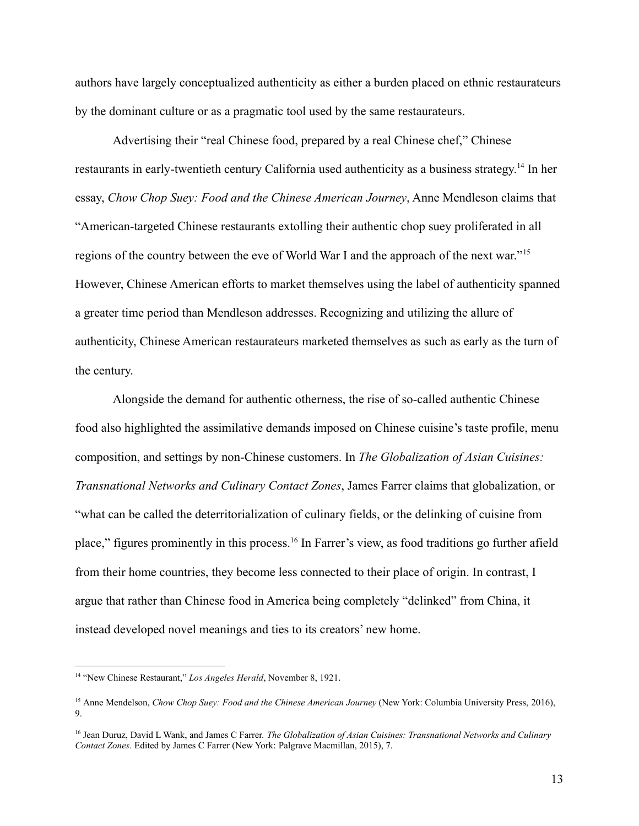authors have largely conceptualized authenticity as either a burden placed on ethnic restaurateurs by the dominant culture or as a pragmatic tool used by the same restaurateurs.

Advertising their "real Chinese food, prepared by a real Chinese chef," Chinese restaurants in early-twentieth century California used authenticity as a business strategy.<sup>14</sup> In her essay, *Chow Chop Suey: Food and the Chinese American Journey*, Anne Mendleson claims that "American-targeted Chinese restaurants extolling their authentic chop suey proliferated in all regions of the country between the eve of World War I and the approach of the next war."<sup>15</sup> However, Chinese American efforts to market themselves using the label of authenticity spanned a greater time period than Mendleson addresses. Recognizing and utilizing the allure of authenticity, Chinese American restaurateurs marketed themselves as such as early as the turn of the century.

Alongside the demand for authentic otherness, the rise of so-called authentic Chinese food also highlighted the assimilative demands imposed on Chinese cuisine's taste profile, menu composition, and settings by non-Chinese customers. In *The Globalization of Asian Cuisines: Transnational Networks and Culinary Contact Zones*, James Farrer claims that globalization, or "what can be called the deterritorialization of culinary fields, or the delinking of cuisine from place," figures prominently in this process.<sup>16</sup> In Farrer's view, as food traditions go further afield from their home countries, they become less connected to their place of origin. In contrast, I argue that rather than Chinese food in America being completely "delinked" from China, it instead developed novel meanings and ties to its creators' new home.

<sup>14</sup> "New Chinese Restaurant," *Los Angeles Herald*, November 8, 1921.

<sup>15</sup> Anne Mendelson, *Chow Chop Suey: Food and the Chinese American Journey* (New York: Columbia University Press, 2016), 9.

<sup>16</sup> Jean Duruz, David L Wank, and James C Farrer. *The Globalization of Asian Cuisines: Transnational Networks and Culinary Contact Zones*. Edited by James C Farrer (New York: Palgrave Macmillan, 2015), 7.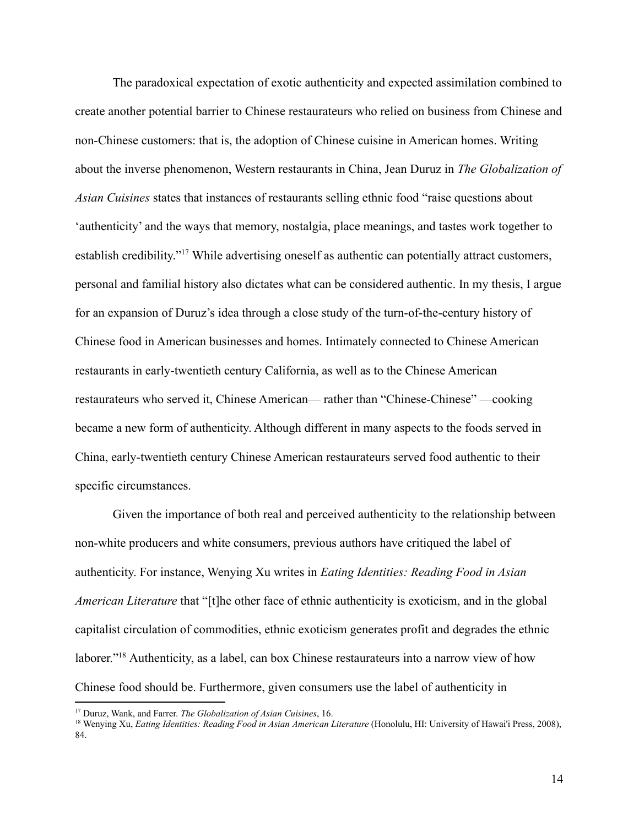The paradoxical expectation of exotic authenticity and expected assimilation combined to create another potential barrier to Chinese restaurateurs who relied on business from Chinese and non-Chinese customers: that is, the adoption of Chinese cuisine in American homes. Writing about the inverse phenomenon, Western restaurants in China, Jean Duruz in *The Globalization of Asian Cuisines* states that instances of restaurants selling ethnic food "raise questions about 'authenticity' and the ways that memory, nostalgia, place meanings, and tastes work together to establish credibility."<sup>17</sup> While advertising oneself as authentic can potentially attract customers, personal and familial history also dictates what can be considered authentic. In my thesis, I argue for an expansion of Duruz's idea through a close study of the turn-of-the-century history of Chinese food in American businesses and homes. Intimately connected to Chinese American restaurants in early-twentieth century California, as well as to the Chinese American restaurateurs who served it, Chinese American— rather than "Chinese-Chinese" —cooking became a new form of authenticity. Although different in many aspects to the foods served in China, early-twentieth century Chinese American restaurateurs served food authentic to their specific circumstances.

Given the importance of both real and perceived authenticity to the relationship between non-white producers and white consumers, previous authors have critiqued the label of authenticity. For instance, Wenying Xu writes in *Eating Identities: Reading Food in Asian American Literature* that "[t]he other face of ethnic authenticity is exoticism, and in the global capitalist circulation of commodities, ethnic exoticism generates profit and degrades the ethnic laborer."<sup>18</sup> Authenticity, as a label, can box Chinese restaurateurs into a narrow view of how Chinese food should be. Furthermore, given consumers use the label of authenticity in

<sup>17</sup> Duruz, Wank, and Farrer. *The Globalization of Asian Cuisines*, 16.

<sup>18</sup> Wenying Xu, *Eating Identities: Reading Food in Asian American Literature* (Honolulu, HI: University of Hawai'i Press, 2008), 84.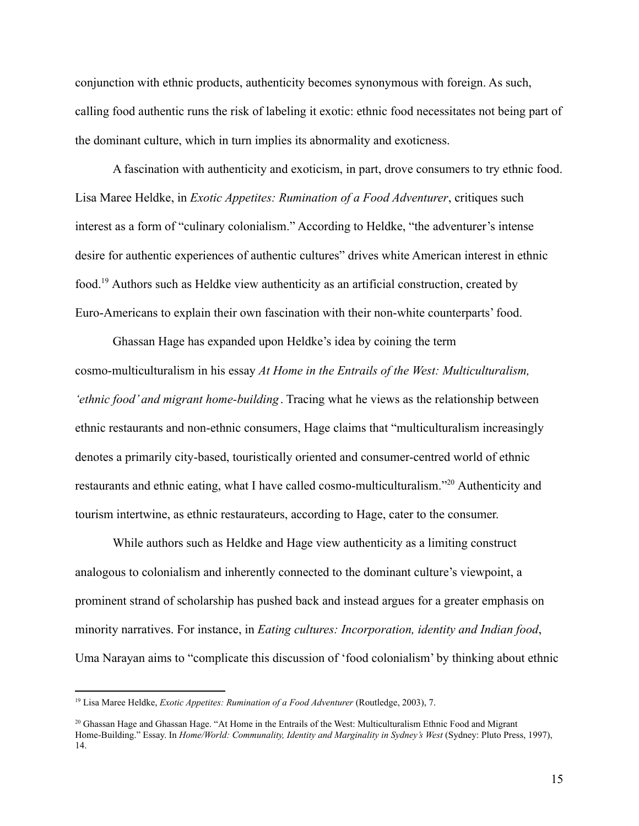conjunction with ethnic products, authenticity becomes synonymous with foreign. As such, calling food authentic runs the risk of labeling it exotic: ethnic food necessitates not being part of the dominant culture, which in turn implies its abnormality and exoticness.

A fascination with authenticity and exoticism, in part, drove consumers to try ethnic food. Lisa Maree Heldke, in *Exotic Appetites: Rumination of a Food Adventurer*, critiques such interest as a form of "culinary colonialism." According to Heldke, "the adventurer's intense desire for authentic experiences of authentic cultures" drives white American interest in ethnic food.<sup>19</sup> Authors such as Heldke view authenticity as an artificial construction, created by Euro-Americans to explain their own fascination with their non-white counterparts' food.

Ghassan Hage has expanded upon Heldke's idea by coining the term cosmo-multiculturalism in his essay *At Home in the Entrails of the West: Multiculturalism, 'ethnic food' and migrant home-building*. Tracing what he views as the relationship between ethnic restaurants and non-ethnic consumers, Hage claims that "multiculturalism increasingly denotes a primarily city-based, touristically oriented and consumer-centred world of ethnic restaurants and ethnic eating, what I have called cosmo-multiculturalism."<sup>20</sup> Authenticity and tourism intertwine, as ethnic restaurateurs, according to Hage, cater to the consumer.

While authors such as Heldke and Hage view authenticity as a limiting construct analogous to colonialism and inherently connected to the dominant culture's viewpoint, a prominent strand of scholarship has pushed back and instead argues for a greater emphasis on minority narratives. For instance, in *Eating cultures: Incorporation, identity and Indian food*, Uma Narayan aims to "complicate this discussion of 'food colonialism' by thinking about ethnic

<sup>19</sup> Lisa Maree Heldke, *Exotic Appetites: Rumination of a Food Adventurer* (Routledge, 2003), 7.

<sup>&</sup>lt;sup>20</sup> Ghassan Hage and Ghassan Hage. "At Home in the Entrails of the West: Multiculturalism Ethnic Food and Migrant Home-Building." Essay. In *Home/World: Communality, Identity and Marginality in Sydney's West* (Sydney: Pluto Press, 1997), 14.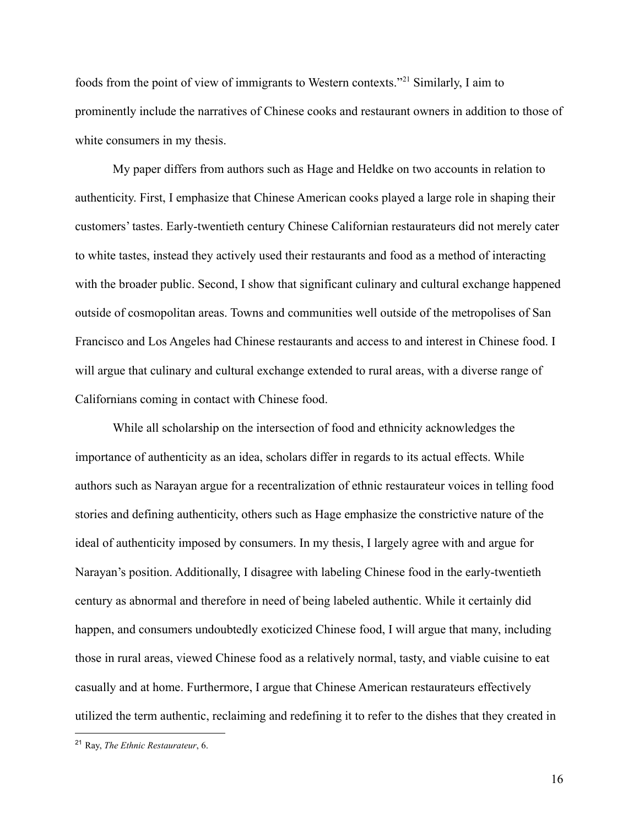foods from the point of view of immigrants to Western contexts."<sup>21</sup> Similarly, I aim to prominently include the narratives of Chinese cooks and restaurant owners in addition to those of white consumers in my thesis.

My paper differs from authors such as Hage and Heldke on two accounts in relation to authenticity. First, I emphasize that Chinese American cooks played a large role in shaping their customers' tastes. Early-twentieth century Chinese Californian restaurateurs did not merely cater to white tastes, instead they actively used their restaurants and food as a method of interacting with the broader public. Second, I show that significant culinary and cultural exchange happened outside of cosmopolitan areas. Towns and communities well outside of the metropolises of San Francisco and Los Angeles had Chinese restaurants and access to and interest in Chinese food. I will argue that culinary and cultural exchange extended to rural areas, with a diverse range of Californians coming in contact with Chinese food.

While all scholarship on the intersection of food and ethnicity acknowledges the importance of authenticity as an idea, scholars differ in regards to its actual effects. While authors such as Narayan argue for a recentralization of ethnic restaurateur voices in telling food stories and defining authenticity, others such as Hage emphasize the constrictive nature of the ideal of authenticity imposed by consumers. In my thesis, I largely agree with and argue for Narayan's position. Additionally, I disagree with labeling Chinese food in the early-twentieth century as abnormal and therefore in need of being labeled authentic. While it certainly did happen, and consumers undoubtedly exoticized Chinese food, I will argue that many, including those in rural areas, viewed Chinese food as a relatively normal, tasty, and viable cuisine to eat casually and at home. Furthermore, I argue that Chinese American restaurateurs effectively utilized the term authentic, reclaiming and redefining it to refer to the dishes that they created in

<sup>21</sup> Ray, *The Ethnic Restaurateur*, 6.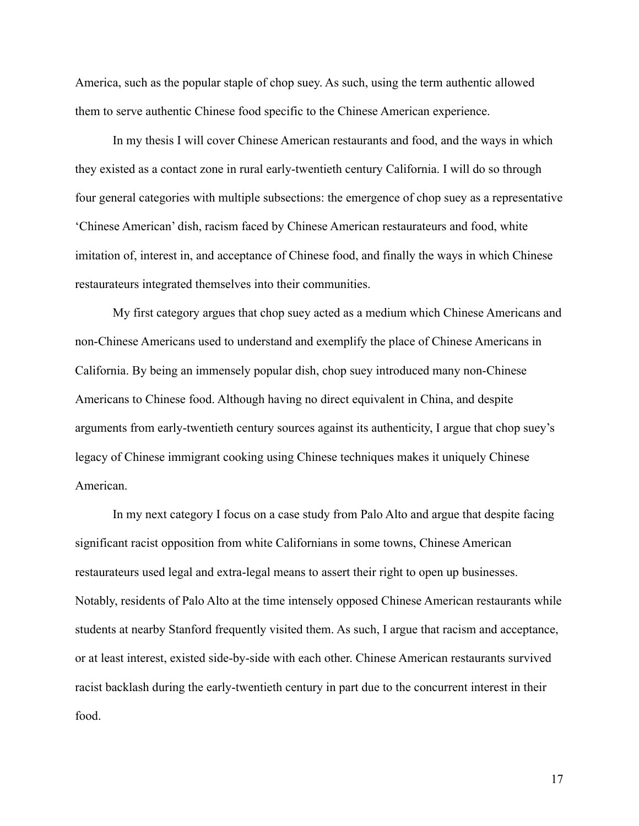America, such as the popular staple of chop suey. As such, using the term authentic allowed them to serve authentic Chinese food specific to the Chinese American experience.

In my thesis I will cover Chinese American restaurants and food, and the ways in which they existed as a contact zone in rural early-twentieth century California. I will do so through four general categories with multiple subsections: the emergence of chop suey as a representative 'Chinese American' dish, racism faced by Chinese American restaurateurs and food, white imitation of, interest in, and acceptance of Chinese food, and finally the ways in which Chinese restaurateurs integrated themselves into their communities.

My first category argues that chop suey acted as a medium which Chinese Americans and non-Chinese Americans used to understand and exemplify the place of Chinese Americans in California. By being an immensely popular dish, chop suey introduced many non-Chinese Americans to Chinese food. Although having no direct equivalent in China, and despite arguments from early-twentieth century sources against its authenticity, I argue that chop suey's legacy of Chinese immigrant cooking using Chinese techniques makes it uniquely Chinese American.

In my next category I focus on a case study from Palo Alto and argue that despite facing significant racist opposition from white Californians in some towns, Chinese American restaurateurs used legal and extra-legal means to assert their right to open up businesses. Notably, residents of Palo Alto at the time intensely opposed Chinese American restaurants while students at nearby Stanford frequently visited them. As such, I argue that racism and acceptance, or at least interest, existed side-by-side with each other. Chinese American restaurants survived racist backlash during the early-twentieth century in part due to the concurrent interest in their food.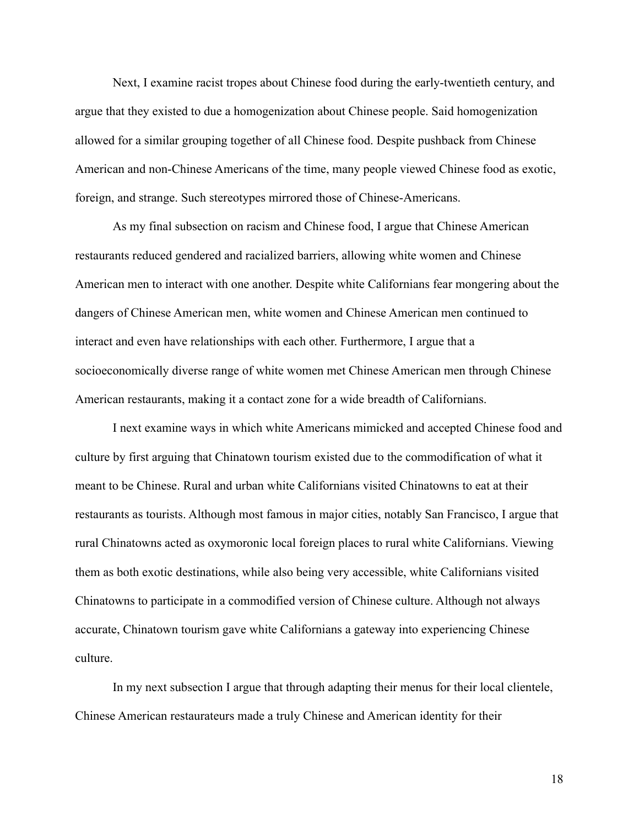Next, I examine racist tropes about Chinese food during the early-twentieth century, and argue that they existed to due a homogenization about Chinese people. Said homogenization allowed for a similar grouping together of all Chinese food. Despite pushback from Chinese American and non-Chinese Americans of the time, many people viewed Chinese food as exotic, foreign, and strange. Such stereotypes mirrored those of Chinese-Americans.

As my final subsection on racism and Chinese food, I argue that Chinese American restaurants reduced gendered and racialized barriers, allowing white women and Chinese American men to interact with one another. Despite white Californians fear mongering about the dangers of Chinese American men, white women and Chinese American men continued to interact and even have relationships with each other. Furthermore, I argue that a socioeconomically diverse range of white women met Chinese American men through Chinese American restaurants, making it a contact zone for a wide breadth of Californians.

I next examine ways in which white Americans mimicked and accepted Chinese food and culture by first arguing that Chinatown tourism existed due to the commodification of what it meant to be Chinese. Rural and urban white Californians visited Chinatowns to eat at their restaurants as tourists. Although most famous in major cities, notably San Francisco, I argue that rural Chinatowns acted as oxymoronic local foreign places to rural white Californians. Viewing them as both exotic destinations, while also being very accessible, white Californians visited Chinatowns to participate in a commodified version of Chinese culture. Although not always accurate, Chinatown tourism gave white Californians a gateway into experiencing Chinese culture.

In my next subsection I argue that through adapting their menus for their local clientele, Chinese American restaurateurs made a truly Chinese and American identity for their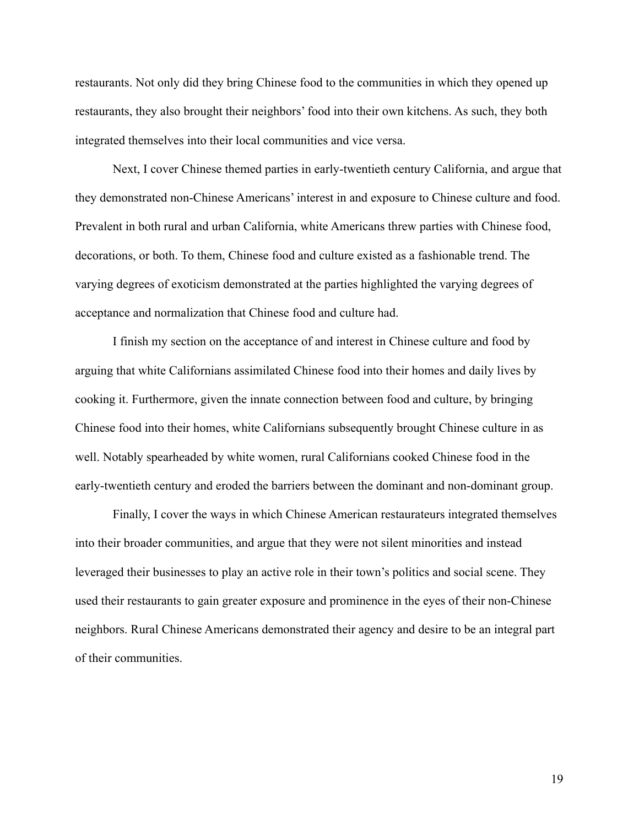restaurants. Not only did they bring Chinese food to the communities in which they opened up restaurants, they also brought their neighbors' food into their own kitchens. As such, they both integrated themselves into their local communities and vice versa.

Next, I cover Chinese themed parties in early-twentieth century California, and argue that they demonstrated non-Chinese Americans' interest in and exposure to Chinese culture and food. Prevalent in both rural and urban California, white Americans threw parties with Chinese food, decorations, or both. To them, Chinese food and culture existed as a fashionable trend. The varying degrees of exoticism demonstrated at the parties highlighted the varying degrees of acceptance and normalization that Chinese food and culture had.

I finish my section on the acceptance of and interest in Chinese culture and food by arguing that white Californians assimilated Chinese food into their homes and daily lives by cooking it. Furthermore, given the innate connection between food and culture, by bringing Chinese food into their homes, white Californians subsequently brought Chinese culture in as well. Notably spearheaded by white women, rural Californians cooked Chinese food in the early-twentieth century and eroded the barriers between the dominant and non-dominant group.

Finally, I cover the ways in which Chinese American restaurateurs integrated themselves into their broader communities, and argue that they were not silent minorities and instead leveraged their businesses to play an active role in their town's politics and social scene. They used their restaurants to gain greater exposure and prominence in the eyes of their non-Chinese neighbors. Rural Chinese Americans demonstrated their agency and desire to be an integral part of their communities.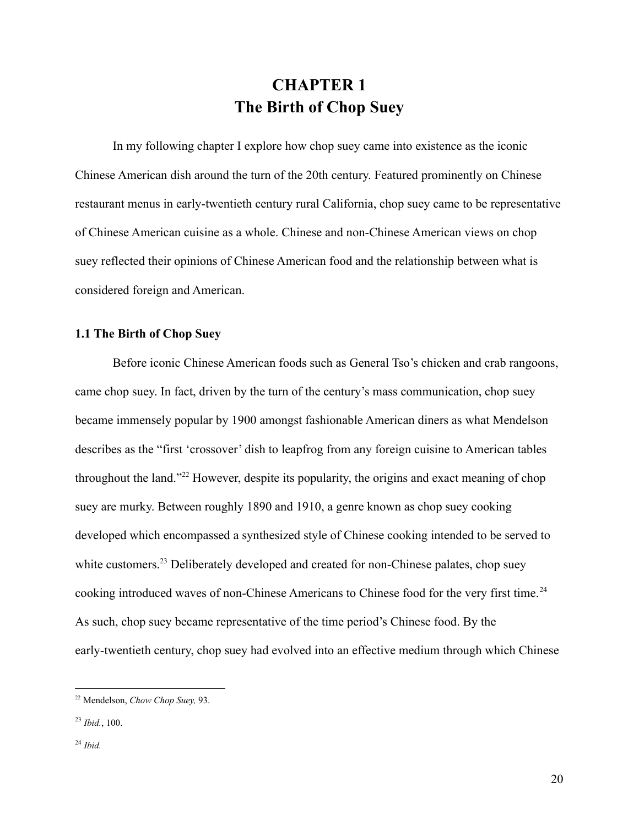# **CHAPTER 1 The Birth of Chop Suey**

<span id="page-20-1"></span><span id="page-20-0"></span>In my following chapter I explore how chop suey came into existence as the iconic Chinese American dish around the turn of the 20th century. Featured prominently on Chinese restaurant menus in early-twentieth century rural California, chop suey came to be representative of Chinese American cuisine as a whole. Chinese and non-Chinese American views on chop suey reflected their opinions of Chinese American food and the relationship between what is considered foreign and American.

#### <span id="page-20-2"></span>**1.1 The Birth of Chop Suey**

Before iconic Chinese American foods such as General Tso's chicken and crab rangoons, came chop suey. In fact, driven by the turn of the century's mass communication, chop suey became immensely popular by 1900 amongst fashionable American diners as what Mendelson describes as the "first 'crossover' dish to leapfrog from any foreign cuisine to American tables throughout the land."<sup>22</sup> However, despite its popularity, the origins and exact meaning of chop suey are murky. Between roughly 1890 and 1910, a genre known as chop suey cooking developed which encompassed a synthesized style of Chinese cooking intended to be served to white customers.<sup>23</sup> Deliberately developed and created for non-Chinese palates, chop suey cooking introduced waves of non-Chinese Americans to Chinese food for the very first time.<sup>24</sup> As such, chop suey became representative of the time period's Chinese food. By the early-twentieth century, chop suey had evolved into an effective medium through which Chinese

<sup>22</sup> Mendelson, *Chow Chop Suey,* 93.

<sup>23</sup> *Ibid.*, 100.

<sup>24</sup> *Ibid.*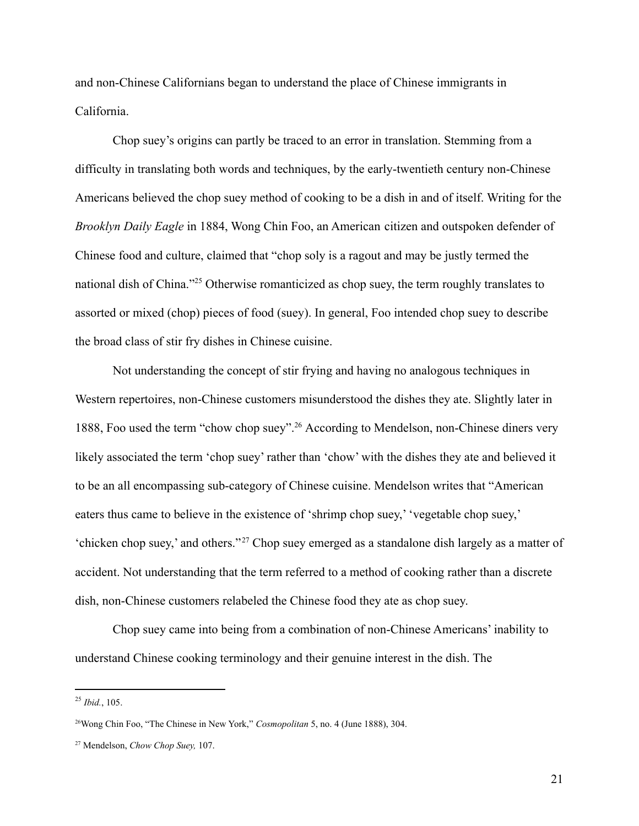and non-Chinese Californians began to understand the place of Chinese immigrants in California.

Chop suey's origins can partly be traced to an error in translation. Stemming from a difficulty in translating both words and techniques, by the early-twentieth century non-Chinese Americans believed the chop suey method of cooking to be a dish in and of itself. Writing for the *Brooklyn Daily Eagle* in 1884, Wong Chin Foo, an American citizen and outspoken defender of Chinese food and culture, claimed that "chop soly is a ragout and may be justly termed the national dish of China."<sup>25</sup> Otherwise romanticized as chop suey, the term roughly translates to assorted or mixed (chop) pieces of food (suey). In general, Foo intended chop suey to describe the broad class of stir fry dishes in Chinese cuisine.

Not understanding the concept of stir frying and having no analogous techniques in Western repertoires, non-Chinese customers misunderstood the dishes they ate. Slightly later in 1888, Foo used the term "chow chop suey".<sup>26</sup> According to Mendelson, non-Chinese diners very likely associated the term 'chop suey' rather than 'chow' with the dishes they ate and believed it to be an all encompassing sub-category of Chinese cuisine. Mendelson writes that "American eaters thus came to believe in the existence of 'shrimp chop suey,' 'vegetable chop suey,' 'chicken chop suey,' and others." <sup>27</sup> Chop suey emerged as a standalone dish largely as a matter of accident. Not understanding that the term referred to a method of cooking rather than a discrete dish, non-Chinese customers relabeled the Chinese food they ate as chop suey.

Chop suey came into being from a combination of non-Chinese Americans' inability to understand Chinese cooking terminology and their genuine interest in the dish. The

<sup>25</sup> *Ibid.*, 105.

<sup>26</sup>Wong Chin Foo, "The Chinese in New York," *Cosmopolitan* 5, no. 4 (June 1888), 304.

<sup>27</sup> Mendelson, *Chow Chop Suey,* 107.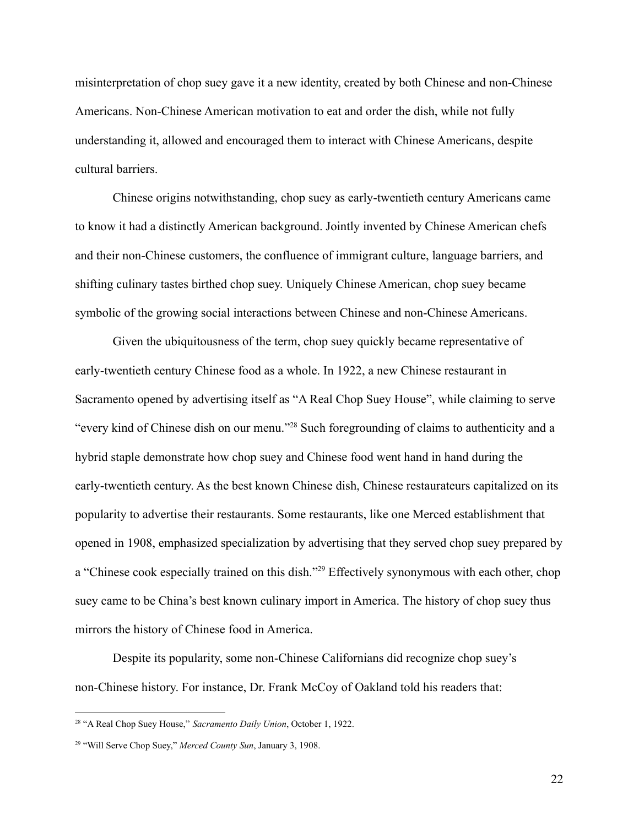misinterpretation of chop suey gave it a new identity, created by both Chinese and non-Chinese Americans. Non-Chinese American motivation to eat and order the dish, while not fully understanding it, allowed and encouraged them to interact with Chinese Americans, despite cultural barriers.

Chinese origins notwithstanding, chop suey as early-twentieth century Americans came to know it had a distinctly American background. Jointly invented by Chinese American chefs and their non-Chinese customers, the confluence of immigrant culture, language barriers, and shifting culinary tastes birthed chop suey. Uniquely Chinese American, chop suey became symbolic of the growing social interactions between Chinese and non-Chinese Americans.

Given the ubiquitousness of the term, chop suey quickly became representative of early-twentieth century Chinese food as a whole. In 1922, a new Chinese restaurant in Sacramento opened by advertising itself as "A Real Chop Suey House", while claiming to serve "every kind of Chinese dish on our menu."<sup>28</sup> Such foregrounding of claims to authenticity and a hybrid staple demonstrate how chop suey and Chinese food went hand in hand during the early-twentieth century. As the best known Chinese dish, Chinese restaurateurs capitalized on its popularity to advertise their restaurants. Some restaurants, like one Merced establishment that opened in 1908, emphasized specialization by advertising that they served chop suey prepared by a "Chinese cook especially trained on this dish."<sup>29</sup> Effectively synonymous with each other, chop suey came to be China's best known culinary import in America. The history of chop suey thus mirrors the history of Chinese food in America.

Despite its popularity, some non-Chinese Californians did recognize chop suey's non-Chinese history. For instance, Dr. Frank McCoy of Oakland told his readers that:

<sup>28</sup> "A Real Chop Suey House," *Sacramento Daily Union*, October 1, 1922.

<sup>29</sup> "Will Serve Chop Suey," *Merced County Sun*, January 3, 1908.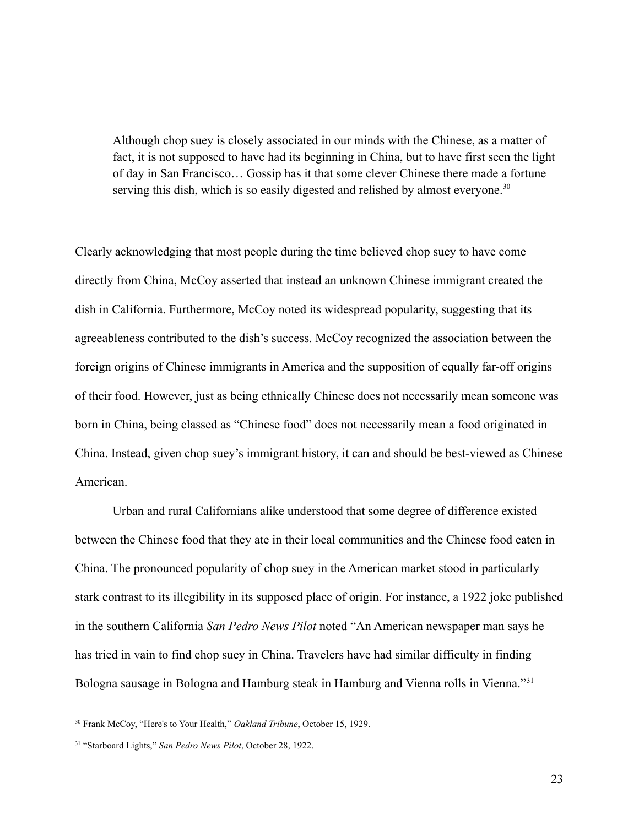Although chop suey is closely associated in our minds with the Chinese, as a matter of fact, it is not supposed to have had its beginning in China, but to have first seen the light of day in San Francisco… Gossip has it that some clever Chinese there made a fortune serving this dish, which is so easily digested and relished by almost everyone.<sup>30</sup>

Clearly acknowledging that most people during the time believed chop suey to have come directly from China, McCoy asserted that instead an unknown Chinese immigrant created the dish in California. Furthermore, McCoy noted its widespread popularity, suggesting that its agreeableness contributed to the dish's success. McCoy recognized the association between the foreign origins of Chinese immigrants in America and the supposition of equally far-off origins of their food. However, just as being ethnically Chinese does not necessarily mean someone was born in China, being classed as "Chinese food" does not necessarily mean a food originated in China. Instead, given chop suey's immigrant history, it can and should be best-viewed as Chinese American.

Urban and rural Californians alike understood that some degree of difference existed between the Chinese food that they ate in their local communities and the Chinese food eaten in China. The pronounced popularity of chop suey in the American market stood in particularly stark contrast to its illegibility in its supposed place of origin. For instance, a 1922 joke published in the southern California *San Pedro News Pilot* noted "An American newspaper man says he has tried in vain to find chop suey in China. Travelers have had similar difficulty in finding Bologna sausage in Bologna and Hamburg steak in Hamburg and Vienna rolls in Vienna."<sup>31</sup>

<sup>30</sup> Frank McCoy, "Here's to Your Health," *Oakland Tribune*, October 15, 1929.

<sup>31</sup> "Starboard Lights," *San Pedro News Pilot*, October 28, 1922.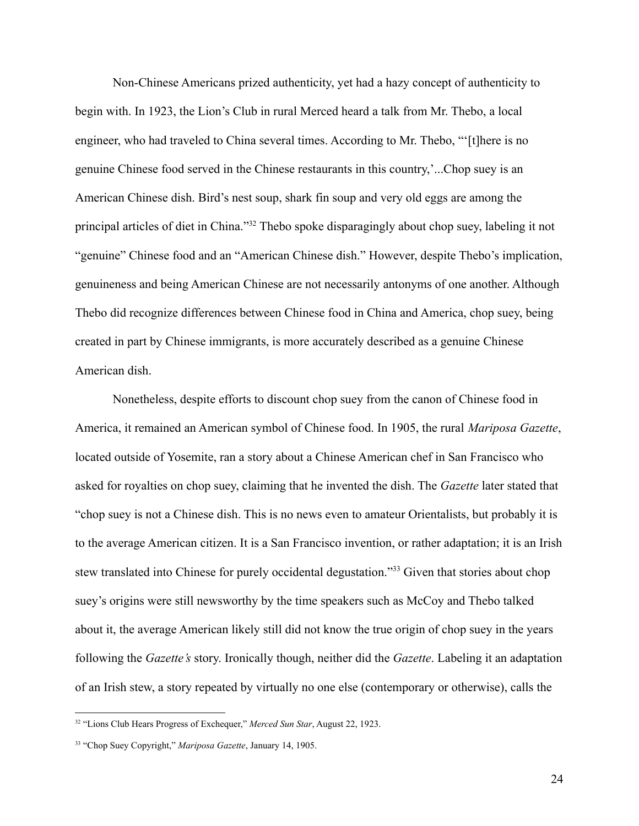Non-Chinese Americans prized authenticity, yet had a hazy concept of authenticity to begin with. In 1923, the Lion's Club in rural Merced heard a talk from Mr. Thebo, a local engineer, who had traveled to China several times. According to Mr. Thebo, "'[t]here is no genuine Chinese food served in the Chinese restaurants in this country,'...Chop suey is an American Chinese dish. Bird's nest soup, shark fin soup and very old eggs are among the principal articles of diet in China."<sup>32</sup> Thebo spoke disparagingly about chop suey, labeling it not "genuine" Chinese food and an "American Chinese dish." However, despite Thebo's implication, genuineness and being American Chinese are not necessarily antonyms of one another. Although Thebo did recognize differences between Chinese food in China and America, chop suey, being created in part by Chinese immigrants, is more accurately described as a genuine Chinese American dish.

Nonetheless, despite efforts to discount chop suey from the canon of Chinese food in America, it remained an American symbol of Chinese food. In 1905, the rural *Mariposa Gazette*, located outside of Yosemite, ran a story about a Chinese American chef in San Francisco who asked for royalties on chop suey, claiming that he invented the dish. The *Gazette* later stated that "chop suey is not a Chinese dish. This is no news even to amateur Orientalists, but probably it is to the average American citizen. It is a San Francisco invention, or rather adaptation; it is an Irish stew translated into Chinese for purely occidental degustation."<sup>33</sup> Given that stories about chop suey's origins were still newsworthy by the time speakers such as McCoy and Thebo talked about it, the average American likely still did not know the true origin of chop suey in the years following the *Gazette's* story. Ironically though, neither did the *Gazette*. Labeling it an adaptation of an Irish stew, a story repeated by virtually no one else (contemporary or otherwise), calls the

<sup>32</sup> "Lions Club Hears Progress of Exchequer," *Merced Sun Star*, August 22, 1923.

<sup>33</sup> "Chop Suey Copyright," *Mariposa Gazette*, January 14, 1905.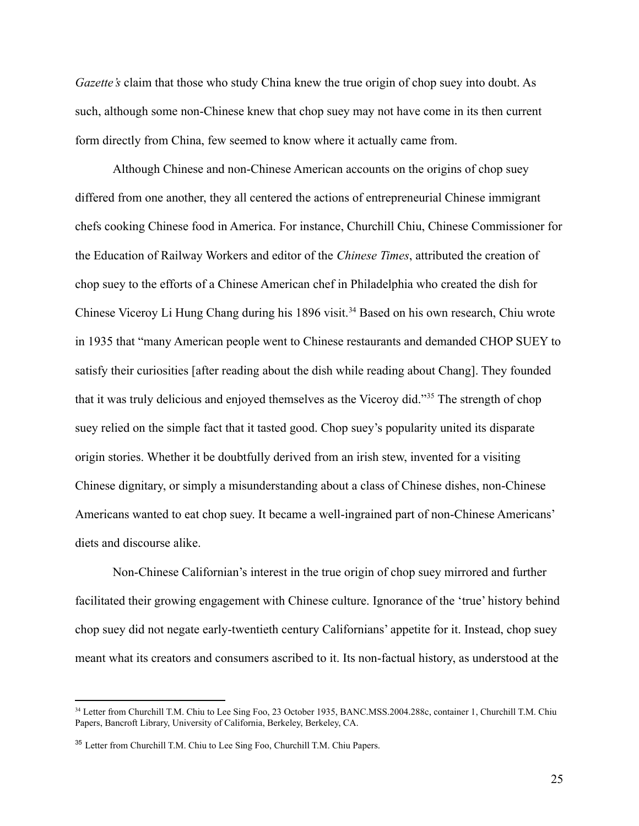*Gazette's* claim that those who study China knew the true origin of chop suey into doubt. As such, although some non-Chinese knew that chop suey may not have come in its then current form directly from China, few seemed to know where it actually came from.

Although Chinese and non-Chinese American accounts on the origins of chop suey differed from one another, they all centered the actions of entrepreneurial Chinese immigrant chefs cooking Chinese food in America. For instance, Churchill Chiu, Chinese Commissioner for the Education of Railway Workers and editor of the *Chinese Times*, attributed the creation of chop suey to the efforts of a Chinese American chef in Philadelphia who created the dish for Chinese Viceroy Li Hung Chang during his 1896 visit.<sup>34</sup> Based on his own research, Chiu wrote in 1935 that "many American people went to Chinese restaurants and demanded CHOP SUEY to satisfy their curiosities [after reading about the dish while reading about Chang]. They founded that it was truly delicious and enjoyed themselves as the Viceroy did."<sup>35</sup> The strength of chop suey relied on the simple fact that it tasted good. Chop suey's popularity united its disparate origin stories. Whether it be doubtfully derived from an irish stew, invented for a visiting Chinese dignitary, or simply a misunderstanding about a class of Chinese dishes, non-Chinese Americans wanted to eat chop suey. It became a well-ingrained part of non-Chinese Americans' diets and discourse alike.

Non-Chinese Californian's interest in the true origin of chop suey mirrored and further facilitated their growing engagement with Chinese culture. Ignorance of the 'true' history behind chop suey did not negate early-twentieth century Californians' appetite for it. Instead, chop suey meant what its creators and consumers ascribed to it. Its non-factual history, as understood at the

<sup>&</sup>lt;sup>34</sup> Letter from Churchill T.M. Chiu to Lee Sing Foo, 23 October 1935, BANC.MSS.2004.288c, container 1, Churchill T.M. Chiu Papers, Bancroft Library, University of California, Berkeley, Berkeley, CA.

<sup>35</sup> Letter from Churchill T.M. Chiu to Lee Sing Foo, Churchill T.M. Chiu Papers.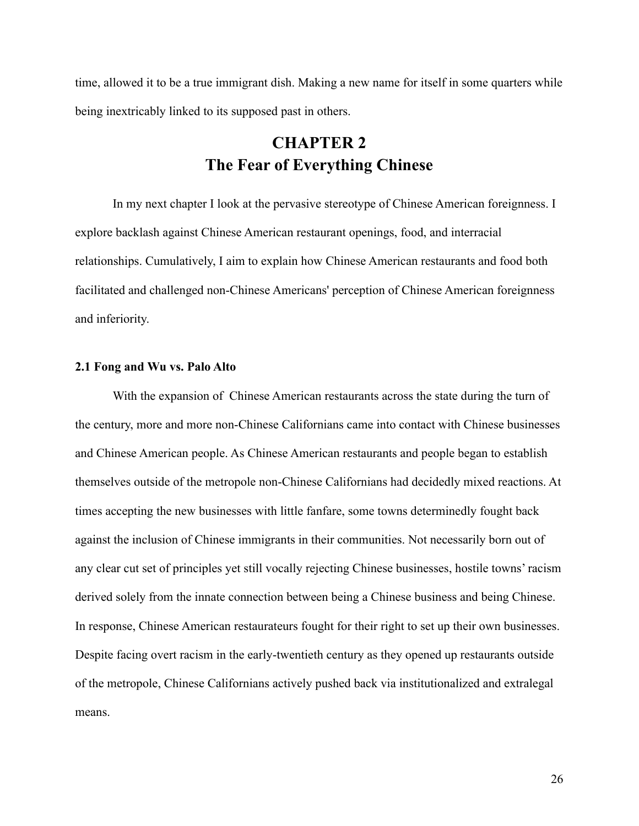time, allowed it to be a true immigrant dish. Making a new name for itself in some quarters while being inextricably linked to its supposed past in others.

## **CHAPTER 2 The Fear of Everything Chinese**

<span id="page-26-0"></span>In my next chapter I look at the pervasive stereotype of Chinese American foreignness. I explore backlash against Chinese American restaurant openings, food, and interracial relationships. Cumulatively, I aim to explain how Chinese American restaurants and food both facilitated and challenged non-Chinese Americans' perception of Chinese American foreignness and inferiority.

### <span id="page-26-1"></span>**2.1 Fong and Wu vs. Palo Alto**

With the expansion of Chinese American restaurants across the state during the turn of the century, more and more non-Chinese Californians came into contact with Chinese businesses and Chinese American people. As Chinese American restaurants and people began to establish themselves outside of the metropole non-Chinese Californians had decidedly mixed reactions. At times accepting the new businesses with little fanfare, some towns determinedly fought back against the inclusion of Chinese immigrants in their communities. Not necessarily born out of any clear cut set of principles yet still vocally rejecting Chinese businesses, hostile towns' racism derived solely from the innate connection between being a Chinese business and being Chinese. In response, Chinese American restaurateurs fought for their right to set up their own businesses. Despite facing overt racism in the early-twentieth century as they opened up restaurants outside of the metropole, Chinese Californians actively pushed back via institutionalized and extralegal means.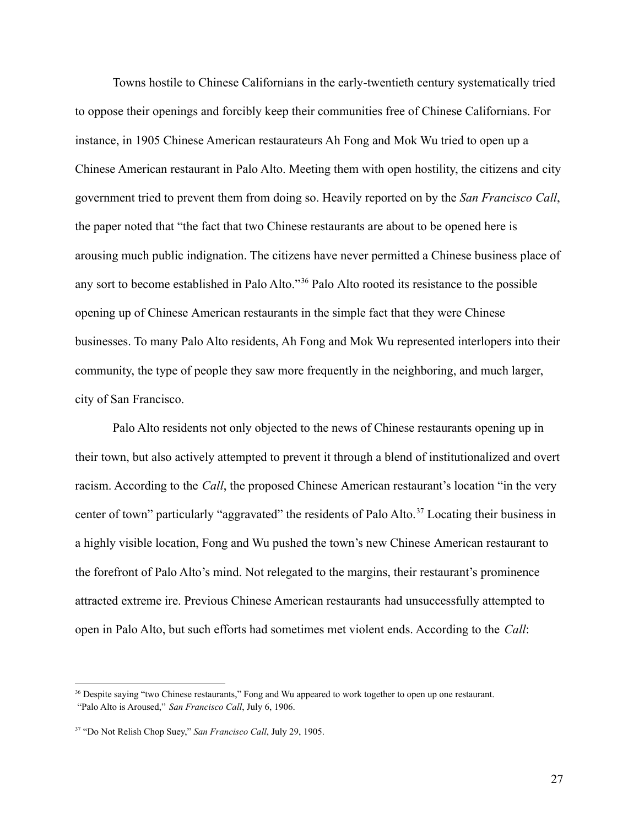Towns hostile to Chinese Californians in the early-twentieth century systematically tried to oppose their openings and forcibly keep their communities free of Chinese Californians. For instance, in 1905 Chinese American restaurateurs Ah Fong and Mok Wu tried to open up a Chinese American restaurant in Palo Alto. Meeting them with open hostility, the citizens and city government tried to prevent them from doing so. Heavily reported on by the *San Francisco Call*, the paper noted that "the fact that two Chinese restaurants are about to be opened here is arousing much public indignation. The citizens have never permitted a Chinese business place of any sort to become established in Palo Alto."<sup>36</sup> Palo Alto rooted its resistance to the possible opening up of Chinese American restaurants in the simple fact that they were Chinese businesses. To many Palo Alto residents, Ah Fong and Mok Wu represented interlopers into their community, the type of people they saw more frequently in the neighboring, and much larger, city of San Francisco.

Palo Alto residents not only objected to the news of Chinese restaurants opening up in their town, but also actively attempted to prevent it through a blend of institutionalized and overt racism. According to the *Call*, the proposed Chinese American restaurant's location "in the very center of town" particularly "aggravated" the residents of Palo Alto.<sup>37</sup> Locating their business in a highly visible location, Fong and Wu pushed the town's new Chinese American restaurant to the forefront of Palo Alto's mind. Not relegated to the margins, their restaurant's prominence attracted extreme ire. Previous Chinese American restaurants had unsuccessfully attempted to open in Palo Alto, but such efforts had sometimes met violent ends. According to the *Call*:

<sup>&</sup>lt;sup>36</sup> Despite saying "two Chinese restaurants," Fong and Wu appeared to work together to open up one restaurant.

<sup>&</sup>quot;Palo Alto is Aroused," *San Francisco Call*, July 6, 1906.

<sup>37</sup> "Do Not Relish Chop Suey," *San Francisco Call*, July 29, 1905.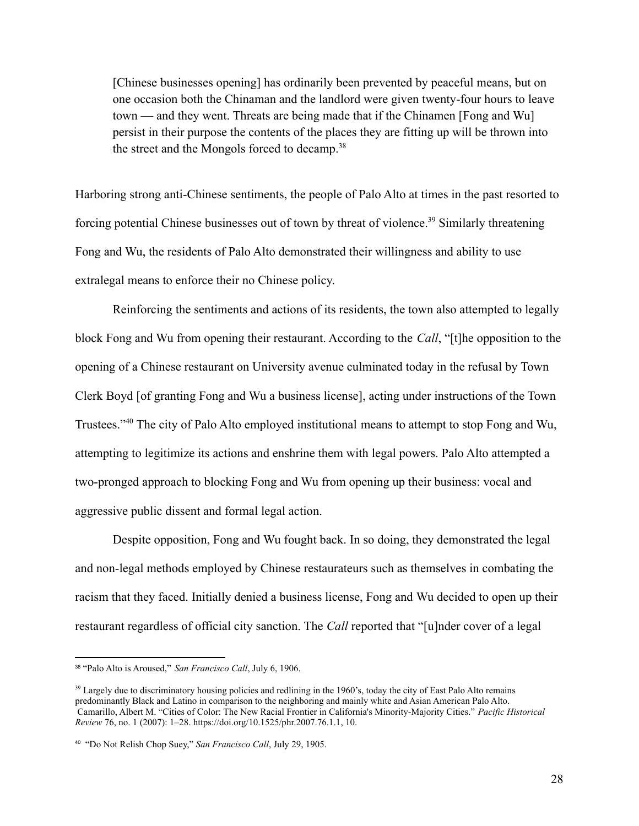[Chinese businesses opening] has ordinarily been prevented by peaceful means, but on one occasion both the Chinaman and the landlord were given twenty-four hours to leave town — and they went. Threats are being made that if the Chinamen [Fong and Wu] persist in their purpose the contents of the places they are fitting up will be thrown into the street and the Mongols forced to decamp.<sup>38</sup>

Harboring strong anti-Chinese sentiments, the people of Palo Alto at times in the past resorted to forcing potential Chinese businesses out of town by threat of violence.<sup>39</sup> Similarly threatening Fong and Wu, the residents of Palo Alto demonstrated their willingness and ability to use extralegal means to enforce their no Chinese policy.

Reinforcing the sentiments and actions of its residents, the town also attempted to legally block Fong and Wu from opening their restaurant. According to the *Call*, "[t]he opposition to the opening of a Chinese restaurant on University avenue culminated today in the refusal by Town Clerk Boyd [of granting Fong and Wu a business license], acting under instructions of the Town Trustees."<sup>40</sup> The city of Palo Alto employed institutional means to attempt to stop Fong and Wu, attempting to legitimize its actions and enshrine them with legal powers. Palo Alto attempted a two-pronged approach to blocking Fong and Wu from opening up their business: vocal and aggressive public dissent and formal legal action.

Despite opposition, Fong and Wu fought back. In so doing, they demonstrated the legal and non-legal methods employed by Chinese restaurateurs such as themselves in combating the racism that they faced. Initially denied a business license, Fong and Wu decided to open up their restaurant regardless of official city sanction. The *Call* reported that "[u]nder cover of a legal

<sup>38</sup> "Palo Alto is Aroused," *San Francisco Call*, July 6, 1906.

<sup>&</sup>lt;sup>39</sup> Largely due to discriminatory housing policies and redlining in the 1960's, today the city of East Palo Alto remains predominantly Black and Latino in comparison to the neighboring and mainly white and Asian American Palo Alto. Camarillo, Albert M. "Cities of Color: The New Racial Frontier in California's Minority-Majority Cities." *Pacific Historical Review* 76, no. 1 (2007): 1–28. https://doi.org/10.1525/phr.2007.76.1.1, 10.

<sup>40</sup> "Do Not Relish Chop Suey," *San Francisco Call*, July 29, 1905.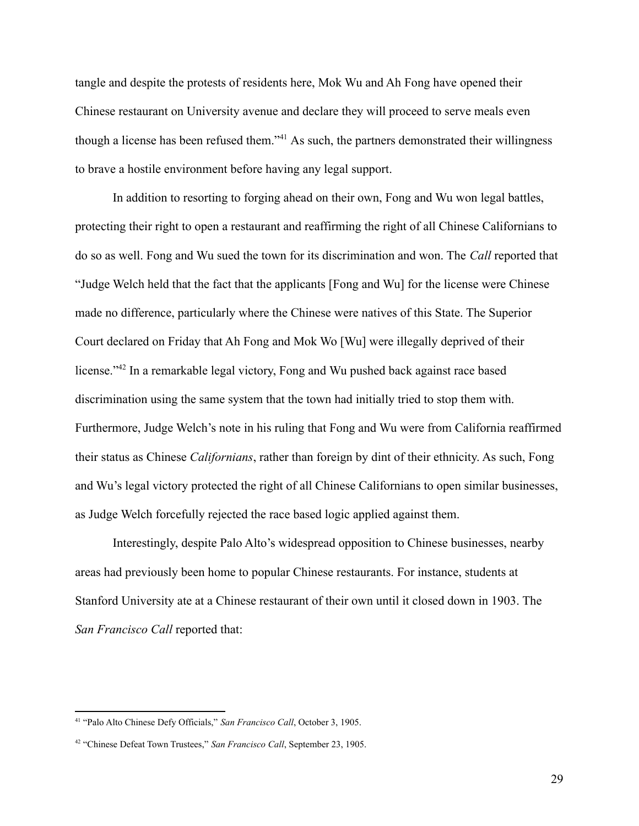tangle and despite the protests of residents here, Mok Wu and Ah Fong have opened their Chinese restaurant on University avenue and declare they will proceed to serve meals even though a license has been refused them."<sup>41</sup> As such, the partners demonstrated their willingness to brave a hostile environment before having any legal support.

In addition to resorting to forging ahead on their own, Fong and Wu won legal battles, protecting their right to open a restaurant and reaffirming the right of all Chinese Californians to do so as well. Fong and Wu sued the town for its discrimination and won. The *Call* reported that "Judge Welch held that the fact that the applicants [Fong and Wu] for the license were Chinese made no difference, particularly where the Chinese were natives of this State. The Superior Court declared on Friday that Ah Fong and Mok Wo [Wu] were illegally deprived of their license."<sup>42</sup> In a remarkable legal victory, Fong and Wu pushed back against race based discrimination using the same system that the town had initially tried to stop them with. Furthermore, Judge Welch's note in his ruling that Fong and Wu were from California reaffirmed their status as Chinese *Californians*, rather than foreign by dint of their ethnicity. As such, Fong and Wu's legal victory protected the right of all Chinese Californians to open similar businesses, as Judge Welch forcefully rejected the race based logic applied against them.

Interestingly, despite Palo Alto's widespread opposition to Chinese businesses, nearby areas had previously been home to popular Chinese restaurants. For instance, students at Stanford University ate at a Chinese restaurant of their own until it closed down in 1903. The *San Francisco Call* reported that:

<sup>41</sup> "Palo Alto Chinese Defy Officials," *San Francisco Call*, October 3, 1905.

<sup>42</sup> "Chinese Defeat Town Trustees," *San Francisco Call*, September 23, 1905.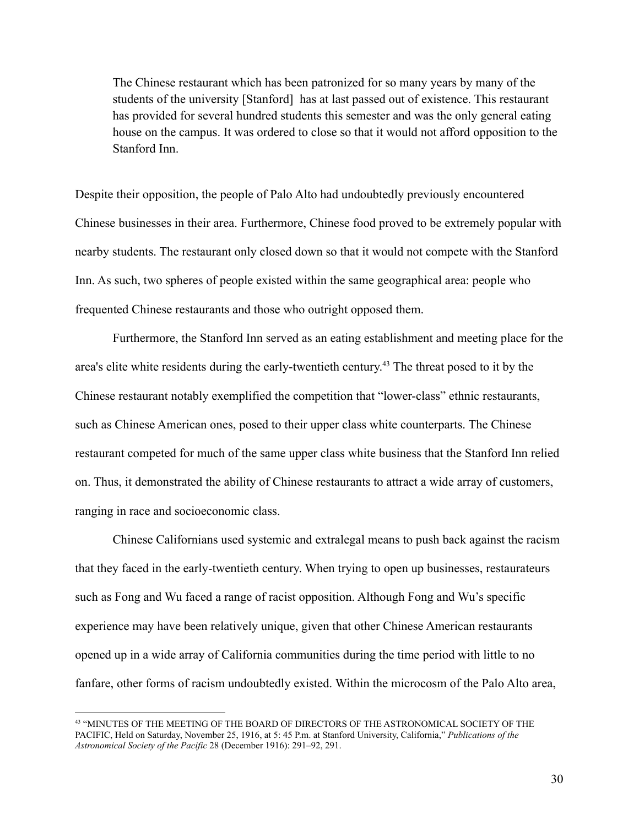The Chinese restaurant which has been patronized for so many years by many of the students of the university [Stanford] has at last passed out of existence. This restaurant has provided for several hundred students this semester and was the only general eating house on the campus. It was ordered to close so that it would not afford opposition to the Stanford Inn.

Despite their opposition, the people of Palo Alto had undoubtedly previously encountered Chinese businesses in their area. Furthermore, Chinese food proved to be extremely popular with nearby students. The restaurant only closed down so that it would not compete with the Stanford Inn. As such, two spheres of people existed within the same geographical area: people who frequented Chinese restaurants and those who outright opposed them.

Furthermore, the Stanford Inn served as an eating establishment and meeting place for the area's elite white residents during the early-twentieth century.<sup>43</sup> The threat posed to it by the Chinese restaurant notably exemplified the competition that "lower-class" ethnic restaurants, such as Chinese American ones, posed to their upper class white counterparts. The Chinese restaurant competed for much of the same upper class white business that the Stanford Inn relied on. Thus, it demonstrated the ability of Chinese restaurants to attract a wide array of customers, ranging in race and socioeconomic class.

Chinese Californians used systemic and extralegal means to push back against the racism that they faced in the early-twentieth century. When trying to open up businesses, restaurateurs such as Fong and Wu faced a range of racist opposition. Although Fong and Wu's specific experience may have been relatively unique, given that other Chinese American restaurants opened up in a wide array of California communities during the time period with little to no fanfare, other forms of racism undoubtedly existed. Within the microcosm of the Palo Alto area,

<sup>43</sup> "MINUTES OF THE MEETING OF THE BOARD OF DIRECTORS OF THE ASTRONOMICAL SOCIETY OF THE PACIFIC, Held on Saturday, November 25, 1916, at 5: 45 P.m. at Stanford University, California," *Publications of the Astronomical Society of the Pacific* 28 (December 1916): 291–92, 291.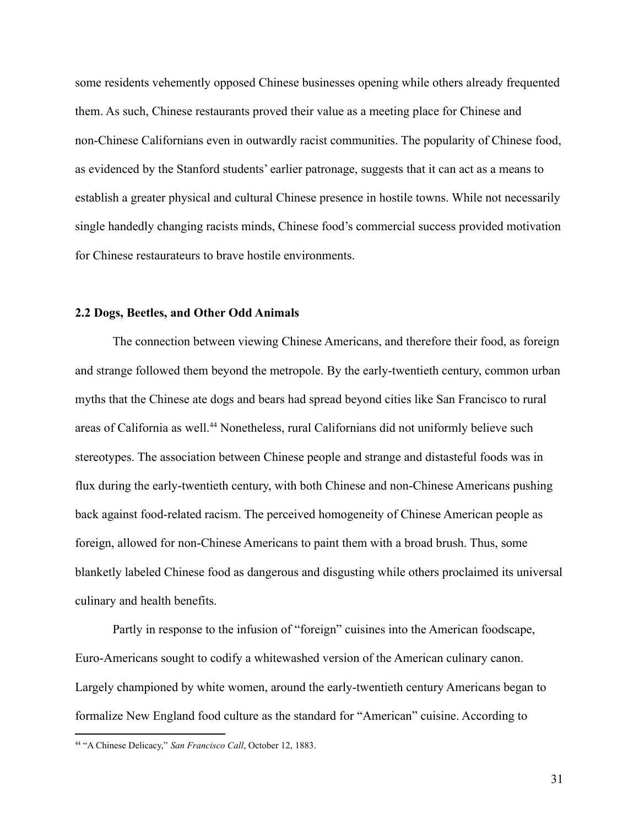some residents vehemently opposed Chinese businesses opening while others already frequented them. As such, Chinese restaurants proved their value as a meeting place for Chinese and non-Chinese Californians even in outwardly racist communities. The popularity of Chinese food, as evidenced by the Stanford students' earlier patronage, suggests that it can act as a means to establish a greater physical and cultural Chinese presence in hostile towns. While not necessarily single handedly changing racists minds, Chinese food's commercial success provided motivation for Chinese restaurateurs to brave hostile environments.

#### <span id="page-31-0"></span>**2.2 Dogs, Beetles, and Other Odd Animals**

The connection between viewing Chinese Americans, and therefore their food, as foreign and strange followed them beyond the metropole. By the early-twentieth century, common urban myths that the Chinese ate dogs and bears had spread beyond cities like San Francisco to rural areas of California as well.<sup>44</sup> Nonetheless, rural Californians did not uniformly believe such stereotypes. The association between Chinese people and strange and distasteful foods was in flux during the early-twentieth century, with both Chinese and non-Chinese Americans pushing back against food-related racism. The perceived homogeneity of Chinese American people as foreign, allowed for non-Chinese Americans to paint them with a broad brush. Thus, some blanketly labeled Chinese food as dangerous and disgusting while others proclaimed its universal culinary and health benefits.

Partly in response to the infusion of "foreign" cuisines into the American foodscape, Euro-Americans sought to codify a whitewashed version of the American culinary canon. Largely championed by white women, around the early-twentieth century Americans began to formalize New England food culture as the standard for "American" cuisine. According to

<sup>44</sup> "A Chinese Delicacy," *San Francisco Call*, October 12, 1883.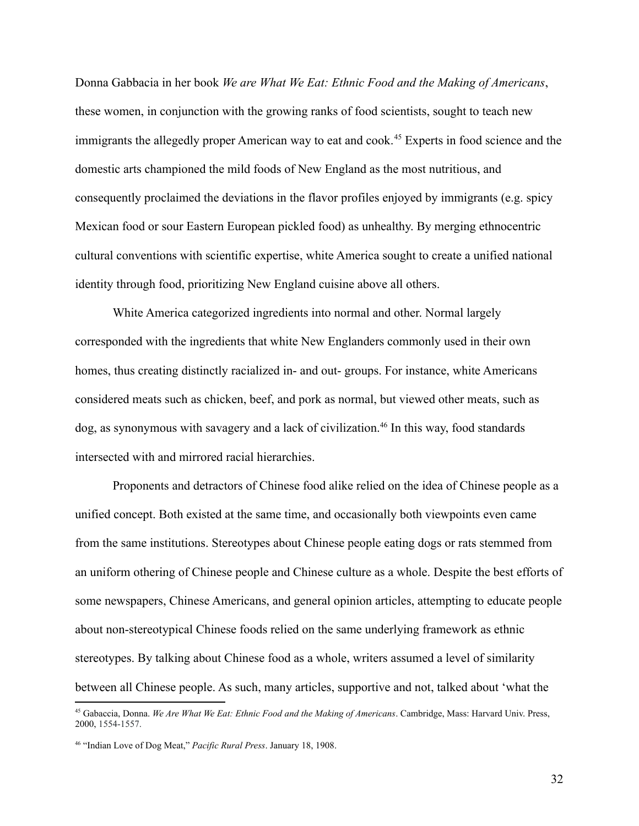Donna Gabbacia in her book *We are What We Eat: Ethnic Food and the Making of Americans*, these women, in conjunction with the growing ranks of food scientists, sought to teach new immigrants the allegedly proper American way to eat and cook.<sup>45</sup> Experts in food science and the domestic arts championed the mild foods of New England as the most nutritious, and consequently proclaimed the deviations in the flavor profiles enjoyed by immigrants (e.g. spicy Mexican food or sour Eastern European pickled food) as unhealthy. By merging ethnocentric cultural conventions with scientific expertise, white America sought to create a unified national identity through food, prioritizing New England cuisine above all others.

White America categorized ingredients into normal and other. Normal largely corresponded with the ingredients that white New Englanders commonly used in their own homes, thus creating distinctly racialized in- and out- groups. For instance, white Americans considered meats such as chicken, beef, and pork as normal, but viewed other meats, such as dog, as synonymous with savagery and a lack of civilization.<sup>46</sup> In this way, food standards intersected with and mirrored racial hierarchies.

Proponents and detractors of Chinese food alike relied on the idea of Chinese people as a unified concept. Both existed at the same time, and occasionally both viewpoints even came from the same institutions. Stereotypes about Chinese people eating dogs or rats stemmed from an uniform othering of Chinese people and Chinese culture as a whole. Despite the best efforts of some newspapers, Chinese Americans, and general opinion articles, attempting to educate people about non-stereotypical Chinese foods relied on the same underlying framework as ethnic stereotypes. By talking about Chinese food as a whole, writers assumed a level of similarity between all Chinese people. As such, many articles, supportive and not, talked about 'what the

<sup>45</sup> Gabaccia, Donna. *We Are What We Eat: Ethnic Food and the Making of Americans*. Cambridge, Mass: Harvard Univ. Press, 2000, 1554-1557.

<sup>46</sup> "Indian Love of Dog Meat," *Pacific Rural Press*. January 18, 1908.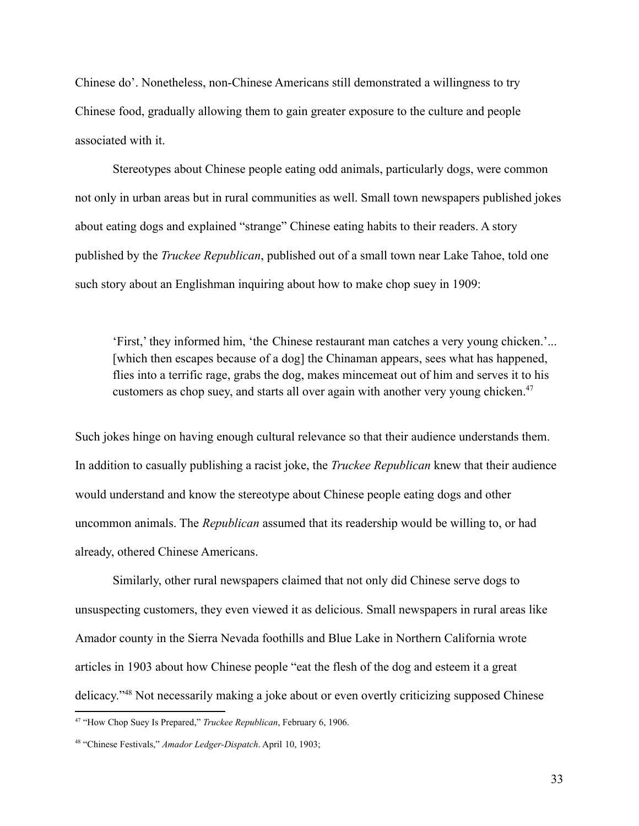Chinese do'. Nonetheless, non-Chinese Americans still demonstrated a willingness to try Chinese food, gradually allowing them to gain greater exposure to the culture and people associated with it.

Stereotypes about Chinese people eating odd animals, particularly dogs, were common not only in urban areas but in rural communities as well. Small town newspapers published jokes about eating dogs and explained "strange" Chinese eating habits to their readers. A story published by the *Truckee Republican*, published out of a small town near Lake Tahoe, told one such story about an Englishman inquiring about how to make chop suey in 1909:

'First,' they informed him, 'the Chinese restaurant man catches a very young chicken.'... [which then escapes because of a dog] the Chinaman appears, sees what has happened, flies into a terrific rage, grabs the dog, makes mincemeat out of him and serves it to his customers as chop suey, and starts all over again with another very young chicken.<sup>47</sup>

Such jokes hinge on having enough cultural relevance so that their audience understands them. In addition to casually publishing a racist joke, the *Truckee Republican* knew that their audience would understand and know the stereotype about Chinese people eating dogs and other uncommon animals. The *Republican* assumed that its readership would be willing to, or had already, othered Chinese Americans.

Similarly, other rural newspapers claimed that not only did Chinese serve dogs to unsuspecting customers, they even viewed it as delicious. Small newspapers in rural areas like Amador county in the Sierra Nevada foothills and Blue Lake in Northern California wrote articles in 1903 about how Chinese people "eat the flesh of the dog and esteem it a great delicacy."<sup>48</sup> Not necessarily making a joke about or even overtly criticizing supposed Chinese

<sup>47</sup> "How Chop Suey Is Prepared," *Truckee Republican*, February 6, 1906.

<sup>48</sup> "Chinese Festivals," *Amador Ledger-Dispatch*. April 10, 1903;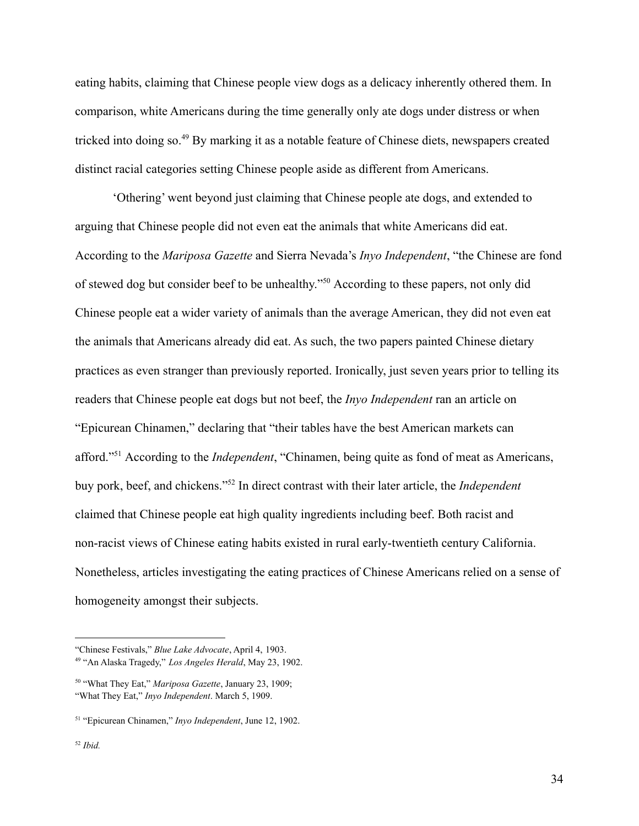eating habits, claiming that Chinese people view dogs as a delicacy inherently othered them. In comparison, white Americans during the time generally only ate dogs under distress or when tricked into doing so.<sup>49</sup> By marking it as a notable feature of Chinese diets, newspapers created distinct racial categories setting Chinese people aside as different from Americans.

'Othering' went beyond just claiming that Chinese people ate dogs, and extended to arguing that Chinese people did not even eat the animals that white Americans did eat. According to the *Mariposa Gazette* and Sierra Nevada's *Inyo Independent*, "the Chinese are fond of stewed dog but consider beef to be unhealthy."<sup>50</sup> According to these papers, not only did Chinese people eat a wider variety of animals than the average American, they did not even eat the animals that Americans already did eat. As such, the two papers painted Chinese dietary practices as even stranger than previously reported. Ironically, just seven years prior to telling its readers that Chinese people eat dogs but not beef, the *Inyo Independent* ran an article on "Epicurean Chinamen," declaring that "their tables have the best American markets can afford."<sup>51</sup> According to the *Independent*, "Chinamen, being quite as fond of meat as Americans, buy pork, beef, and chickens."<sup>52</sup> In direct contrast with their later article, the *Independent* claimed that Chinese people eat high quality ingredients including beef. Both racist and non-racist views of Chinese eating habits existed in rural early-twentieth century California. Nonetheless, articles investigating the eating practices of Chinese Americans relied on a sense of homogeneity amongst their subjects.

<sup>49</sup> "An Alaska Tragedy," *Los Angeles Herald*, May 23, 1902. "Chinese Festivals," *Blue Lake Advocate*, April 4, 1903.

<sup>50</sup> "What They Eat," *Mariposa Gazette*, January 23, 1909; "What They Eat," *Inyo Independent*. March 5, 1909.

<sup>51</sup> "Epicurean Chinamen," *Inyo Independent*, June 12, 1902.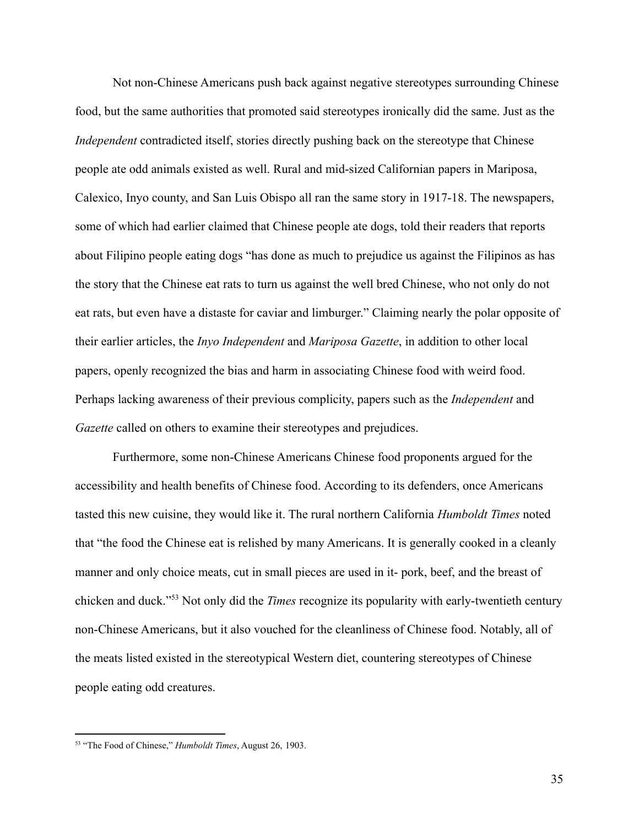Not non-Chinese Americans push back against negative stereotypes surrounding Chinese food, but the same authorities that promoted said stereotypes ironically did the same. Just as the *Independent* contradicted itself, stories directly pushing back on the stereotype that Chinese people ate odd animals existed as well. Rural and mid-sized Californian papers in Mariposa, Calexico, Inyo county, and San Luis Obispo all ran the same story in 1917-18. The newspapers, some of which had earlier claimed that Chinese people ate dogs, told their readers that reports about Filipino people eating dogs "has done as much to prejudice us against the Filipinos as has the story that the Chinese eat rats to turn us against the well bred Chinese, who not only do not eat rats, but even have a distaste for caviar and limburger." Claiming nearly the polar opposite of their earlier articles, the *Inyo Independent* and *Mariposa Gazette*, in addition to other local papers, openly recognized the bias and harm in associating Chinese food with weird food. Perhaps lacking awareness of their previous complicity, papers such as the *Independent* and *Gazette* called on others to examine their stereotypes and prejudices.

Furthermore, some non-Chinese Americans Chinese food proponents argued for the accessibility and health benefits of Chinese food. According to its defenders, once Americans tasted this new cuisine, they would like it. The rural northern California *Humboldt Times* noted that "the food the Chinese eat is relished by many Americans. It is generally cooked in a cleanly manner and only choice meats, cut in small pieces are used in it- pork, beef, and the breast of chicken and duck."<sup>53</sup> Not only did the *Times* recognize its popularity with early-twentieth century non-Chinese Americans, but it also vouched for the cleanliness of Chinese food. Notably, all of the meats listed existed in the stereotypical Western diet, countering stereotypes of Chinese people eating odd creatures.

<sup>53</sup> "The Food of Chinese," *Humboldt Times*, August 26, 1903.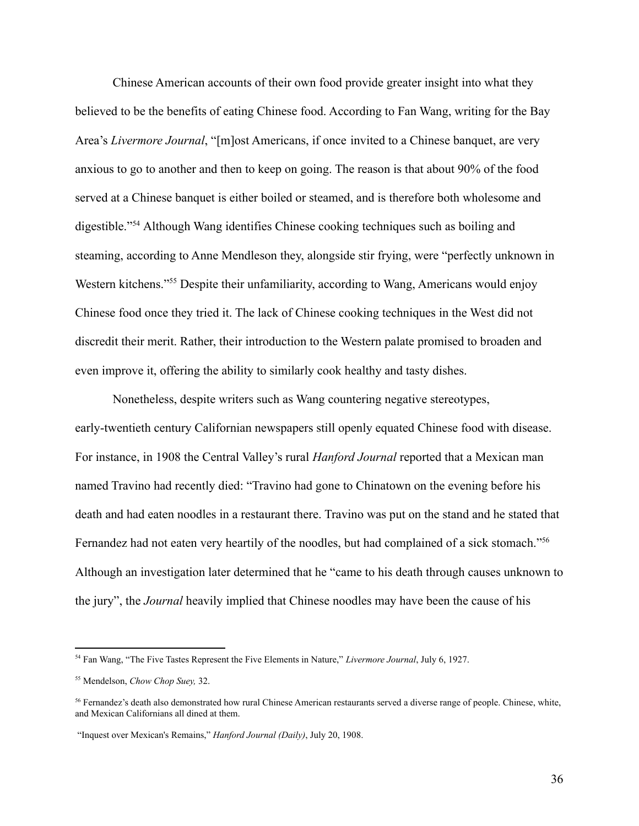Chinese American accounts of their own food provide greater insight into what they believed to be the benefits of eating Chinese food. According to Fan Wang, writing for the Bay Area's *Livermore Journal*, "[m]ost Americans, if once invited to a Chinese banquet, are very anxious to go to another and then to keep on going. The reason is that about 90% of the food served at a Chinese banquet is either boiled or steamed, and is therefore both wholesome and digestible."<sup>54</sup> Although Wang identifies Chinese cooking techniques such as boiling and steaming, according to Anne Mendleson they, alongside stir frying, were "perfectly unknown in Western kitchens."<sup>55</sup> Despite their unfamiliarity, according to Wang, Americans would enjoy Chinese food once they tried it. The lack of Chinese cooking techniques in the West did not discredit their merit. Rather, their introduction to the Western palate promised to broaden and even improve it, offering the ability to similarly cook healthy and tasty dishes.

Nonetheless, despite writers such as Wang countering negative stereotypes, early-twentieth century Californian newspapers still openly equated Chinese food with disease. For instance, in 1908 the Central Valley's rural *Hanford Journal* reported that a Mexican man named Travino had recently died: "Travino had gone to Chinatown on the evening before his death and had eaten noodles in a restaurant there. Travino was put on the stand and he stated that Fernandez had not eaten very heartily of the noodles, but had complained of a sick stomach."<sup>56</sup> Although an investigation later determined that he "came to his death through causes unknown to the jury", the *Journal* heavily implied that Chinese noodles may have been the cause of his

<sup>54</sup> Fan Wang, "The Five Tastes Represent the Five Elements in Nature," *Livermore Journal*, July 6, 1927.

<sup>55</sup> Mendelson, *Chow Chop Suey,* 32.

<sup>56</sup> Fernandez's death also demonstrated how rural Chinese American restaurants served a diverse range of people. Chinese, white, and Mexican Californians all dined at them.

<sup>&</sup>quot;Inquest over Mexican's Remains," *Hanford Journal (Daily)*, July 20, 1908.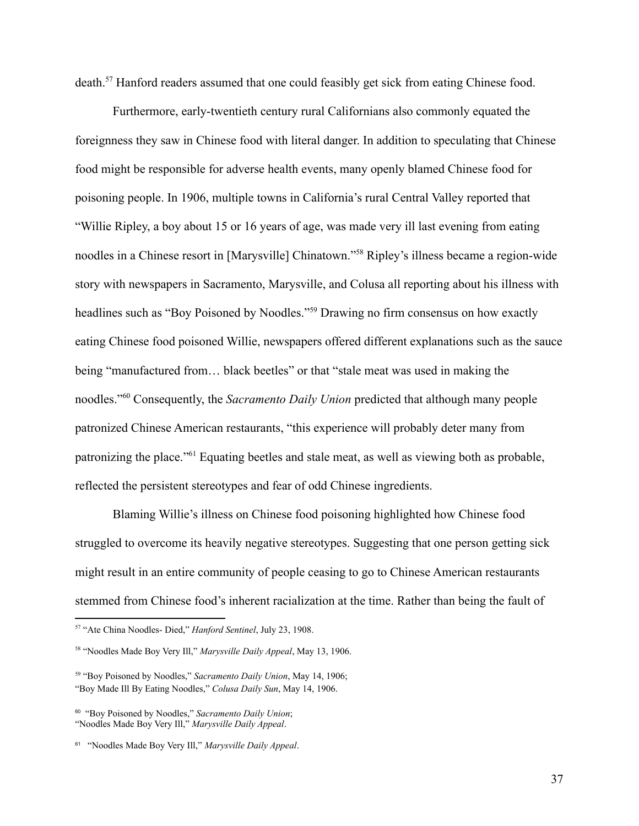death.<sup>57</sup> Hanford readers assumed that one could feasibly get sick from eating Chinese food.

Furthermore, early-twentieth century rural Californians also commonly equated the foreignness they saw in Chinese food with literal danger. In addition to speculating that Chinese food might be responsible for adverse health events, many openly blamed Chinese food for poisoning people. In 1906, multiple towns in California's rural Central Valley reported that "Willie Ripley, a boy about 15 or 16 years of age, was made very ill last evening from eating noodles in a Chinese resort in [Marysville] Chinatown."<sup>58</sup> Ripley's illness became a region-wide story with newspapers in Sacramento, Marysville, and Colusa all reporting about his illness with headlines such as "Boy Poisoned by Noodles."<sup>59</sup> Drawing no firm consensus on how exactly eating Chinese food poisoned Willie, newspapers offered different explanations such as the sauce being "manufactured from… black beetles" or that "stale meat was used in making the noodles."<sup>60</sup> Consequently, the *Sacramento Daily Union* predicted that although many people patronized Chinese American restaurants, "this experience will probably deter many from patronizing the place."<sup>61</sup> Equating beetles and stale meat, as well as viewing both as probable, reflected the persistent stereotypes and fear of odd Chinese ingredients.

Blaming Willie's illness on Chinese food poisoning highlighted how Chinese food struggled to overcome its heavily negative stereotypes. Suggesting that one person getting sick might result in an entire community of people ceasing to go to Chinese American restaurants stemmed from Chinese food's inherent racialization at the time. Rather than being the fault of

<sup>57</sup> "Ate China Noodles- Died," *Hanford Sentinel*, July 23, 1908.

<sup>58</sup> "Noodles Made Boy Very Ill," *Marysville Daily Appeal*, May 13, 1906.

<sup>59</sup> "Boy Poisoned by Noodles," *Sacramento Daily Union*, May 14, 1906; "Boy Made Ill By Eating Noodles," *Colusa Daily Sun*, May 14, 1906.

<sup>60</sup> "Boy Poisoned by Noodles," *Sacramento Daily Union*; "Noodles Made Boy Very Ill," *Marysville Daily Appeal*.

<sup>61</sup> "Noodles Made Boy Very Ill," *Marysville Daily Appeal*.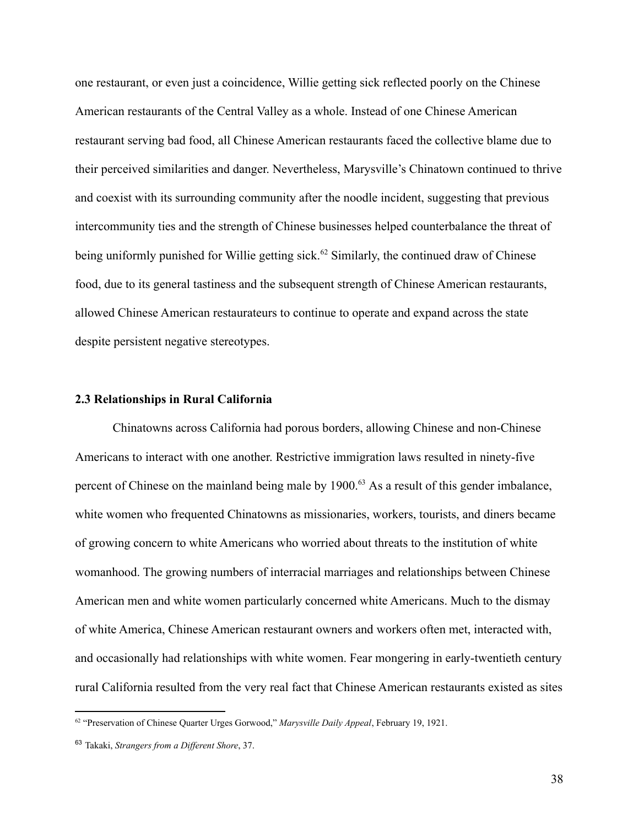one restaurant, or even just a coincidence, Willie getting sick reflected poorly on the Chinese American restaurants of the Central Valley as a whole. Instead of one Chinese American restaurant serving bad food, all Chinese American restaurants faced the collective blame due to their perceived similarities and danger. Nevertheless, Marysville's Chinatown continued to thrive and coexist with its surrounding community after the noodle incident, suggesting that previous intercommunity ties and the strength of Chinese businesses helped counterbalance the threat of being uniformly punished for Willie getting sick.<sup>62</sup> Similarly, the continued draw of Chinese food, due to its general tastiness and the subsequent strength of Chinese American restaurants, allowed Chinese American restaurateurs to continue to operate and expand across the state despite persistent negative stereotypes.

#### **2.3 Relationships in Rural California**

Chinatowns across California had porous borders, allowing Chinese and non-Chinese Americans to interact with one another. Restrictive immigration laws resulted in ninety-five percent of Chinese on the mainland being male by 1900.<sup>63</sup> As a result of this gender imbalance, white women who frequented Chinatowns as missionaries, workers, tourists, and diners became of growing concern to white Americans who worried about threats to the institution of white womanhood. The growing numbers of interracial marriages and relationships between Chinese American men and white women particularly concerned white Americans. Much to the dismay of white America, Chinese American restaurant owners and workers often met, interacted with, and occasionally had relationships with white women. Fear mongering in early-twentieth century rural California resulted from the very real fact that Chinese American restaurants existed as sites

<sup>62</sup> "Preservation of Chinese Quarter Urges Gorwood," *Marysville Daily Appeal*, February 19, 1921.

<sup>63</sup> Takaki, *Strangers from a Different Shore*, 37.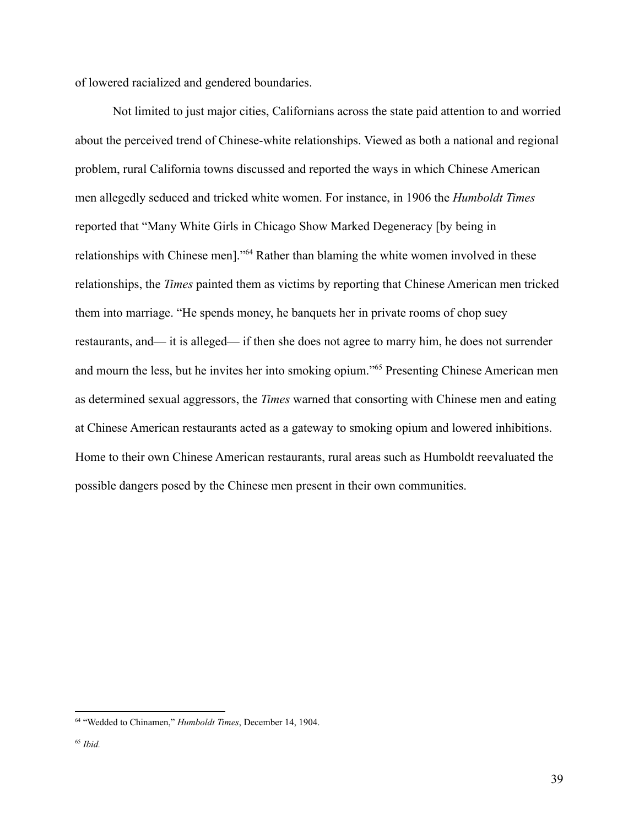of lowered racialized and gendered boundaries.

Not limited to just major cities, Californians across the state paid attention to and worried about the perceived trend of Chinese-white relationships. Viewed as both a national and regional problem, rural California towns discussed and reported the ways in which Chinese American men allegedly seduced and tricked white women. For instance, in 1906 the *Humboldt Times* reported that "Many White Girls in Chicago Show Marked Degeneracy [by being in relationships with Chinese men]."<sup>64</sup> Rather than blaming the white women involved in these relationships, the *Times* painted them as victims by reporting that Chinese American men tricked them into marriage. "He spends money, he banquets her in private rooms of chop suey restaurants, and— it is alleged— if then she does not agree to marry him, he does not surrender and mourn the less, but he invites her into smoking opium."<sup>65</sup> Presenting Chinese American men as determined sexual aggressors, the *Times* warned that consorting with Chinese men and eating at Chinese American restaurants acted as a gateway to smoking opium and lowered inhibitions. Home to their own Chinese American restaurants, rural areas such as Humboldt reevaluated the possible dangers posed by the Chinese men present in their own communities.

<sup>64</sup> "Wedded to Chinamen," *Humboldt Times*, December 14, 1904.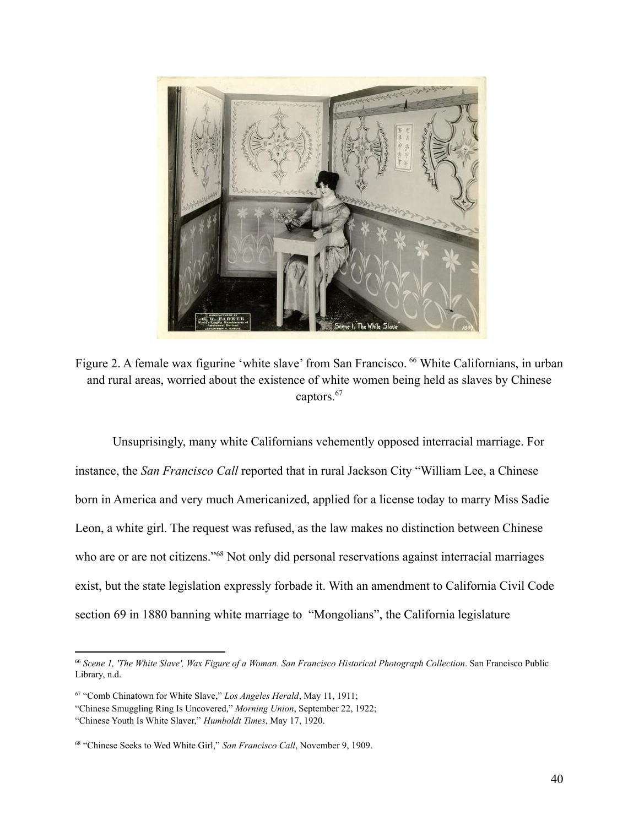

Figure 2. A female wax figurine 'white slave' from San Francisco. <sup>66</sup> White Californians, in urban and rural areas, worried about the existence of white women being held as slaves by Chinese captors.<sup>67</sup>

Unsuprisingly, many white Californians vehemently opposed interracial marriage. For instance, the *San Francisco Call* reported that in rural Jackson City "William Lee, a Chinese born in America and very much Americanized, applied for a license today to marry Miss Sadie Leon, a white girl. The request was refused, as the law makes no distinction between Chinese who are or are not citizens."<sup>68</sup> Not only did personal reservations against interracial marriages exist, but the state legislation expressly forbade it. With an amendment to California Civil Code section 69 in 1880 banning white marriage to "Mongolians", the California legislature

<sup>66</sup> *Scene 1, 'The White Slave', Wax Figure of a Woman*. *San Francisco Historical Photograph Collection*. San Francisco Public Library, n.d.

<sup>67</sup> "Comb Chinatown for White Slave," *Los Angeles Herald*, May 11, 1911;

<sup>&</sup>quot;Chinese Smuggling Ring Is Uncovered," *Morning Union*, September 22, 1922;

<sup>&</sup>quot;Chinese Youth Is White Slaver," *Humboldt Times*, May 17, 1920.

<sup>68</sup> "Chinese Seeks to Wed White Girl," *San Francisco Call*, November 9, 1909.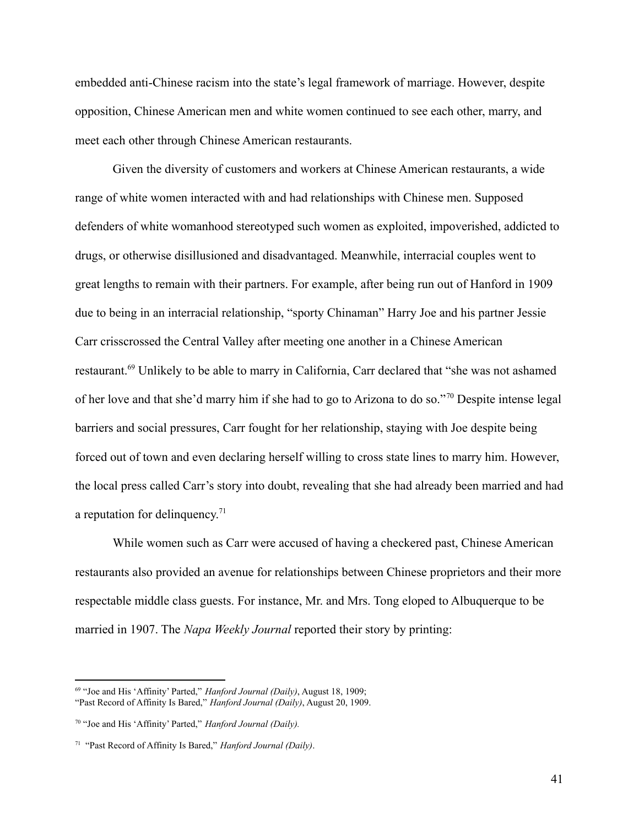embedded anti-Chinese racism into the state's legal framework of marriage. However, despite opposition, Chinese American men and white women continued to see each other, marry, and meet each other through Chinese American restaurants.

Given the diversity of customers and workers at Chinese American restaurants, a wide range of white women interacted with and had relationships with Chinese men. Supposed defenders of white womanhood stereotyped such women as exploited, impoverished, addicted to drugs, or otherwise disillusioned and disadvantaged. Meanwhile, interracial couples went to great lengths to remain with their partners. For example, after being run out of Hanford in 1909 due to being in an interracial relationship, "sporty Chinaman" Harry Joe and his partner Jessie Carr crisscrossed the Central Valley after meeting one another in a Chinese American restaurant.<sup>69</sup> Unlikely to be able to marry in California, Carr declared that "she was not ashamed of her love and that she'd marry him if she had to go to Arizona to do so."<sup>70</sup> Despite intense legal barriers and social pressures, Carr fought for her relationship, staying with Joe despite being forced out of town and even declaring herself willing to cross state lines to marry him. However, the local press called Carr's story into doubt, revealing that she had already been married and had a reputation for delinquency.<sup>71</sup>

While women such as Carr were accused of having a checkered past, Chinese American restaurants also provided an avenue for relationships between Chinese proprietors and their more respectable middle class guests. For instance, Mr. and Mrs. Tong eloped to Albuquerque to be married in 1907. The *Napa Weekly Journal* reported their story by printing:

<sup>69</sup> "Joe and His 'Affinity' Parted," *Hanford Journal (Daily)*, August 18, 1909; "Past Record of Affinity Is Bared," *Hanford Journal (Daily)*, August 20, 1909.

<sup>70</sup> "Joe and His 'Affinity' Parted," *Hanford Journal (Daily).*

<sup>71</sup> "Past Record of Affinity Is Bared," *Hanford Journal (Daily)*.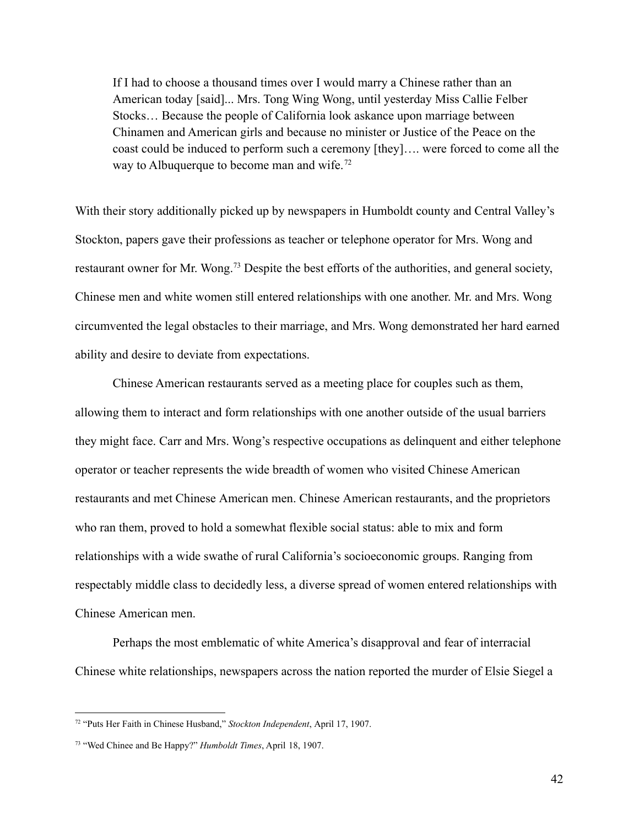If I had to choose a thousand times over I would marry a Chinese rather than an American today [said]... Mrs. Tong Wing Wong, until yesterday Miss Callie Felber Stocks… Because the people of California look askance upon marriage between Chinamen and American girls and because no minister or Justice of the Peace on the coast could be induced to perform such a ceremony [they]…. were forced to come all the way to Albuquerque to become man and wife.<sup>72</sup>

With their story additionally picked up by newspapers in Humboldt county and Central Valley's Stockton, papers gave their professions as teacher or telephone operator for Mrs. Wong and restaurant owner for Mr. Wong.<sup>73</sup> Despite the best efforts of the authorities, and general society, Chinese men and white women still entered relationships with one another. Mr. and Mrs. Wong circumvented the legal obstacles to their marriage, and Mrs. Wong demonstrated her hard earned ability and desire to deviate from expectations.

Chinese American restaurants served as a meeting place for couples such as them, allowing them to interact and form relationships with one another outside of the usual barriers they might face. Carr and Mrs. Wong's respective occupations as delinquent and either telephone operator or teacher represents the wide breadth of women who visited Chinese American restaurants and met Chinese American men. Chinese American restaurants, and the proprietors who ran them, proved to hold a somewhat flexible social status: able to mix and form relationships with a wide swathe of rural California's socioeconomic groups. Ranging from respectably middle class to decidedly less, a diverse spread of women entered relationships with Chinese American men.

Perhaps the most emblematic of white America's disapproval and fear of interracial Chinese white relationships, newspapers across the nation reported the murder of Elsie Siegel a

<sup>72</sup> "Puts Her Faith in Chinese Husband," *Stockton Independent*, April 17, 1907.

<sup>73</sup> "Wed Chinee and Be Happy?" *Humboldt Times*, April 18, 1907.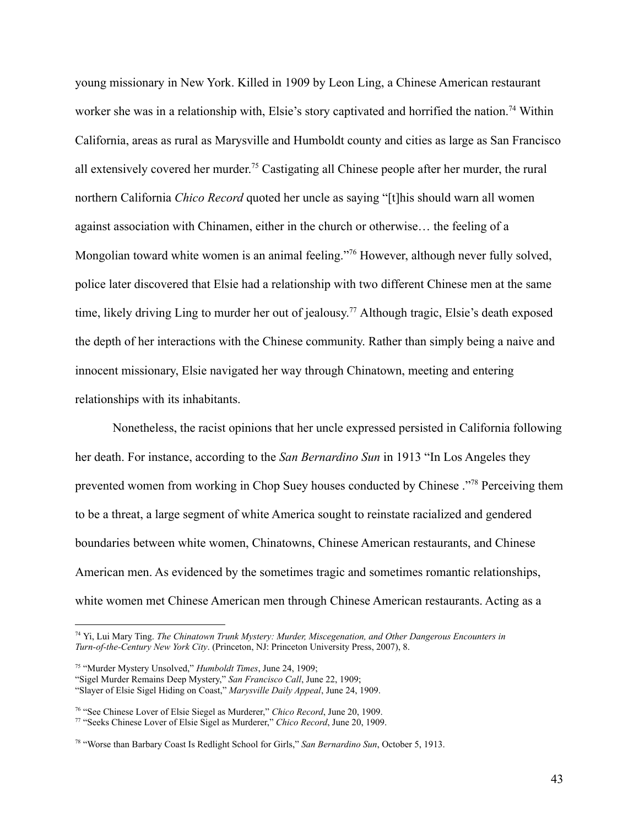young missionary in New York. Killed in 1909 by Leon Ling, a Chinese American restaurant worker she was in a relationship with, Elsie's story captivated and horrified the nation.<sup>74</sup> Within California, areas as rural as Marysville and Humboldt county and cities as large as San Francisco all extensively covered her murder.<sup>75</sup> Castigating all Chinese people after her murder, the rural northern California *Chico Record* quoted her uncle as saying "[t]his should warn all women against association with Chinamen, either in the church or otherwise… the feeling of a Mongolian toward white women is an animal feeling."<sup>76</sup> However, although never fully solved, police later discovered that Elsie had a relationship with two different Chinese men at the same time, likely driving Ling to murder her out of jealousy. <sup>77</sup> Although tragic, Elsie's death exposed the depth of her interactions with the Chinese community. Rather than simply being a naive and innocent missionary, Elsie navigated her way through Chinatown, meeting and entering relationships with its inhabitants.

Nonetheless, the racist opinions that her uncle expressed persisted in California following her death. For instance, according to the *San Bernardino Sun* in 1913 "In Los Angeles they prevented women from working in Chop Suey houses conducted by Chinese ."<sup>78</sup> Perceiving them to be a threat, a large segment of white America sought to reinstate racialized and gendered boundaries between white women, Chinatowns, Chinese American restaurants, and Chinese American men. As evidenced by the sometimes tragic and sometimes romantic relationships, white women met Chinese American men through Chinese American restaurants. Acting as a

<sup>74</sup> Yi, Lui Mary Ting. *The Chinatown Trunk Mystery: Murder, Miscegenation, and Other Dangerous Encounters in Turn-of-the-Century New York City*. (Princeton, NJ: Princeton University Press, 2007), 8.

<sup>75</sup> "Murder Mystery Unsolved," *Humboldt Times*, June 24, 1909;

<sup>&</sup>quot;Sigel Murder Remains Deep Mystery," *San Francisco Call*, June 22, 1909;

<sup>&</sup>quot;Slayer of Elsie Sigel Hiding on Coast," *Marysville Daily Appeal*, June 24, 1909.

<sup>76</sup> "See Chinese Lover of Elsie Siegel as Murderer," *Chico Record*, June 20, 1909.

<sup>77</sup> "Seeks Chinese Lover of Elsie Sigel as Murderer," *Chico Record*, June 20, 1909.

<sup>78</sup> "Worse than Barbary Coast Is Redlight School for Girls," *San Bernardino Sun*, October 5, 1913.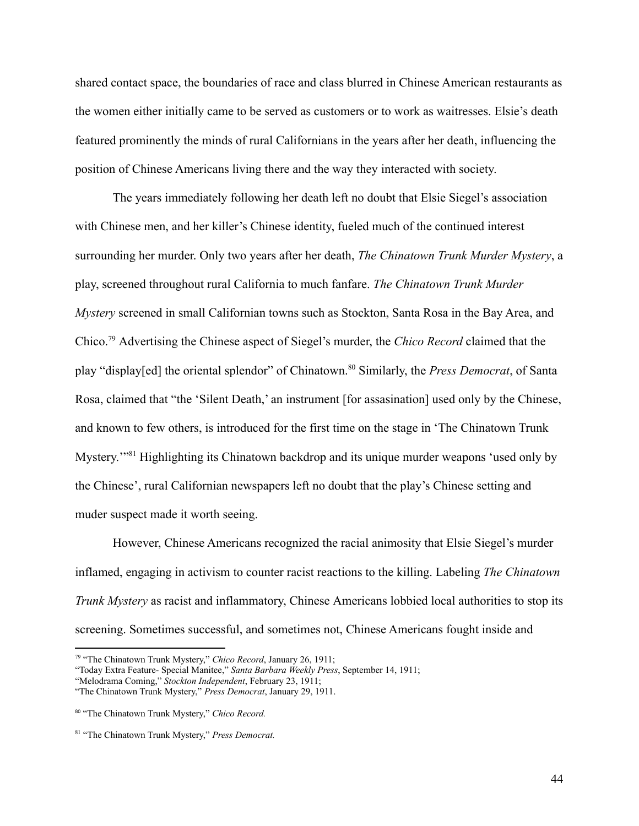shared contact space, the boundaries of race and class blurred in Chinese American restaurants as the women either initially came to be served as customers or to work as waitresses. Elsie's death featured prominently the minds of rural Californians in the years after her death, influencing the position of Chinese Americans living there and the way they interacted with society.

The years immediately following her death left no doubt that Elsie Siegel's association with Chinese men, and her killer's Chinese identity, fueled much of the continued interest surrounding her murder. Only two years after her death, *The Chinatown Trunk Murder Mystery*, a play, screened throughout rural California to much fanfare. *The Chinatown Trunk Murder Mystery* screened in small Californian towns such as Stockton, Santa Rosa in the Bay Area, and Chico.<sup>79</sup> Advertising the Chinese aspect of Siegel's murder, the *Chico Record* claimed that the play "display[ed] the oriental splendor" of Chinatown.<sup>80</sup> Similarly, the *Press Democrat*, of Santa Rosa, claimed that "the 'Silent Death,' an instrument [for assasination] used only by the Chinese, and known to few others, is introduced for the first time on the stage in 'The Chinatown Trunk Mystery.<sup>"81</sup> Highlighting its Chinatown backdrop and its unique murder weapons 'used only by the Chinese', rural Californian newspapers left no doubt that the play's Chinese setting and muder suspect made it worth seeing.

However, Chinese Americans recognized the racial animosity that Elsie Siegel's murder inflamed, engaging in activism to counter racist reactions to the killing. Labeling *The Chinatown Trunk Mystery* as racist and inflammatory, Chinese Americans lobbied local authorities to stop its screening. Sometimes successful, and sometimes not, Chinese Americans fought inside and

<sup>79</sup> "The Chinatown Trunk Mystery," *Chico Record*, January 26, 1911;

<sup>&</sup>quot;Today Extra Feature- Special Manitee," *Santa Barbara Weekly Press*, September 14, 1911;

<sup>&</sup>quot;Melodrama Coming," *Stockton Independent*, February 23, 1911;

<sup>&</sup>quot;The Chinatown Trunk Mystery," *Press Democrat*, January 29, 1911.

<sup>80</sup> "The Chinatown Trunk Mystery," *Chico Record.*

<sup>81</sup> "The Chinatown Trunk Mystery," *Press Democrat.*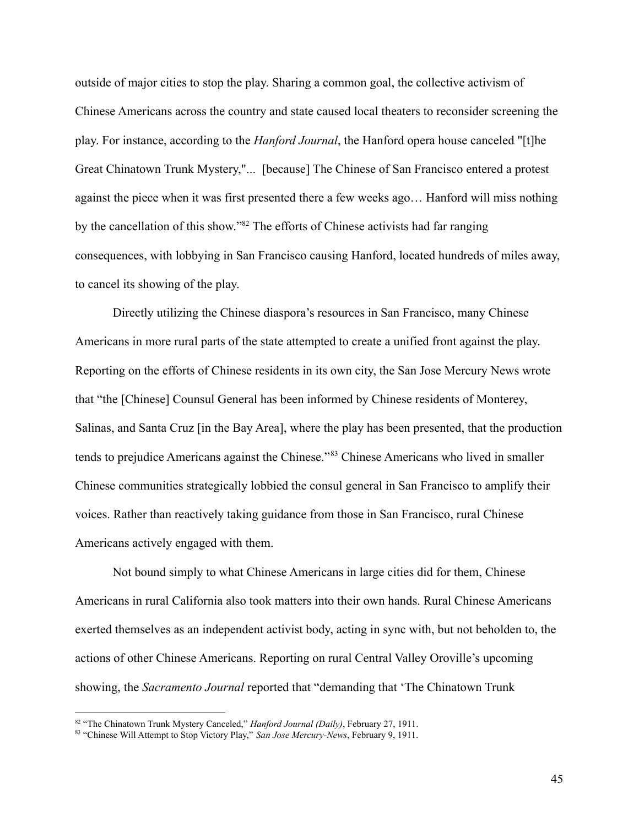outside of major cities to stop the play. Sharing a common goal, the collective activism of Chinese Americans across the country and state caused local theaters to reconsider screening the play. For instance, according to the *Hanford Journal*, the Hanford opera house canceled "[t]he Great Chinatown Trunk Mystery,"... [because] The Chinese of San Francisco entered a protest against the piece when it was first presented there a few weeks ago… Hanford will miss nothing by the cancellation of this show."<sup>82</sup> The efforts of Chinese activists had far ranging consequences, with lobbying in San Francisco causing Hanford, located hundreds of miles away, to cancel its showing of the play.

Directly utilizing the Chinese diaspora's resources in San Francisco, many Chinese Americans in more rural parts of the state attempted to create a unified front against the play. Reporting on the efforts of Chinese residents in its own city, the San Jose Mercury News wrote that "the [Chinese] Counsul General has been informed by Chinese residents of Monterey, Salinas, and Santa Cruz [in the Bay Area], where the play has been presented, that the production tends to prejudice Americans against the Chinese."<sup>83</sup> Chinese Americans who lived in smaller Chinese communities strategically lobbied the consul general in San Francisco to amplify their voices. Rather than reactively taking guidance from those in San Francisco, rural Chinese Americans actively engaged with them.

Not bound simply to what Chinese Americans in large cities did for them, Chinese Americans in rural California also took matters into their own hands. Rural Chinese Americans exerted themselves as an independent activist body, acting in sync with, but not beholden to, the actions of other Chinese Americans. Reporting on rural Central Valley Oroville's upcoming showing, the *Sacramento Journal* reported that "demanding that 'The Chinatown Trunk

<sup>82</sup> "The Chinatown Trunk Mystery Canceled," *Hanford Journal (Daily)*, February 27, 1911.

<sup>83</sup> "Chinese Will Attempt to Stop Victory Play," *San Jose Mercury-News*, February 9, 1911.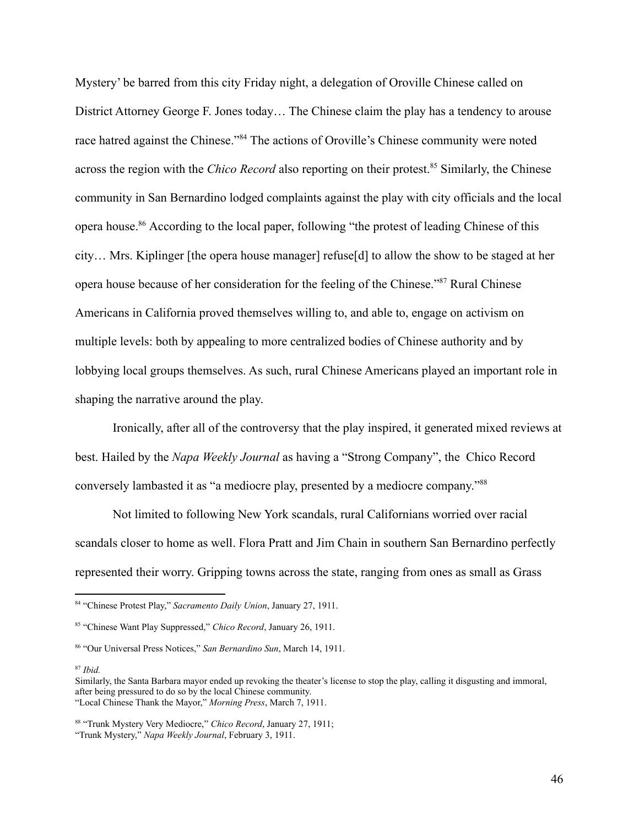Mystery' be barred from this city Friday night, a delegation of Oroville Chinese called on District Attorney George F. Jones today… The Chinese claim the play has a tendency to arouse race hatred against the Chinese."<sup>84</sup> The actions of Oroville's Chinese community were noted across the region with the *Chico Record* also reporting on their protest.<sup>85</sup> Similarly, the Chinese community in San Bernardino lodged complaints against the play with city officials and the local opera house.<sup>86</sup> According to the local paper, following "the protest of leading Chinese of this city… Mrs. Kiplinger [the opera house manager] refuse[d] to allow the show to be staged at her opera house because of her consideration for the feeling of the Chinese."<sup>87</sup> Rural Chinese Americans in California proved themselves willing to, and able to, engage on activism on multiple levels: both by appealing to more centralized bodies of Chinese authority and by lobbying local groups themselves. As such, rural Chinese Americans played an important role in shaping the narrative around the play.

Ironically, after all of the controversy that the play inspired, it generated mixed reviews at best. Hailed by the *Napa Weekly Journal* as having a "Strong Company", the Chico Record conversely lambasted it as "a mediocre play, presented by a mediocre company."<sup>88</sup>

Not limited to following New York scandals, rural Californians worried over racial scandals closer to home as well. Flora Pratt and Jim Chain in southern San Bernardino perfectly represented their worry. Gripping towns across the state, ranging from ones as small as Grass

<sup>84</sup> "Chinese Protest Play," *Sacramento Daily Union*, January 27, 1911.

<sup>85</sup> "Chinese Want Play Suppressed," *Chico Record*, January 26, 1911.

<sup>86</sup> "Our Universal Press Notices," *San Bernardino Sun*, March 14, 1911.

<sup>87</sup> *Ibid.*

Similarly, the Santa Barbara mayor ended up revoking the theater's license to stop the play, calling it disgusting and immoral, after being pressured to do so by the local Chinese community. "Local Chinese Thank the Mayor," *Morning Press*, March 7, 1911.

<sup>88</sup> "Trunk Mystery Very Mediocre," *Chico Record*, January 27, 1911; "Trunk Mystery," *Napa Weekly Journal*, February 3, 1911.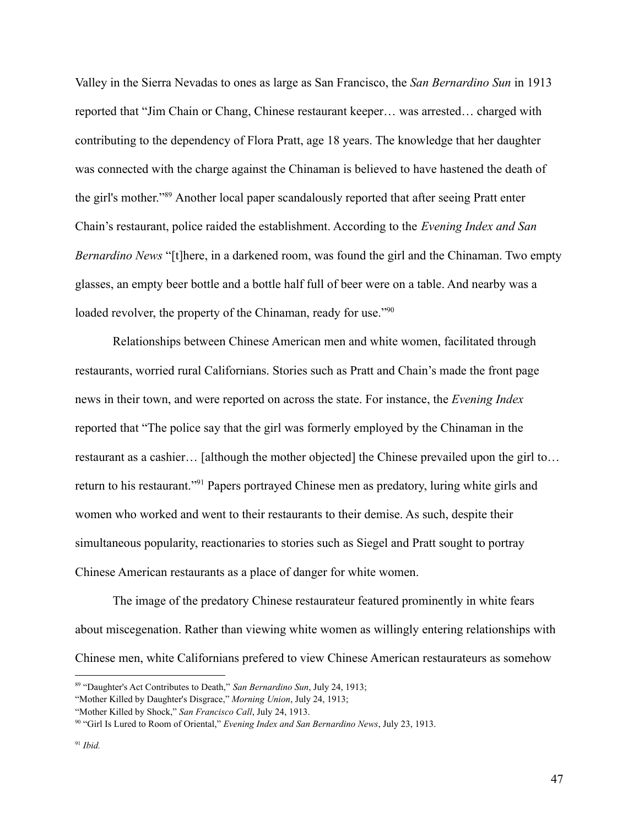Valley in the Sierra Nevadas to ones as large as San Francisco, the *San Bernardino Sun* in 1913 reported that "Jim Chain or Chang, Chinese restaurant keeper… was arrested… charged with contributing to the dependency of Flora Pratt, age 18 years. The knowledge that her daughter was connected with the charge against the Chinaman is believed to have hastened the death of the girl's mother."<sup>89</sup> Another local paper scandalously reported that after seeing Pratt enter Chain's restaurant, police raided the establishment. According to the *Evening Index and San Bernardino News* "[t]here, in a darkened room, was found the girl and the Chinaman. Two empty glasses, an empty beer bottle and a bottle half full of beer were on a table. And nearby was a loaded revolver, the property of the Chinaman, ready for use."<sup>90</sup>

Relationships between Chinese American men and white women, facilitated through restaurants, worried rural Californians. Stories such as Pratt and Chain's made the front page news in their town, and were reported on across the state. For instance, the *Evening Index* reported that "The police say that the girl was formerly employed by the Chinaman in the restaurant as a cashier… [although the mother objected] the Chinese prevailed upon the girl to… return to his restaurant."<sup>91</sup> Papers portrayed Chinese men as predatory, luring white girls and women who worked and went to their restaurants to their demise. As such, despite their simultaneous popularity, reactionaries to stories such as Siegel and Pratt sought to portray Chinese American restaurants as a place of danger for white women.

The image of the predatory Chinese restaurateur featured prominently in white fears about miscegenation. Rather than viewing white women as willingly entering relationships with Chinese men, white Californians prefered to view Chinese American restaurateurs as somehow

<sup>89</sup> "Daughter's Act Contributes to Death," *San Bernardino Sun*, July 24, 1913;

<sup>&</sup>quot;Mother Killed by Daughter's Disgrace," *Morning Union*, July 24, 1913;

<sup>&</sup>quot;Mother Killed by Shock," *San Francisco Call*, July 24, 1913.

<sup>90</sup> "Girl Is Lured to Room of Oriental," *Evening Index and San Bernardino News*, July 23, 1913.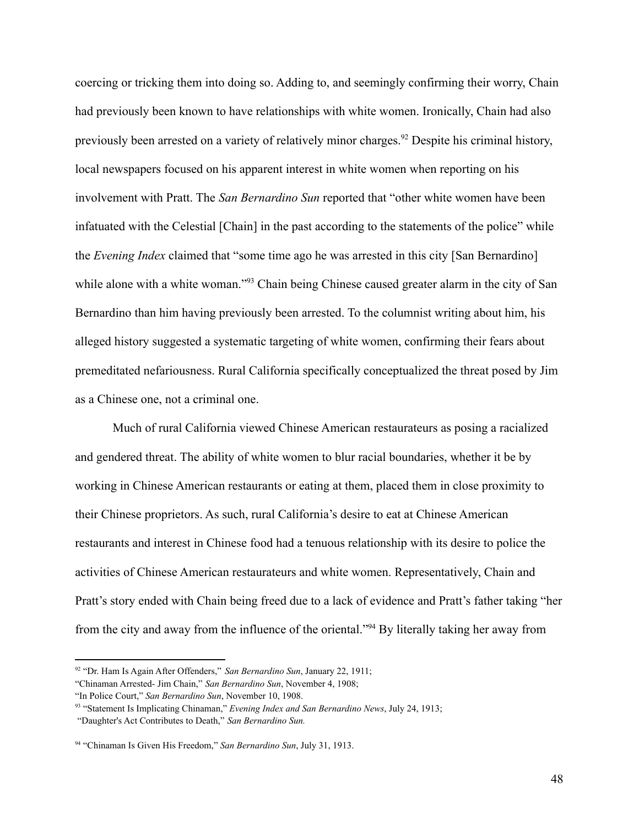coercing or tricking them into doing so. Adding to, and seemingly confirming their worry, Chain had previously been known to have relationships with white women. Ironically, Chain had also previously been arrested on a variety of relatively minor charges.<sup>92</sup> Despite his criminal history, local newspapers focused on his apparent interest in white women when reporting on his involvement with Pratt. The *San Bernardino Sun* reported that "other white women have been infatuated with the Celestial [Chain] in the past according to the statements of the police" while the *Evening Index* claimed that "some time ago he was arrested in this city [San Bernardino] while alone with a white woman."<sup>93</sup> Chain being Chinese caused greater alarm in the city of San Bernardino than him having previously been arrested. To the columnist writing about him, his alleged history suggested a systematic targeting of white women, confirming their fears about premeditated nefariousness. Rural California specifically conceptualized the threat posed by Jim as a Chinese one, not a criminal one.

Much of rural California viewed Chinese American restaurateurs as posing a racialized and gendered threat. The ability of white women to blur racial boundaries, whether it be by working in Chinese American restaurants or eating at them, placed them in close proximity to their Chinese proprietors. As such, rural California's desire to eat at Chinese American restaurants and interest in Chinese food had a tenuous relationship with its desire to police the activities of Chinese American restaurateurs and white women. Representatively, Chain and Pratt's story ended with Chain being freed due to a lack of evidence and Pratt's father taking "her from the city and away from the influence of the oriental."<sup>94</sup> By literally taking her away from

<sup>92</sup> "Dr. Ham Is Again After Offenders," *San Bernardino Sun*, January 22, 1911;

<sup>&</sup>quot;Chinaman Arrested- Jim Chain," *San Bernardino Sun*, November 4, 1908;

<sup>&</sup>quot;In Police Court," *San Bernardino Sun*, November 10, 1908.

<sup>93</sup> "Statement Is Implicating Chinaman," *Evening Index and San Bernardino News*, July 24, 1913;

<sup>&</sup>quot;Daughter's Act Contributes to Death," *San Bernardino Sun.*

<sup>94</sup> "Chinaman Is Given His Freedom," *San Bernardino Sun*, July 31, 1913.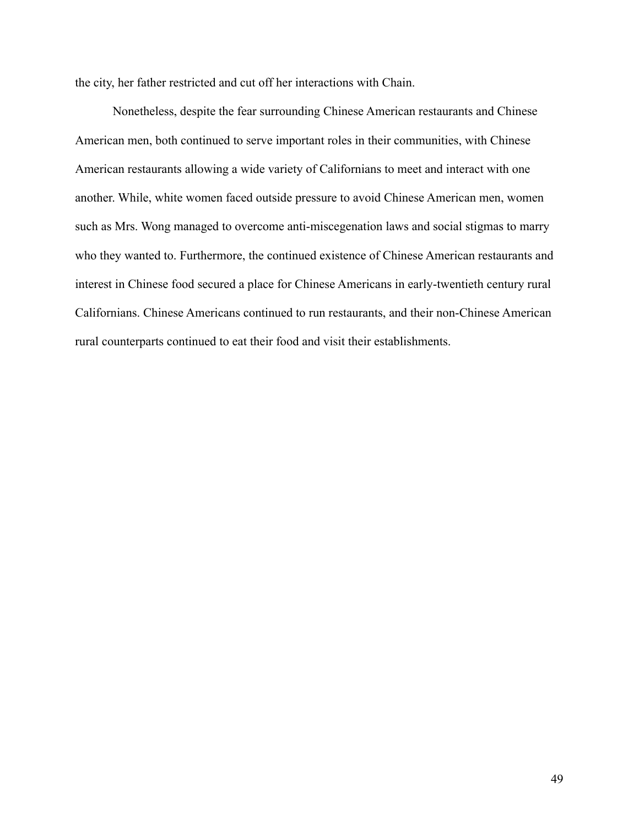the city, her father restricted and cut off her interactions with Chain.

Nonetheless, despite the fear surrounding Chinese American restaurants and Chinese American men, both continued to serve important roles in their communities, with Chinese American restaurants allowing a wide variety of Californians to meet and interact with one another. While, white women faced outside pressure to avoid Chinese American men, women such as Mrs. Wong managed to overcome anti-miscegenation laws and social stigmas to marry who they wanted to. Furthermore, the continued existence of Chinese American restaurants and interest in Chinese food secured a place for Chinese Americans in early-twentieth century rural Californians. Chinese Americans continued to run restaurants, and their non-Chinese American rural counterparts continued to eat their food and visit their establishments.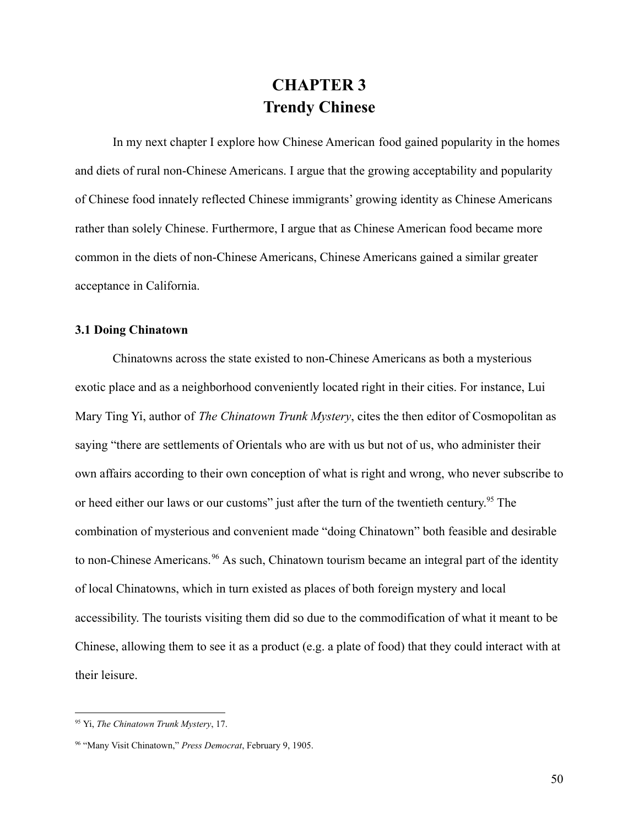# **CHAPTER 3 Trendy Chinese**

In my next chapter I explore how Chinese American food gained popularity in the homes and diets of rural non-Chinese Americans. I argue that the growing acceptability and popularity of Chinese food innately reflected Chinese immigrants' growing identity as Chinese Americans rather than solely Chinese. Furthermore, I argue that as Chinese American food became more common in the diets of non-Chinese Americans, Chinese Americans gained a similar greater acceptance in California.

# **3.1 Doing Chinatown**

Chinatowns across the state existed to non-Chinese Americans as both a mysterious exotic place and as a neighborhood conveniently located right in their cities. For instance, Lui Mary Ting Yi, author of *The Chinatown Trunk Mystery*, cites the then editor of Cosmopolitan as saying "there are settlements of Orientals who are with us but not of us, who administer their own affairs according to their own conception of what is right and wrong, who never subscribe to or heed either our laws or our customs" just after the turn of the twentieth century.<sup>95</sup> The combination of mysterious and convenient made "doing Chinatown" both feasible and desirable to non-Chinese Americans.<sup>96</sup> As such, Chinatown tourism became an integral part of the identity of local Chinatowns, which in turn existed as places of both foreign mystery and local accessibility. The tourists visiting them did so due to the commodification of what it meant to be Chinese, allowing them to see it as a product (e.g. a plate of food) that they could interact with at their leisure.

<sup>95</sup> Yi, *The Chinatown Trunk Mystery*, 17.

<sup>96</sup> "Many Visit Chinatown," *Press Democrat*, February 9, 1905.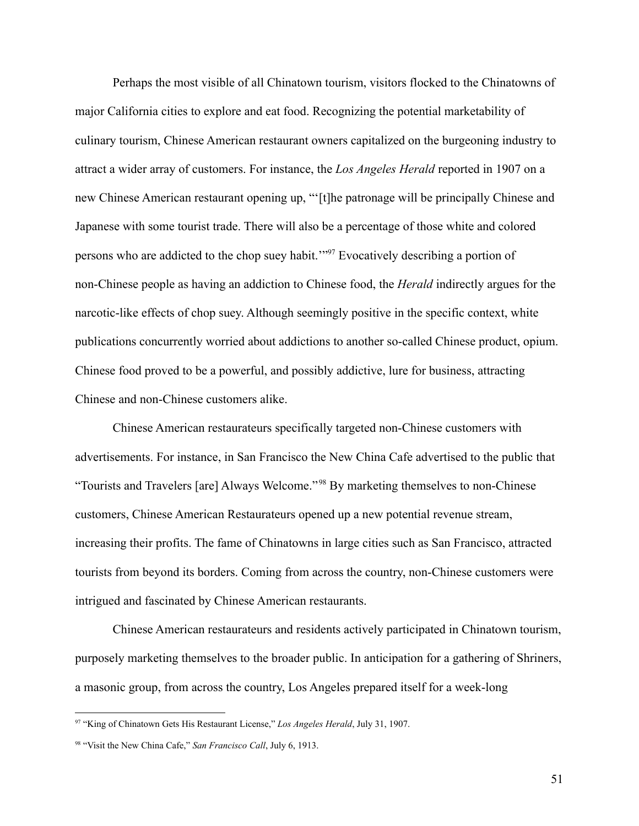Perhaps the most visible of all Chinatown tourism, visitors flocked to the Chinatowns of major California cities to explore and eat food. Recognizing the potential marketability of culinary tourism, Chinese American restaurant owners capitalized on the burgeoning industry to attract a wider array of customers. For instance, the *Los Angeles Herald* reported in 1907 on a new Chinese American restaurant opening up, "'[t]he patronage will be principally Chinese and Japanese with some tourist trade. There will also be a percentage of those white and colored persons who are addicted to the chop suey habit.'"<sup>97</sup> Evocatively describing a portion of non-Chinese people as having an addiction to Chinese food, the *Herald* indirectly argues for the narcotic-like effects of chop suey. Although seemingly positive in the specific context, white publications concurrently worried about addictions to another so-called Chinese product, opium. Chinese food proved to be a powerful, and possibly addictive, lure for business, attracting Chinese and non-Chinese customers alike.

Chinese American restaurateurs specifically targeted non-Chinese customers with advertisements. For instance, in San Francisco the New China Cafe advertised to the public that "Tourists and Travelers [are] Always Welcome." <sup>98</sup> By marketing themselves to non-Chinese customers, Chinese American Restaurateurs opened up a new potential revenue stream, increasing their profits. The fame of Chinatowns in large cities such as San Francisco, attracted tourists from beyond its borders. Coming from across the country, non-Chinese customers were intrigued and fascinated by Chinese American restaurants.

Chinese American restaurateurs and residents actively participated in Chinatown tourism, purposely marketing themselves to the broader public. In anticipation for a gathering of Shriners, a masonic group, from across the country, Los Angeles prepared itself for a week-long

51

<sup>97</sup> "King of Chinatown Gets His Restaurant License," *Los Angeles Herald*, July 31, 1907.

<sup>98</sup> "Visit the New China Cafe," *San Francisco Call*, July 6, 1913.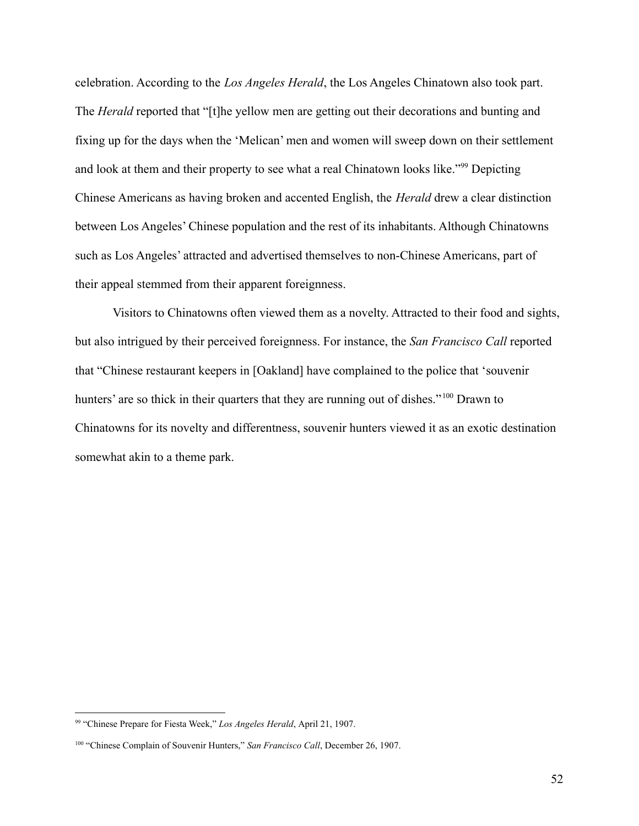celebration. According to the *Los Angeles Herald*, the Los Angeles Chinatown also took part. The *Herald* reported that "[t]he yellow men are getting out their decorations and bunting and fixing up for the days when the 'Melican' men and women will sweep down on their settlement and look at them and their property to see what a real Chinatown looks like."<sup>99</sup> Depicting Chinese Americans as having broken and accented English, the *Herald* drew a clear distinction between Los Angeles' Chinese population and the rest of its inhabitants. Although Chinatowns such as Los Angeles' attracted and advertised themselves to non-Chinese Americans, part of their appeal stemmed from their apparent foreignness.

Visitors to Chinatowns often viewed them as a novelty. Attracted to their food and sights, but also intrigued by their perceived foreignness. For instance, the *San Francisco Call* reported that "Chinese restaurant keepers in [Oakland] have complained to the police that 'souvenir hunters' are so thick in their quarters that they are running out of dishes."<sup>100</sup> Drawn to Chinatowns for its novelty and differentness, souvenir hunters viewed it as an exotic destination somewhat akin to a theme park.

<sup>99</sup> "Chinese Prepare for Fiesta Week," *Los Angeles Herald*, April 21, 1907.

<sup>100</sup> "Chinese Complain of Souvenir Hunters," *San Francisco Call*, December 26, 1907.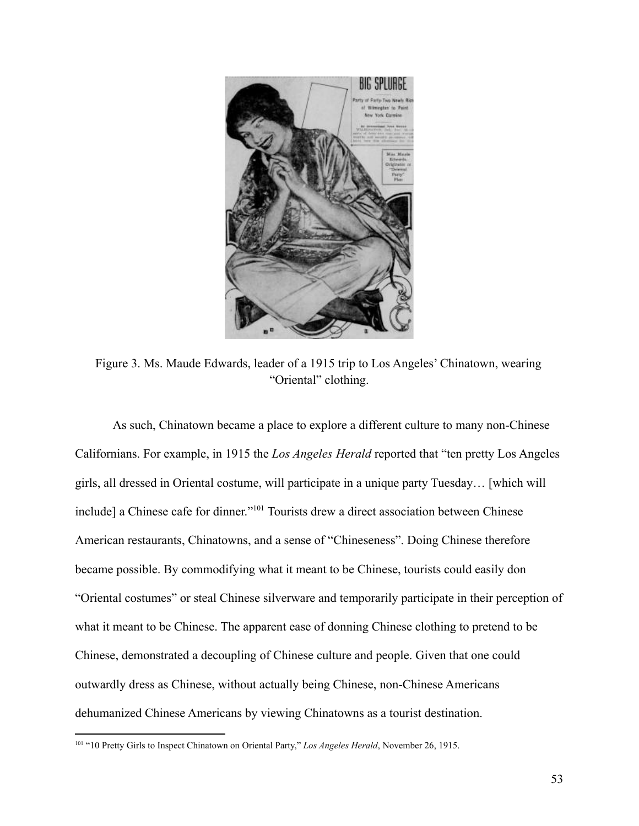

Figure 3. Ms. Maude Edwards, leader of a 1915 trip to Los Angeles' Chinatown, wearing "Oriental" clothing.

As such, Chinatown became a place to explore a different culture to many non-Chinese Californians. For example, in 1915 the *Los Angeles Herald* reported that "ten pretty Los Angeles girls, all dressed in Oriental costume, will participate in a unique party Tuesday… [which will include] a Chinese cafe for dinner."<sup>101</sup> Tourists drew a direct association between Chinese American restaurants, Chinatowns, and a sense of "Chineseness". Doing Chinese therefore became possible. By commodifying what it meant to be Chinese, tourists could easily don "Oriental costumes" or steal Chinese silverware and temporarily participate in their perception of what it meant to be Chinese. The apparent ease of donning Chinese clothing to pretend to be Chinese, demonstrated a decoupling of Chinese culture and people. Given that one could outwardly dress as Chinese, without actually being Chinese, non-Chinese Americans dehumanized Chinese Americans by viewing Chinatowns as a tourist destination.

<sup>101</sup> "10 Pretty Girls to Inspect Chinatown on Oriental Party," *Los Angeles Herald*, November 26, 1915.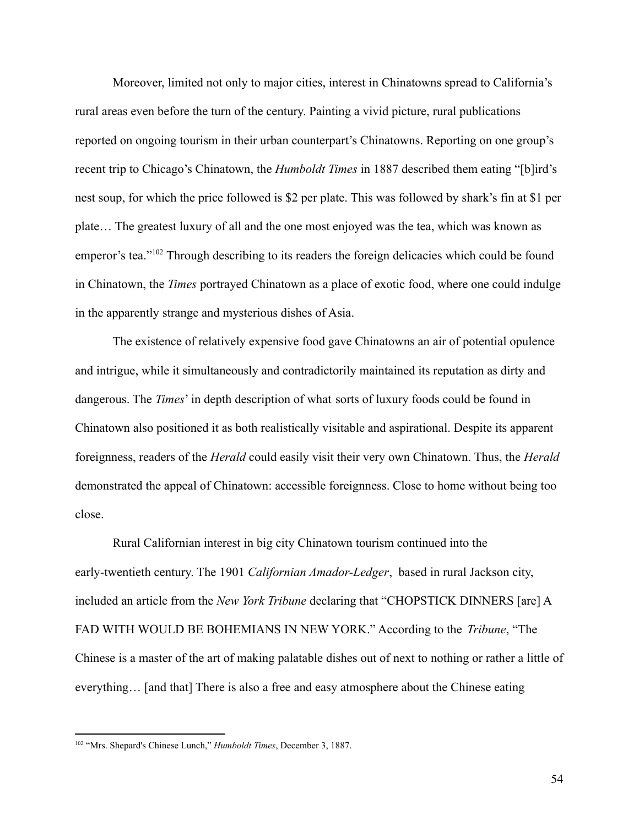Moreover, limited not only to major cities, interest in Chinatowns spread to California's rural areas even before the turn of the century. Painting a vivid picture, rural publications reported on ongoing tourism in their urban counterpart's Chinatowns. Reporting on one group's recent trip to Chicago's Chinatown, the *Humboldt Times* in 1887 described them eating "[b]ird's nest soup, for which the price followed is \$2 per plate. This was followed by shark's fin at \$1 per plate… The greatest luxury of all and the one most enjoyed was the tea, which was known as emperor's tea."<sup>102</sup> Through describing to its readers the foreign delicacies which could be found in Chinatown, the *Times* portrayed Chinatown as a place of exotic food, where one could indulge in the apparently strange and mysterious dishes of Asia.

The existence of relatively expensive food gave Chinatowns an air of potential opulence and intrigue, while it simultaneously and contradictorily maintained its reputation as dirty and dangerous. The *Times*' in depth description of what sorts of luxury foods could be found in Chinatown also positioned it as both realistically visitable and aspirational. Despite its apparent foreignness, readers of the *Herald* could easily visit their very own Chinatown. Thus, the *Herald* demonstrated the appeal of Chinatown: accessible foreignness. Close to home without being too close.

Rural Californian interest in big city Chinatown tourism continued into the early-twentieth century. The 1901 *Californian Amador-Ledger*, based in rural Jackson city, included an article from the *New York Tribune* declaring that "CHOPSTICK DINNERS [are] A FAD WITH WOULD BE BOHEMIANS IN NEW YORK." According to the *Tribune*, "The Chinese is a master of the art of making palatable dishes out of next to nothing or rather a little of everything… [and that] There is also a free and easy atmosphere about the Chinese eating

<sup>102</sup> "Mrs. Shepard's Chinese Lunch," *Humboldt Times*, December 3, 1887.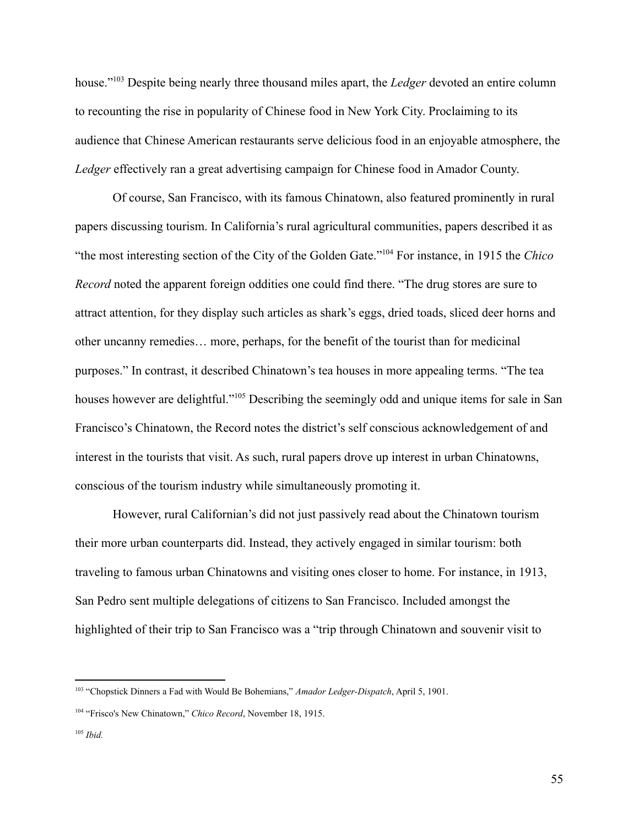house."<sup>103</sup> Despite being nearly three thousand miles apart, the *Ledger* devoted an entire column to recounting the rise in popularity of Chinese food in New York City. Proclaiming to its audience that Chinese American restaurants serve delicious food in an enjoyable atmosphere, the *Ledger* effectively ran a great advertising campaign for Chinese food in Amador County.

Of course, San Francisco, with its famous Chinatown, also featured prominently in rural papers discussing tourism. In California's rural agricultural communities, papers described it as "the most interesting section of the City of the Golden Gate."<sup>104</sup> For instance, in 1915 the *Chico Record* noted the apparent foreign oddities one could find there. "The drug stores are sure to attract attention, for they display such articles as shark's eggs, dried toads, sliced deer horns and other uncanny remedies… more, perhaps, for the benefit of the tourist than for medicinal purposes." In contrast, it described Chinatown's tea houses in more appealing terms. "The tea houses however are delightful."<sup>105</sup> Describing the seemingly odd and unique items for sale in San Francisco's Chinatown, the Record notes the district's self conscious acknowledgement of and interest in the tourists that visit. As such, rural papers drove up interest in urban Chinatowns, conscious of the tourism industry while simultaneously promoting it.

However, rural Californian's did not just passively read about the Chinatown tourism their more urban counterparts did. Instead, they actively engaged in similar tourism: both traveling to famous urban Chinatowns and visiting ones closer to home. For instance, in 1913, San Pedro sent multiple delegations of citizens to San Francisco. Included amongst the highlighted of their trip to San Francisco was a "trip through Chinatown and souvenir visit to

<sup>103</sup> "Chopstick Dinners a Fad with Would Be Bohemians," *Amador Ledger-Dispatch*, April 5, 1901.

<sup>104</sup> "Frisco's New Chinatown," *Chico Record*, November 18, 1915.

<sup>105</sup> *Ibid.*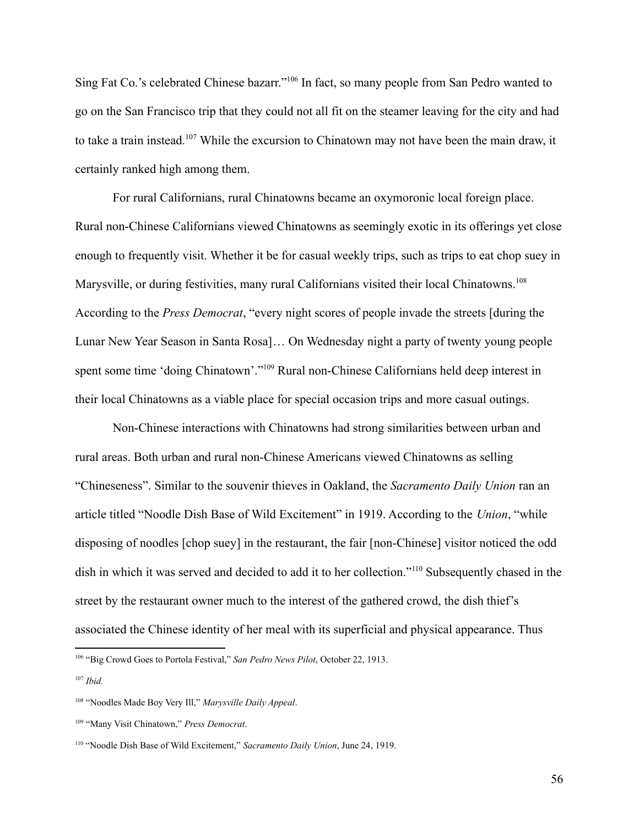Sing Fat Co.'s celebrated Chinese bazarr."<sup>106</sup> In fact, so many people from San Pedro wanted to go on the San Francisco trip that they could not all fit on the steamer leaving for the city and had to take a train instead.<sup>107</sup> While the excursion to Chinatown may not have been the main draw, it certainly ranked high among them.

For rural Californians, rural Chinatowns became an oxymoronic local foreign place. Rural non-Chinese Californians viewed Chinatowns as seemingly exotic in its offerings yet close enough to frequently visit. Whether it be for casual weekly trips, such as trips to eat chop suey in Marysville, or during festivities, many rural Californians visited their local Chinatowns.<sup>108</sup> According to the *Press Democrat*, "every night scores of people invade the streets [during the Lunar New Year Season in Santa Rosa]… On Wednesday night a party of twenty young people spent some time 'doing Chinatown'."<sup>109</sup> Rural non-Chinese Californians held deep interest in their local Chinatowns as a viable place for special occasion trips and more casual outings.

Non-Chinese interactions with Chinatowns had strong similarities between urban and rural areas. Both urban and rural non-Chinese Americans viewed Chinatowns as selling "Chineseness". Similar to the souvenir thieves in Oakland, the *Sacramento Daily Union* ran an article titled "Noodle Dish Base of Wild Excitement" in 1919. According to the *Union*, "while disposing of noodles [chop suey] in the restaurant, the fair [non-Chinese] visitor noticed the odd dish in which it was served and decided to add it to her collection."<sup>110</sup> Subsequently chased in the street by the restaurant owner much to the interest of the gathered crowd, the dish thief's associated the Chinese identity of her meal with its superficial and physical appearance. Thus

<sup>106</sup> "Big Crowd Goes to Portola Festival," *San Pedro News Pilot*, October 22, 1913.

<sup>107</sup> *Ibid.*

<sup>108</sup> "Noodles Made Boy Very Ill," *Marysville Daily Appeal*.

<sup>109</sup> "Many Visit Chinatown," *Press Democrat*.

<sup>110</sup> "Noodle Dish Base of Wild Excitement," *Sacramento Daily Union*, June 24, 1919.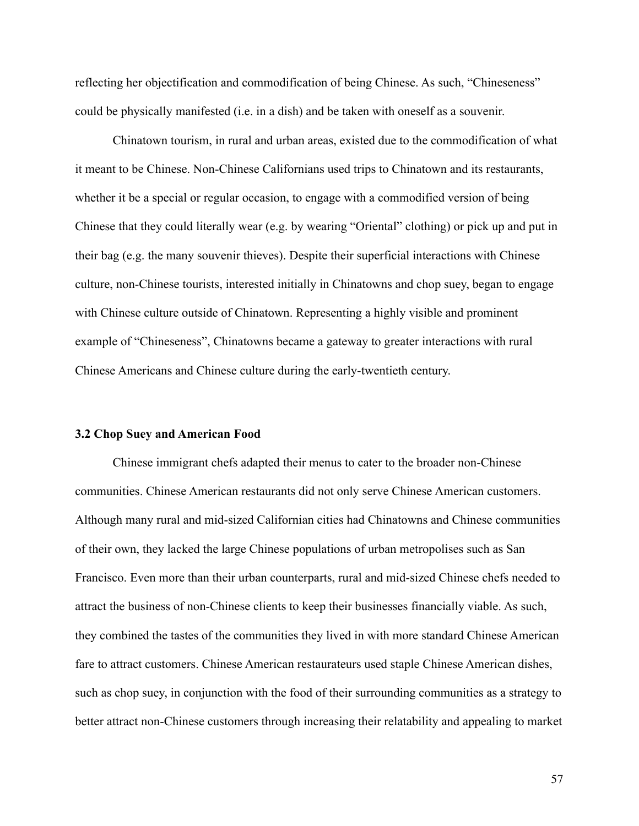reflecting her objectification and commodification of being Chinese. As such, "Chineseness" could be physically manifested (i.e. in a dish) and be taken with oneself as a souvenir.

Chinatown tourism, in rural and urban areas, existed due to the commodification of what it meant to be Chinese. Non-Chinese Californians used trips to Chinatown and its restaurants, whether it be a special or regular occasion, to engage with a commodified version of being Chinese that they could literally wear (e.g. by wearing "Oriental" clothing) or pick up and put in their bag (e.g. the many souvenir thieves). Despite their superficial interactions with Chinese culture, non-Chinese tourists, interested initially in Chinatowns and chop suey, began to engage with Chinese culture outside of Chinatown. Representing a highly visible and prominent example of "Chineseness", Chinatowns became a gateway to greater interactions with rural Chinese Americans and Chinese culture during the early-twentieth century.

#### **3.2 Chop Suey and American Food**

Chinese immigrant chefs adapted their menus to cater to the broader non-Chinese communities. Chinese American restaurants did not only serve Chinese American customers. Although many rural and mid-sized Californian cities had Chinatowns and Chinese communities of their own, they lacked the large Chinese populations of urban metropolises such as San Francisco. Even more than their urban counterparts, rural and mid-sized Chinese chefs needed to attract the business of non-Chinese clients to keep their businesses financially viable. As such, they combined the tastes of the communities they lived in with more standard Chinese American fare to attract customers. Chinese American restaurateurs used staple Chinese American dishes, such as chop suey, in conjunction with the food of their surrounding communities as a strategy to better attract non-Chinese customers through increasing their relatability and appealing to market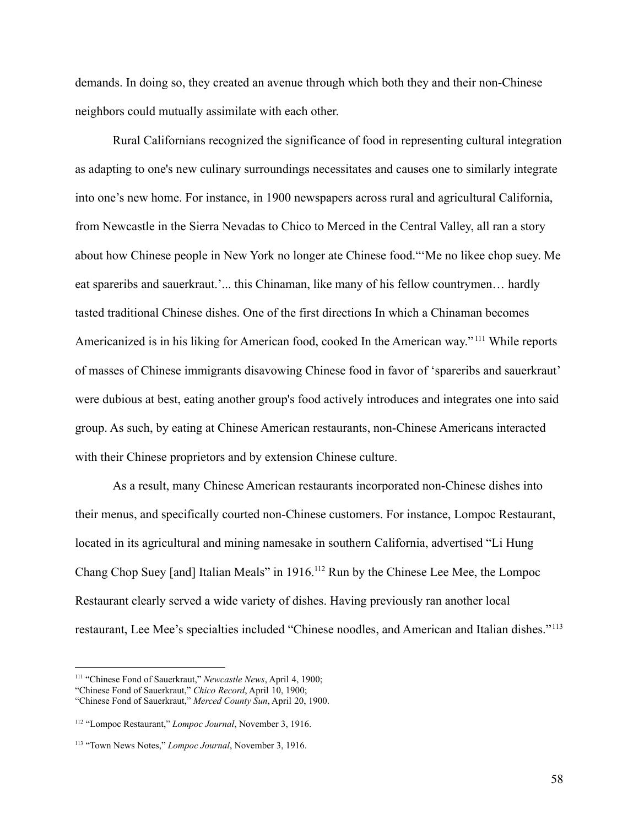demands. In doing so, they created an avenue through which both they and their non-Chinese neighbors could mutually assimilate with each other.

Rural Californians recognized the significance of food in representing cultural integration as adapting to one's new culinary surroundings necessitates and causes one to similarly integrate into one's new home. For instance, in 1900 newspapers across rural and agricultural California, from Newcastle in the Sierra Nevadas to Chico to Merced in the Central Valley, all ran a story about how Chinese people in New York no longer ate Chinese food."'Me no likee chop suey. Me eat spareribs and sauerkraut.'... this Chinaman, like many of his fellow countrymen… hardly tasted traditional Chinese dishes. One of the first directions In which a Chinaman becomes Americanized is in his liking for American food, cooked In the American way." <sup>111</sup> While reports of masses of Chinese immigrants disavowing Chinese food in favor of 'spareribs and sauerkraut' were dubious at best, eating another group's food actively introduces and integrates one into said group. As such, by eating at Chinese American restaurants, non-Chinese Americans interacted with their Chinese proprietors and by extension Chinese culture.

As a result, many Chinese American restaurants incorporated non-Chinese dishes into their menus, and specifically courted non-Chinese customers. For instance, Lompoc Restaurant, located in its agricultural and mining namesake in southern California, advertised "Li Hung Chang Chop Suey [and] Italian Meals" in 1916.<sup>112</sup> Run by the Chinese Lee Mee, the Lompoc Restaurant clearly served a wide variety of dishes. Having previously ran another local restaurant, Lee Mee's specialties included "Chinese noodles, and American and Italian dishes."<sup>113</sup>

<sup>111</sup> "Chinese Fond of Sauerkraut," *Newcastle News*, April 4, 1900;

<sup>&</sup>quot;Chinese Fond of Sauerkraut," *Chico Record*, April 10, 1900;

<sup>&</sup>quot;Chinese Fond of Sauerkraut," *Merced County Sun*, April 20, 1900.

<sup>112</sup> "Lompoc Restaurant," *Lompoc Journal*, November 3, 1916.

<sup>113</sup> "Town News Notes," *Lompoc Journal*, November 3, 1916.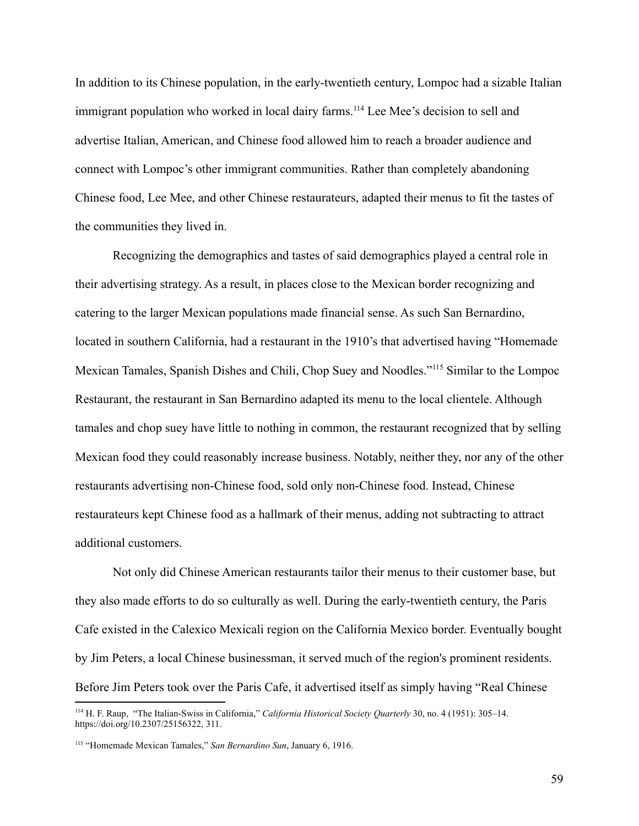In addition to its Chinese population, in the early-twentieth century, Lompoc had a sizable Italian immigrant population who worked in local dairy farms.<sup>114</sup> Lee Mee's decision to sell and advertise Italian, American, and Chinese food allowed him to reach a broader audience and connect with Lompoc's other immigrant communities. Rather than completely abandoning Chinese food, Lee Mee, and other Chinese restaurateurs, adapted their menus to fit the tastes of the communities they lived in.

Recognizing the demographics and tastes of said demographics played a central role in their advertising strategy. As a result, in places close to the Mexican border recognizing and catering to the larger Mexican populations made financial sense. As such San Bernardino, located in southern California, had a restaurant in the 1910's that advertised having "Homemade Mexican Tamales, Spanish Dishes and Chili, Chop Suey and Noodles."<sup>115</sup> Similar to the Lompoc Restaurant, the restaurant in San Bernardino adapted its menu to the local clientele. Although tamales and chop suey have little to nothing in common, the restaurant recognized that by selling Mexican food they could reasonably increase business. Notably, neither they, nor any of the other restaurants advertising non-Chinese food, sold only non-Chinese food. Instead, Chinese restaurateurs kept Chinese food as a hallmark of their menus, adding not subtracting to attract additional customers.

Not only did Chinese American restaurants tailor their menus to their customer base, but they also made efforts to do so culturally as well. During the early-twentieth century, the Paris Cafe existed in the Calexico Mexicali region on the California Mexico border. Eventually bought by Jim Peters, a local Chinese businessman, it served much of the region's prominent residents. Before Jim Peters took over the Paris Cafe, it advertised itself as simply having "Real Chinese

<sup>114</sup> H. F. Raup, "The Italian-Swiss in California," *California Historical Society Quarterly* 30, no. 4 (1951): 305–14. https://doi.org/10.2307/25156322, 311.

<sup>115</sup> "Homemade Mexican Tamales," *San Bernardino Sun*, January 6, 1916.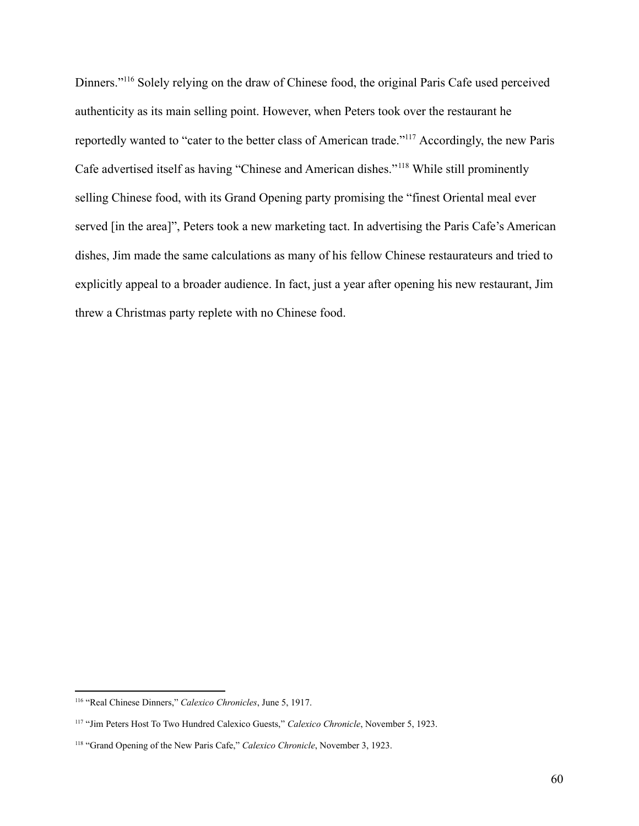Dinners."<sup>116</sup> Solely relying on the draw of Chinese food, the original Paris Cafe used perceived authenticity as its main selling point. However, when Peters took over the restaurant he reportedly wanted to "cater to the better class of American trade."<sup>117</sup> Accordingly, the new Paris Cafe advertised itself as having "Chinese and American dishes."<sup>118</sup> While still prominently selling Chinese food, with its Grand Opening party promising the "finest Oriental meal ever served [in the area]", Peters took a new marketing tact. In advertising the Paris Cafe's American dishes, Jim made the same calculations as many of his fellow Chinese restaurateurs and tried to explicitly appeal to a broader audience. In fact, just a year after opening his new restaurant, Jim threw a Christmas party replete with no Chinese food.

<sup>116</sup> "Real Chinese Dinners," *Calexico Chronicles*, June 5, 1917.

<sup>117</sup> "Jim Peters Host To Two Hundred Calexico Guests," *Calexico Chronicle*, November 5, 1923.

<sup>118</sup> "Grand Opening of the New Paris Cafe," *Calexico Chronicle*, November 3, 1923.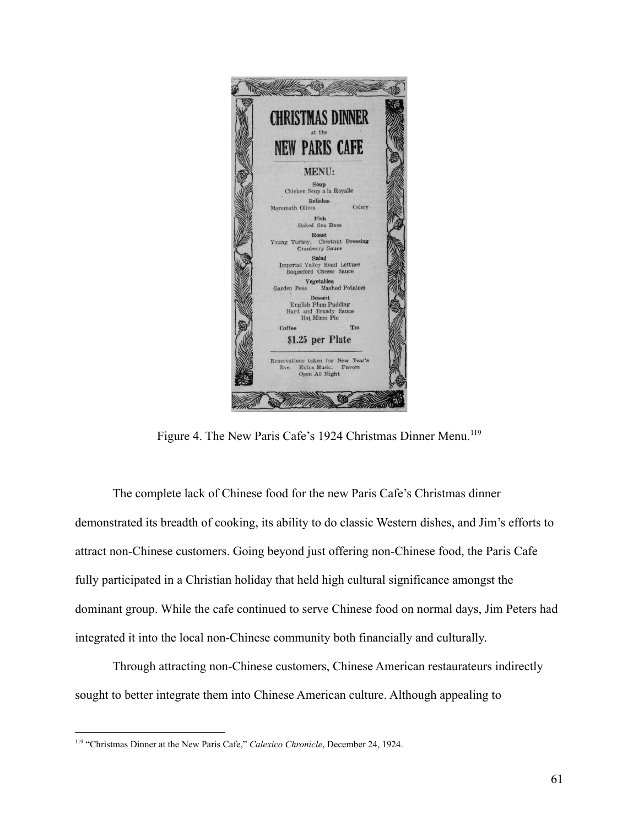

Figure 4. The New Paris Cafe's 1924 Christmas Dinner Menu.<sup>119</sup>

The complete lack of Chinese food for the new Paris Cafe's Christmas dinner demonstrated its breadth of cooking, its ability to do classic Western dishes, and Jim's efforts to attract non-Chinese customers. Going beyond just offering non-Chinese food, the Paris Cafe fully participated in a Christian holiday that held high cultural significance amongst the dominant group. While the cafe continued to serve Chinese food on normal days, Jim Peters had integrated it into the local non-Chinese community both financially and culturally.

Through attracting non-Chinese customers, Chinese American restaurateurs indirectly sought to better integrate them into Chinese American culture. Although appealing to

<sup>119</sup> "Christmas Dinner at the New Paris Cafe," *Calexico Chronicle*, December 24, 1924.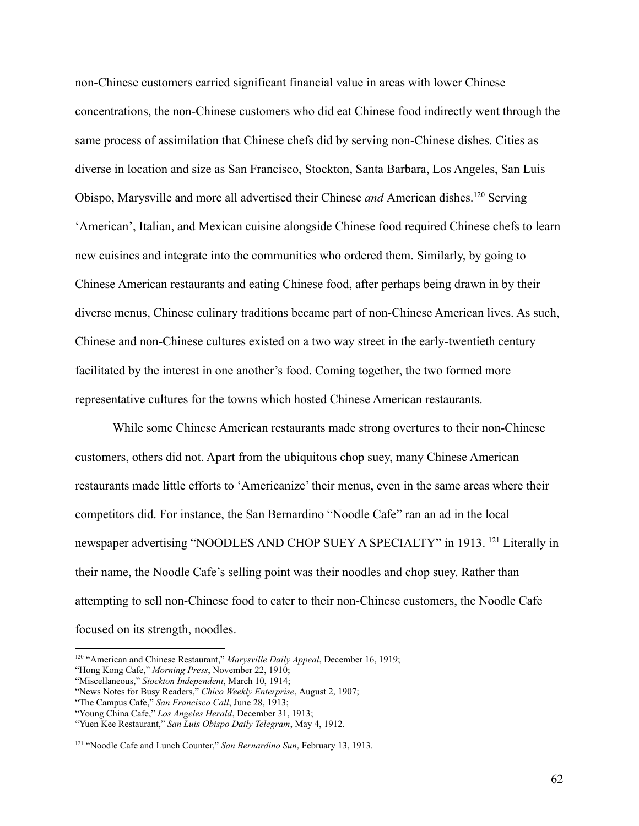non-Chinese customers carried significant financial value in areas with lower Chinese concentrations, the non-Chinese customers who did eat Chinese food indirectly went through the same process of assimilation that Chinese chefs did by serving non-Chinese dishes. Cities as diverse in location and size as San Francisco, Stockton, Santa Barbara, Los Angeles, San Luis Obispo, Marysville and more all advertised their Chinese *and* American dishes.<sup>120</sup> Serving 'American', Italian, and Mexican cuisine alongside Chinese food required Chinese chefs to learn new cuisines and integrate into the communities who ordered them. Similarly, by going to Chinese American restaurants and eating Chinese food, after perhaps being drawn in by their diverse menus, Chinese culinary traditions became part of non-Chinese American lives. As such, Chinese and non-Chinese cultures existed on a two way street in the early-twentieth century facilitated by the interest in one another's food. Coming together, the two formed more representative cultures for the towns which hosted Chinese American restaurants.

While some Chinese American restaurants made strong overtures to their non-Chinese customers, others did not. Apart from the ubiquitous chop suey, many Chinese American restaurants made little efforts to 'Americanize' their menus, even in the same areas where their competitors did. For instance, the San Bernardino "Noodle Cafe" ran an ad in the local newspaper advertising "NOODLES AND CHOP SUEY A SPECIALTY" in 1913. <sup>121</sup> Literally in their name, the Noodle Cafe's selling point was their noodles and chop suey. Rather than attempting to sell non-Chinese food to cater to their non-Chinese customers, the Noodle Cafe focused on its strength, noodles.

<sup>120</sup> "American and Chinese Restaurant," *Marysville Daily Appeal*, December 16, 1919;

<sup>&</sup>quot;Hong Kong Cafe," *Morning Press*, November 22, 1910;

<sup>&</sup>quot;Miscellaneous," *Stockton Independent*, March 10, 1914;

<sup>&</sup>quot;News Notes for Busy Readers," *Chico Weekly Enterprise*, August 2, 1907;

<sup>&</sup>quot;The Campus Cafe," *San Francisco Call*, June 28, 1913;

<sup>&</sup>quot;Young China Cafe," *Los Angeles Herald*, December 31, 1913;

<sup>&</sup>quot;Yuen Kee Restaurant," *San Luis Obispo Daily Telegram*, May 4, 1912.

<sup>121</sup> "Noodle Cafe and Lunch Counter," *San Bernardino Sun*, February 13, 1913.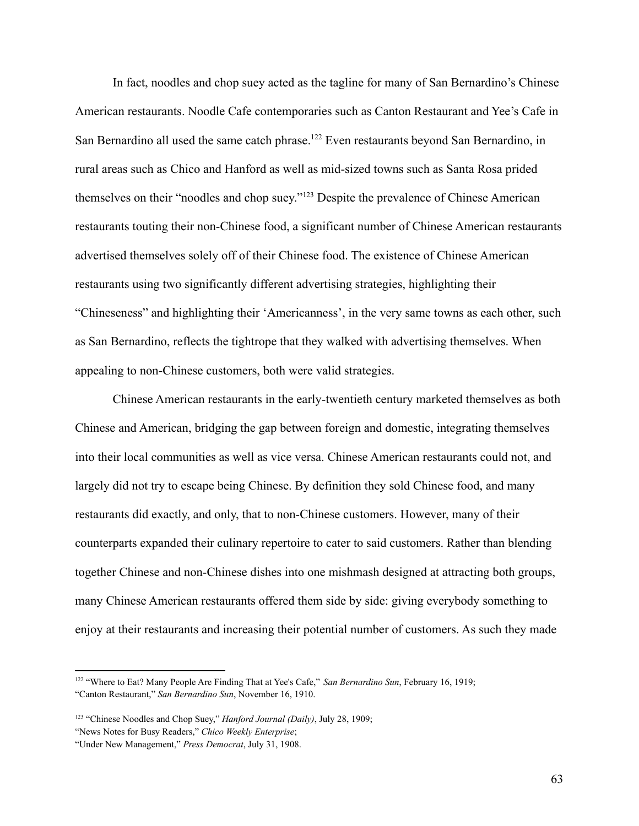In fact, noodles and chop suey acted as the tagline for many of San Bernardino's Chinese American restaurants. Noodle Cafe contemporaries such as Canton Restaurant and Yee's Cafe in San Bernardino all used the same catch phrase.<sup>122</sup> Even restaurants beyond San Bernardino, in rural areas such as Chico and Hanford as well as mid-sized towns such as Santa Rosa prided themselves on their "noodles and chop suey."<sup>123</sup> Despite the prevalence of Chinese American restaurants touting their non-Chinese food, a significant number of Chinese American restaurants advertised themselves solely off of their Chinese food. The existence of Chinese American restaurants using two significantly different advertising strategies, highlighting their "Chineseness" and highlighting their 'Americanness', in the very same towns as each other, such as San Bernardino, reflects the tightrope that they walked with advertising themselves. When appealing to non-Chinese customers, both were valid strategies.

Chinese American restaurants in the early-twentieth century marketed themselves as both Chinese and American, bridging the gap between foreign and domestic, integrating themselves into their local communities as well as vice versa. Chinese American restaurants could not, and largely did not try to escape being Chinese. By definition they sold Chinese food, and many restaurants did exactly, and only, that to non-Chinese customers. However, many of their counterparts expanded their culinary repertoire to cater to said customers. Rather than blending together Chinese and non-Chinese dishes into one mishmash designed at attracting both groups, many Chinese American restaurants offered them side by side: giving everybody something to enjoy at their restaurants and increasing their potential number of customers. As such they made

<sup>122</sup> "Where to Eat? Many People Are Finding That at Yee's Cafe," *San Bernardino Sun*, February 16, 1919; "Canton Restaurant," *San Bernardino Sun*, November 16, 1910.

<sup>123</sup> "Chinese Noodles and Chop Suey," *Hanford Journal (Daily)*, July 28, 1909;

<sup>&</sup>quot;News Notes for Busy Readers," *Chico Weekly Enterprise*;

<sup>&</sup>quot;Under New Management," *Press Democrat*, July 31, 1908.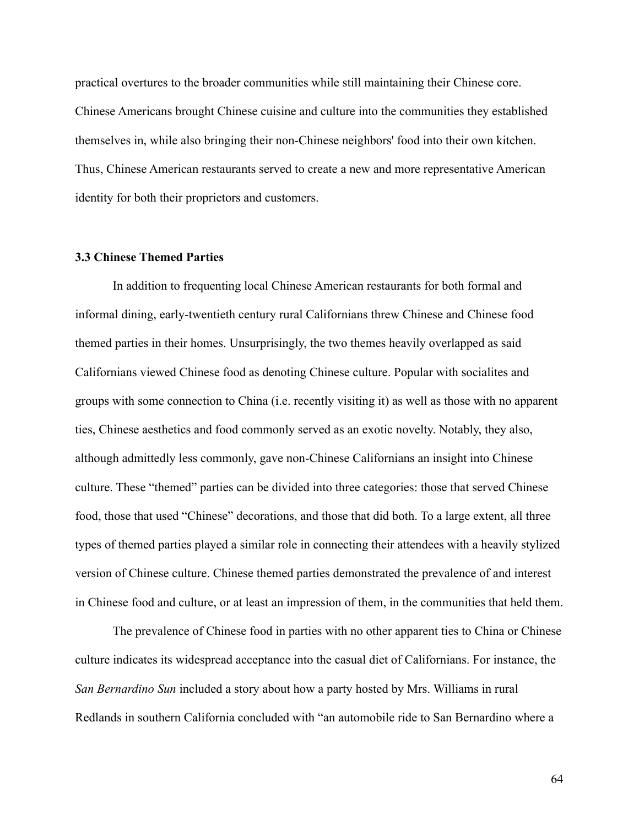practical overtures to the broader communities while still maintaining their Chinese core. Chinese Americans brought Chinese cuisine and culture into the communities they established themselves in, while also bringing their non-Chinese neighbors' food into their own kitchen. Thus, Chinese American restaurants served to create a new and more representative American identity for both their proprietors and customers.

### **3.3 Chinese Themed Parties**

In addition to frequenting local Chinese American restaurants for both formal and informal dining, early-twentieth century rural Californians threw Chinese and Chinese food themed parties in their homes. Unsurprisingly, the two themes heavily overlapped as said Californians viewed Chinese food as denoting Chinese culture. Popular with socialites and groups with some connection to China (i.e. recently visiting it) as well as those with no apparent ties, Chinese aesthetics and food commonly served as an exotic novelty. Notably, they also, although admittedly less commonly, gave non-Chinese Californians an insight into Chinese culture. These "themed" parties can be divided into three categories: those that served Chinese food, those that used "Chinese" decorations, and those that did both. To a large extent, all three types of themed parties played a similar role in connecting their attendees with a heavily stylized version of Chinese culture. Chinese themed parties demonstrated the prevalence of and interest in Chinese food and culture, or at least an impression of them, in the communities that held them.

The prevalence of Chinese food in parties with no other apparent ties to China or Chinese culture indicates its widespread acceptance into the casual diet of Californians. For instance, the *San Bernardino Sun* included a story about how a party hosted by Mrs. Williams in rural Redlands in southern California concluded with "an automobile ride to San Bernardino where a

64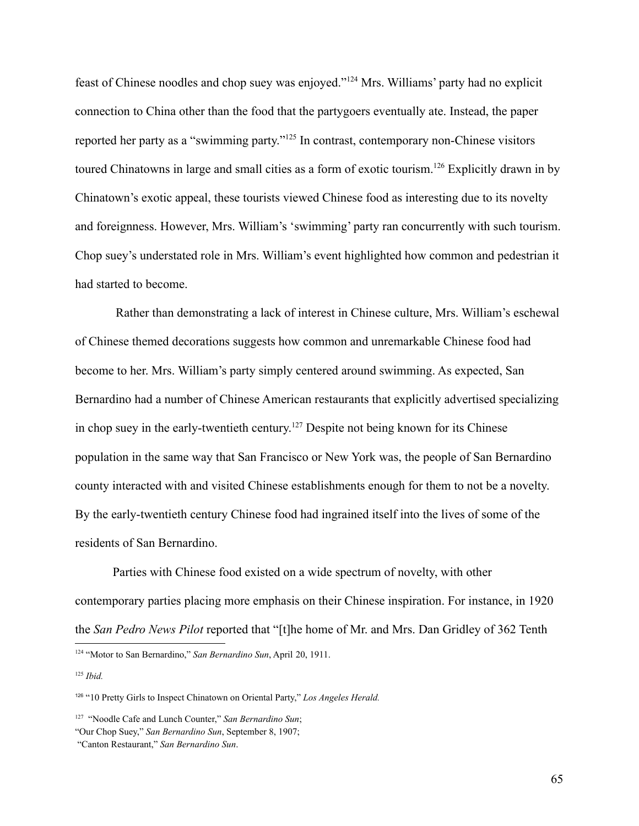feast of Chinese noodles and chop suey was enjoyed."<sup>124</sup> Mrs. Williams' party had no explicit connection to China other than the food that the partygoers eventually ate. Instead, the paper reported her party as a "swimming party."<sup>125</sup> In contrast, contemporary non-Chinese visitors toured Chinatowns in large and small cities as a form of exotic tourism.<sup>126</sup> Explicitly drawn in by Chinatown's exotic appeal, these tourists viewed Chinese food as interesting due to its novelty and foreignness. However, Mrs. William's 'swimming' party ran concurrently with such tourism. Chop suey's understated role in Mrs. William's event highlighted how common and pedestrian it had started to become.

Rather than demonstrating a lack of interest in Chinese culture, Mrs. William's eschewal of Chinese themed decorations suggests how common and unremarkable Chinese food had become to her. Mrs. William's party simply centered around swimming. As expected, San Bernardino had a number of Chinese American restaurants that explicitly advertised specializing in chop suey in the early-twentieth century. <sup>127</sup> Despite not being known for its Chinese population in the same way that San Francisco or New York was, the people of San Bernardino county interacted with and visited Chinese establishments enough for them to not be a novelty. By the early-twentieth century Chinese food had ingrained itself into the lives of some of the residents of San Bernardino.

Parties with Chinese food existed on a wide spectrum of novelty, with other contemporary parties placing more emphasis on their Chinese inspiration. For instance, in 1920 the *San Pedro News Pilot* reported that "[t]he home of Mr. and Mrs. Dan Gridley of 362 Tenth

<sup>124</sup> "Motor to San Bernardino," *San Bernardino Sun*, April 20, 1911.

<sup>125</sup> *Ibid.*

<sup>126</sup> "10 Pretty Girls to Inspect Chinatown on Oriental Party," *Los Angeles Herald.*

<sup>127</sup> "Noodle Cafe and Lunch Counter," *San Bernardino Sun*;

<sup>&</sup>quot;Our Chop Suey," *San Bernardino Sun*, September 8, 1907;

<sup>&</sup>quot;Canton Restaurant," *San Bernardino Sun*.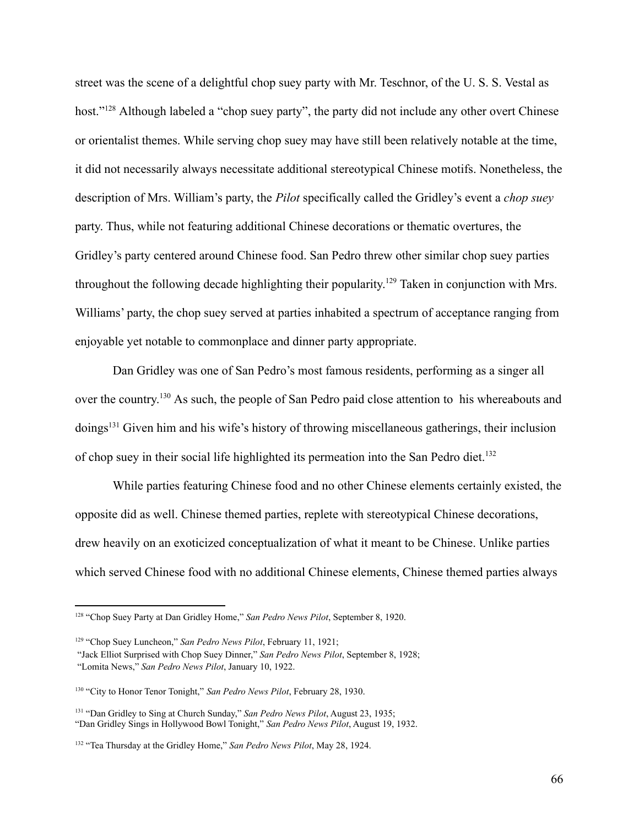street was the scene of a delightful chop suey party with Mr. Teschnor, of the U. S. S. Vestal as host."<sup>128</sup> Although labeled a "chop suey party", the party did not include any other overt Chinese or orientalist themes. While serving chop suey may have still been relatively notable at the time, it did not necessarily always necessitate additional stereotypical Chinese motifs. Nonetheless, the description of Mrs. William's party, the *Pilot* specifically called the Gridley's event a *chop suey* party. Thus, while not featuring additional Chinese decorations or thematic overtures, the Gridley's party centered around Chinese food. San Pedro threw other similar chop suey parties throughout the following decade highlighting their popularity.<sup>129</sup> Taken in conjunction with Mrs. Williams' party, the chop suey served at parties inhabited a spectrum of acceptance ranging from enjoyable yet notable to commonplace and dinner party appropriate.

Dan Gridley was one of San Pedro's most famous residents, performing as a singer all over the country.<sup>130</sup> As such, the people of San Pedro paid close attention to his whereabouts and doings<sup>131</sup> Given him and his wife's history of throwing miscellaneous gatherings, their inclusion of chop suey in their social life highlighted its permeation into the San Pedro diet.<sup>132</sup>

While parties featuring Chinese food and no other Chinese elements certainly existed, the opposite did as well. Chinese themed parties, replete with stereotypical Chinese decorations, drew heavily on an exoticized conceptualization of what it meant to be Chinese. Unlike parties which served Chinese food with no additional Chinese elements, Chinese themed parties always

<sup>128</sup> "Chop Suey Party at Dan Gridley Home," *San Pedro News Pilot*, September 8, 1920.

<sup>129</sup> "Chop Suey Luncheon," *San Pedro News Pilot*, February 11, 1921;

<sup>&</sup>quot;Jack Elliot Surprised with Chop Suey Dinner," *San Pedro News Pilot*, September 8, 1928;

<sup>&</sup>quot;Lomita News," *San Pedro News Pilot*, January 10, 1922.

<sup>130</sup> "City to Honor Tenor Tonight," *San Pedro News Pilot*, February 28, 1930.

<sup>131</sup> "Dan Gridley to Sing at Church Sunday," *San Pedro News Pilot*, August 23, 1935; "Dan Gridley Sings in Hollywood Bowl Tonight," *San Pedro News Pilot*, August 19, 1932.

<sup>132</sup> "Tea Thursday at the Gridley Home," *San Pedro News Pilot*, May 28, 1924.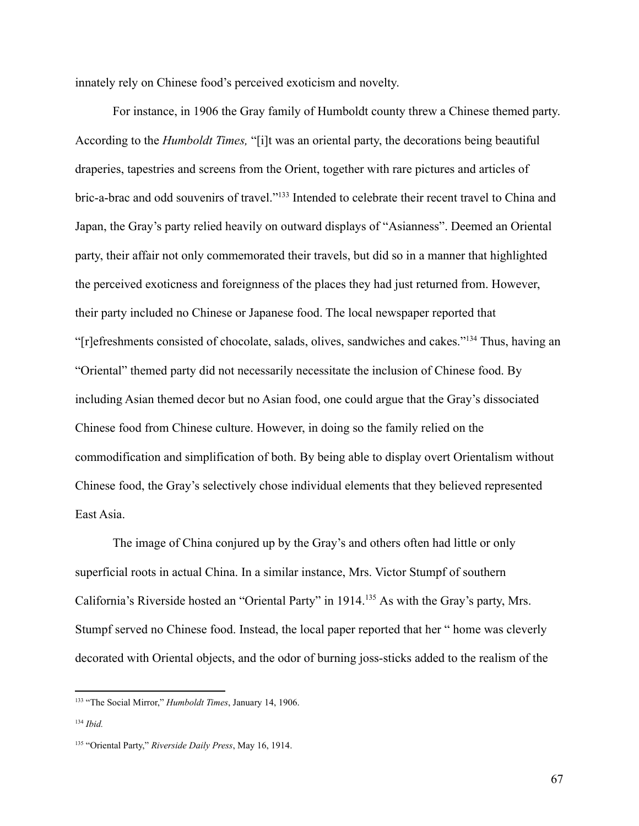innately rely on Chinese food's perceived exoticism and novelty.

For instance, in 1906 the Gray family of Humboldt county threw a Chinese themed party. According to the *Humboldt Times,* "[i]t was an oriental party, the decorations being beautiful draperies, tapestries and screens from the Orient, together with rare pictures and articles of bric-a-brac and odd souvenirs of travel."<sup>133</sup> Intended to celebrate their recent travel to China and Japan, the Gray's party relied heavily on outward displays of "Asianness". Deemed an Oriental party, their affair not only commemorated their travels, but did so in a manner that highlighted the perceived exoticness and foreignness of the places they had just returned from. However, their party included no Chinese or Japanese food. The local newspaper reported that "[r]efreshments consisted of chocolate, salads, olives, sandwiches and cakes."<sup>134</sup> Thus, having an "Oriental" themed party did not necessarily necessitate the inclusion of Chinese food. By including Asian themed decor but no Asian food, one could argue that the Gray's dissociated Chinese food from Chinese culture. However, in doing so the family relied on the commodification and simplification of both. By being able to display overt Orientalism without Chinese food, the Gray's selectively chose individual elements that they believed represented East Asia.

The image of China conjured up by the Gray's and others often had little or only superficial roots in actual China. In a similar instance, Mrs. Victor Stumpf of southern California's Riverside hosted an "Oriental Party" in 1914.<sup>135</sup> As with the Gray's party, Mrs. Stumpf served no Chinese food. Instead, the local paper reported that her " home was cleverly decorated with Oriental objects, and the odor of burning joss-sticks added to the realism of the

<sup>133</sup> "The Social Mirror," *Humboldt Times*, January 14, 1906.

<sup>134</sup> *Ibid.*

<sup>135</sup> "Oriental Party," *Riverside Daily Press*, May 16, 1914.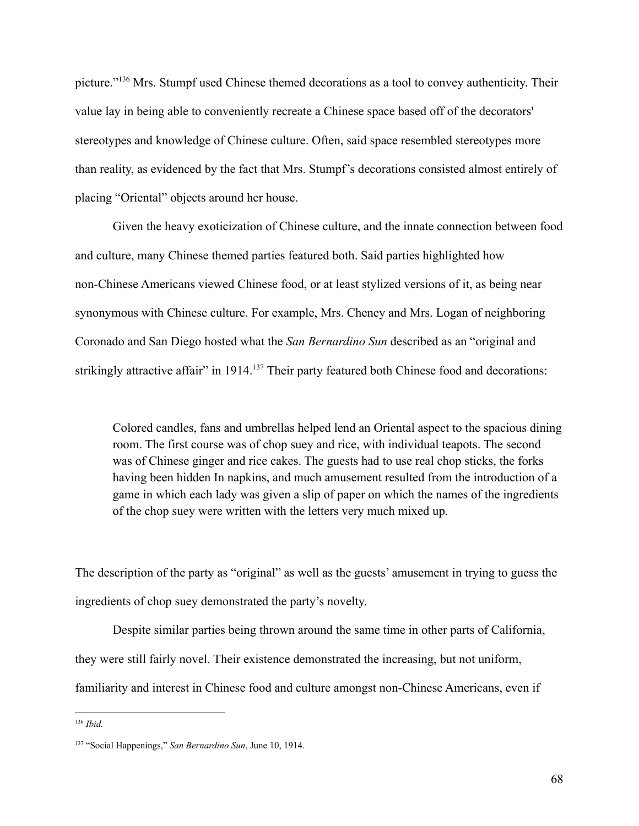picture."<sup>136</sup> Mrs. Stumpf used Chinese themed decorations as a tool to convey authenticity. Their value lay in being able to conveniently recreate a Chinese space based off of the decorators' stereotypes and knowledge of Chinese culture. Often, said space resembled stereotypes more than reality, as evidenced by the fact that Mrs. Stumpf's decorations consisted almost entirely of placing "Oriental" objects around her house.

Given the heavy exoticization of Chinese culture, and the innate connection between food and culture, many Chinese themed parties featured both. Said parties highlighted how non-Chinese Americans viewed Chinese food, or at least stylized versions of it, as being near synonymous with Chinese culture. For example, Mrs. Cheney and Mrs. Logan of neighboring Coronado and San Diego hosted what the *San Bernardino Sun* described as an "original and strikingly attractive affair" in 1914.<sup>137</sup> Their party featured both Chinese food and decorations:

Colored candles, fans and umbrellas helped lend an Oriental aspect to the spacious dining room. The first course was of chop suey and rice, with individual teapots. The second was of Chinese ginger and rice cakes. The guests had to use real chop sticks, the forks having been hidden In napkins, and much amusement resulted from the introduction of a game in which each lady was given a slip of paper on which the names of the ingredients of the chop suey were written with the letters very much mixed up.

The description of the party as "original" as well as the guests' amusement in trying to guess the ingredients of chop suey demonstrated the party's novelty.

Despite similar parties being thrown around the same time in other parts of California, they were still fairly novel. Their existence demonstrated the increasing, but not uniform, familiarity and interest in Chinese food and culture amongst non-Chinese Americans, even if

<sup>136</sup> *Ibid.*

<sup>137</sup> "Social Happenings," *San Bernardino Sun*, June 10, 1914.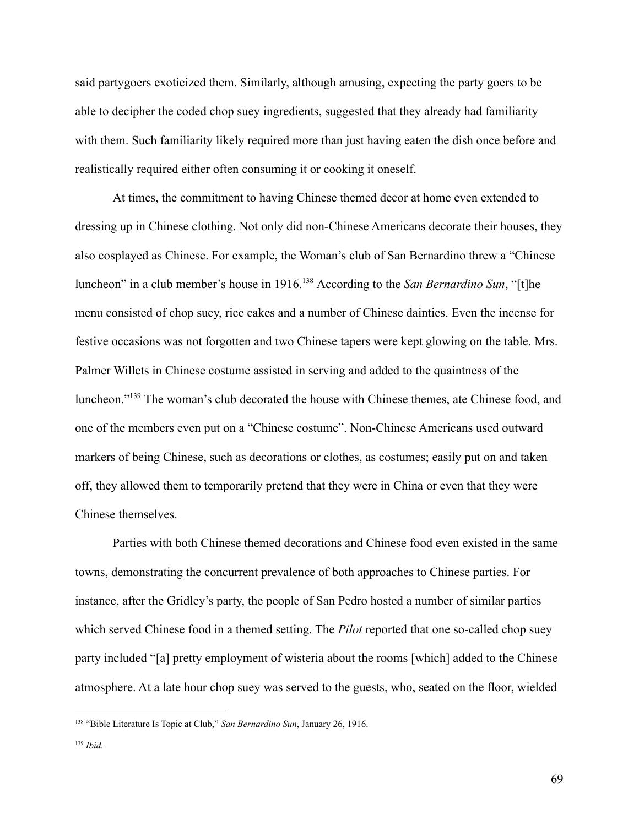said partygoers exoticized them. Similarly, although amusing, expecting the party goers to be able to decipher the coded chop suey ingredients, suggested that they already had familiarity with them. Such familiarity likely required more than just having eaten the dish once before and realistically required either often consuming it or cooking it oneself.

At times, the commitment to having Chinese themed decor at home even extended to dressing up in Chinese clothing. Not only did non-Chinese Americans decorate their houses, they also cosplayed as Chinese. For example, the Woman's club of San Bernardino threw a "Chinese luncheon" in a club member's house in 1916.<sup>138</sup> According to the *San Bernardino Sun*, "[t]he menu consisted of chop suey, rice cakes and a number of Chinese dainties. Even the incense for festive occasions was not forgotten and two Chinese tapers were kept glowing on the table. Mrs. Palmer Willets in Chinese costume assisted in serving and added to the quaintness of the luncheon."<sup>139</sup> The woman's club decorated the house with Chinese themes, ate Chinese food, and one of the members even put on a "Chinese costume". Non-Chinese Americans used outward markers of being Chinese, such as decorations or clothes, as costumes; easily put on and taken off, they allowed them to temporarily pretend that they were in China or even that they were Chinese themselves.

Parties with both Chinese themed decorations and Chinese food even existed in the same towns, demonstrating the concurrent prevalence of both approaches to Chinese parties. For instance, after the Gridley's party, the people of San Pedro hosted a number of similar parties which served Chinese food in a themed setting. The *Pilot* reported that one so-called chop suey party included "[a] pretty employment of wisteria about the rooms [which] added to the Chinese atmosphere. At a late hour chop suey was served to the guests, who, seated on the floor, wielded

<sup>138</sup> "Bible Literature Is Topic at Club," *San Bernardino Sun*, January 26, 1916.

<sup>139</sup> *Ibid.*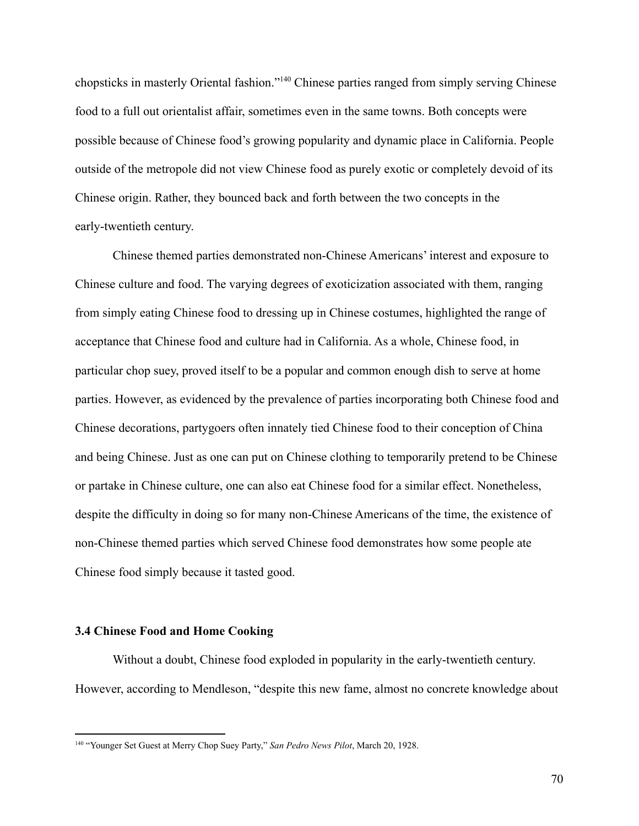chopsticks in masterly Oriental fashion."<sup>140</sup> Chinese parties ranged from simply serving Chinese food to a full out orientalist affair, sometimes even in the same towns. Both concepts were possible because of Chinese food's growing popularity and dynamic place in California. People outside of the metropole did not view Chinese food as purely exotic or completely devoid of its Chinese origin. Rather, they bounced back and forth between the two concepts in the early-twentieth century.

Chinese themed parties demonstrated non-Chinese Americans' interest and exposure to Chinese culture and food. The varying degrees of exoticization associated with them, ranging from simply eating Chinese food to dressing up in Chinese costumes, highlighted the range of acceptance that Chinese food and culture had in California. As a whole, Chinese food, in particular chop suey, proved itself to be a popular and common enough dish to serve at home parties. However, as evidenced by the prevalence of parties incorporating both Chinese food and Chinese decorations, partygoers often innately tied Chinese food to their conception of China and being Chinese. Just as one can put on Chinese clothing to temporarily pretend to be Chinese or partake in Chinese culture, one can also eat Chinese food for a similar effect. Nonetheless, despite the difficulty in doing so for many non-Chinese Americans of the time, the existence of non-Chinese themed parties which served Chinese food demonstrates how some people ate Chinese food simply because it tasted good.

## **3.4 Chinese Food and Home Cooking**

Without a doubt, Chinese food exploded in popularity in the early-twentieth century. However, according to Mendleson, "despite this new fame, almost no concrete knowledge about

<sup>140</sup> "Younger Set Guest at Merry Chop Suey Party," *San Pedro News Pilot*, March 20, 1928.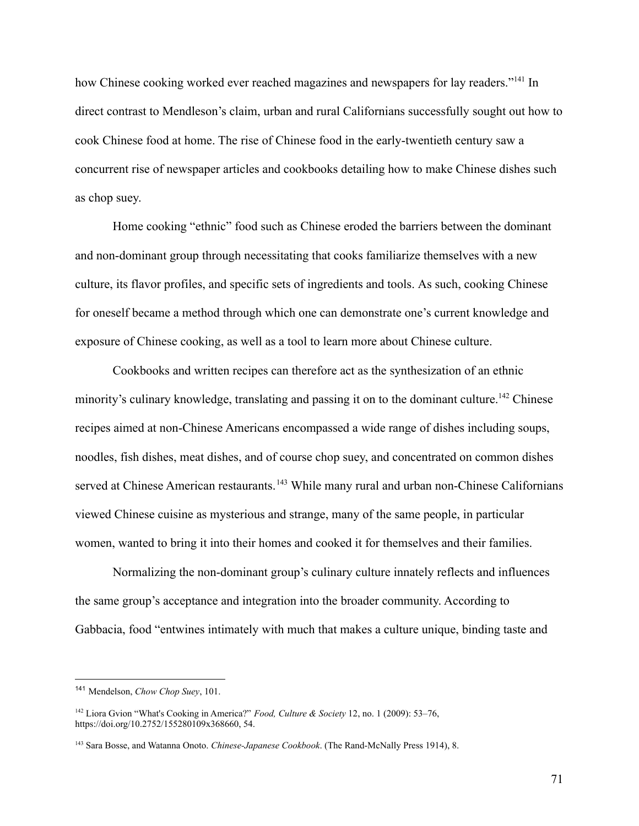how Chinese cooking worked ever reached magazines and newspapers for lay readers."<sup>141</sup> In direct contrast to Mendleson's claim, urban and rural Californians successfully sought out how to cook Chinese food at home. The rise of Chinese food in the early-twentieth century saw a concurrent rise of newspaper articles and cookbooks detailing how to make Chinese dishes such as chop suey.

Home cooking "ethnic" food such as Chinese eroded the barriers between the dominant and non-dominant group through necessitating that cooks familiarize themselves with a new culture, its flavor profiles, and specific sets of ingredients and tools. As such, cooking Chinese for oneself became a method through which one can demonstrate one's current knowledge and exposure of Chinese cooking, as well as a tool to learn more about Chinese culture.

Cookbooks and written recipes can therefore act as the synthesization of an ethnic minority's culinary knowledge, translating and passing it on to the dominant culture.<sup>142</sup> Chinese recipes aimed at non-Chinese Americans encompassed a wide range of dishes including soups, noodles, fish dishes, meat dishes, and of course chop suey, and concentrated on common dishes served at Chinese American restaurants.<sup>143</sup> While many rural and urban non-Chinese Californians viewed Chinese cuisine as mysterious and strange, many of the same people, in particular women, wanted to bring it into their homes and cooked it for themselves and their families.

Normalizing the non-dominant group's culinary culture innately reflects and influences the same group's acceptance and integration into the broader community. According to Gabbacia, food "entwines intimately with much that makes a culture unique, binding taste and

71

<sup>141</sup> Mendelson, *Chow Chop Suey*, 101.

<sup>142</sup> Liora Gvion "What's Cooking in America?" *Food, Culture & Society* 12, no. 1 (2009): 53–76, https://doi.org/10.2752/155280109x368660, 54.

<sup>143</sup> Sara Bosse, and Watanna Onoto. *Chinese-Japanese Cookbook*. (The Rand-McNally Press 1914), 8.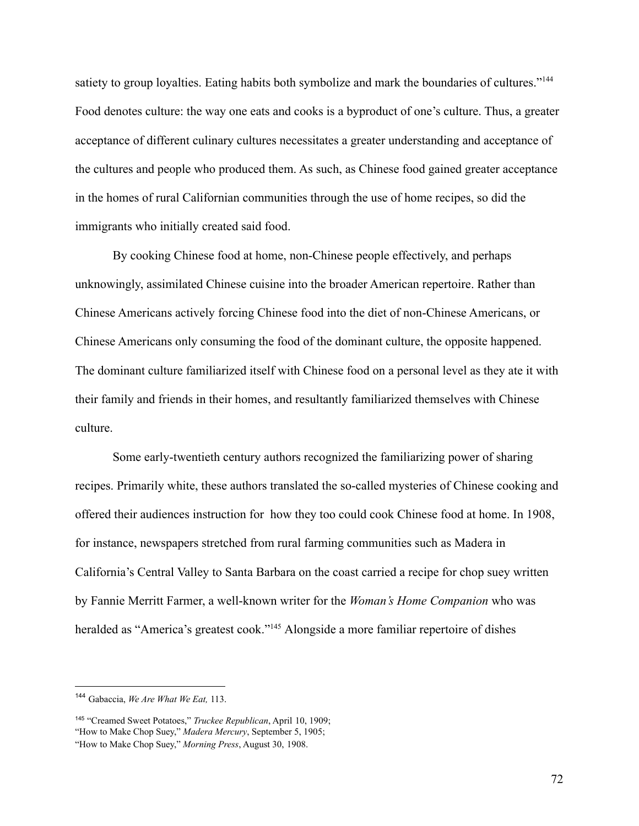satiety to group loyalties. Eating habits both symbolize and mark the boundaries of cultures."<sup>144</sup> Food denotes culture: the way one eats and cooks is a byproduct of one's culture. Thus, a greater acceptance of different culinary cultures necessitates a greater understanding and acceptance of the cultures and people who produced them. As such, as Chinese food gained greater acceptance in the homes of rural Californian communities through the use of home recipes, so did the immigrants who initially created said food.

By cooking Chinese food at home, non-Chinese people effectively, and perhaps unknowingly, assimilated Chinese cuisine into the broader American repertoire. Rather than Chinese Americans actively forcing Chinese food into the diet of non-Chinese Americans, or Chinese Americans only consuming the food of the dominant culture, the opposite happened. The dominant culture familiarized itself with Chinese food on a personal level as they ate it with their family and friends in their homes, and resultantly familiarized themselves with Chinese culture.

Some early-twentieth century authors recognized the familiarizing power of sharing recipes. Primarily white, these authors translated the so-called mysteries of Chinese cooking and offered their audiences instruction for how they too could cook Chinese food at home. In 1908, for instance, newspapers stretched from rural farming communities such as Madera in California's Central Valley to Santa Barbara on the coast carried a recipe for chop suey written by Fannie Merritt Farmer, a well-known writer for the *Woman's Home Companion* who was heralded as "America's greatest cook."<sup>145</sup> Alongside a more familiar repertoire of dishes

<sup>144</sup> Gabaccia, *We Are What We Eat,* 113.

<sup>145</sup> "Creamed Sweet Potatoes," *Truckee Republican*, April 10, 1909;

<sup>&</sup>quot;How to Make Chop Suey," *Madera Mercury*, September 5, 1905;

<sup>&</sup>quot;How to Make Chop Suey," *Morning Press*, August 30, 1908.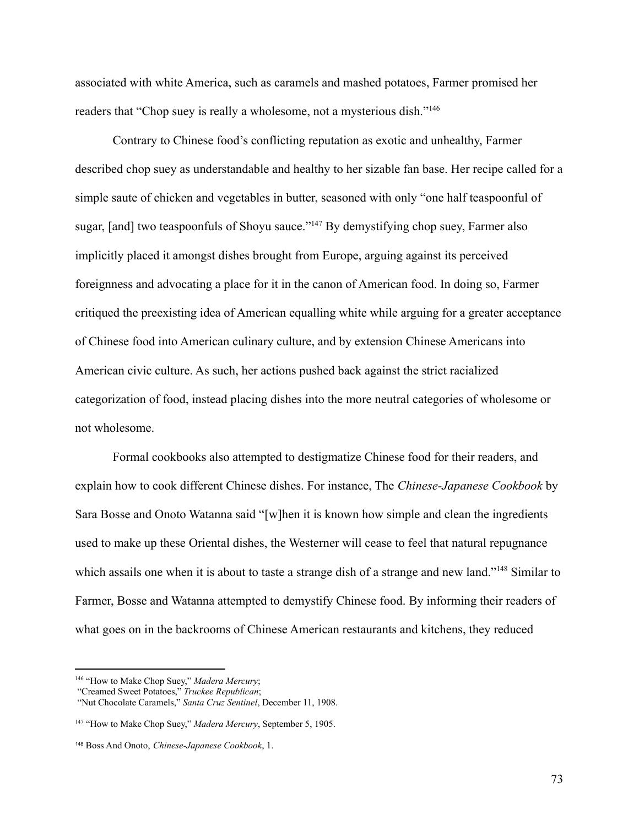associated with white America, such as caramels and mashed potatoes, Farmer promised her readers that "Chop suey is really a wholesome, not a mysterious dish."<sup>146</sup>

Contrary to Chinese food's conflicting reputation as exotic and unhealthy, Farmer described chop suey as understandable and healthy to her sizable fan base. Her recipe called for a simple saute of chicken and vegetables in butter, seasoned with only "one half teaspoonful of sugar, [and] two teaspoonfuls of Shoyu sauce."<sup>147</sup> By demystifying chop suey, Farmer also implicitly placed it amongst dishes brought from Europe, arguing against its perceived foreignness and advocating a place for it in the canon of American food. In doing so, Farmer critiqued the preexisting idea of American equalling white while arguing for a greater acceptance of Chinese food into American culinary culture, and by extension Chinese Americans into American civic culture. As such, her actions pushed back against the strict racialized categorization of food, instead placing dishes into the more neutral categories of wholesome or not wholesome.

Formal cookbooks also attempted to destigmatize Chinese food for their readers, and explain how to cook different Chinese dishes. For instance, The *Chinese-Japanese Cookbook* by Sara Bosse and Onoto Watanna said "[w]hen it is known how simple and clean the ingredients used to make up these Oriental dishes, the Westerner will cease to feel that natural repugnance which assails one when it is about to taste a strange dish of a strange and new land."<sup>148</sup> Similar to Farmer, Bosse and Watanna attempted to demystify Chinese food. By informing their readers of what goes on in the backrooms of Chinese American restaurants and kitchens, they reduced

<sup>146</sup> "How to Make Chop Suey," *Madera Mercury*;

<sup>&</sup>quot;Creamed Sweet Potatoes," *Truckee Republican*;

<sup>&</sup>quot;Nut Chocolate Caramels," *Santa Cruz Sentinel*, December 11, 1908.

<sup>147</sup> "How to Make Chop Suey," *Madera Mercury*, September 5, 1905.

<sup>148</sup> Boss And Onoto, *Chinese-Japanese Cookbook*, 1.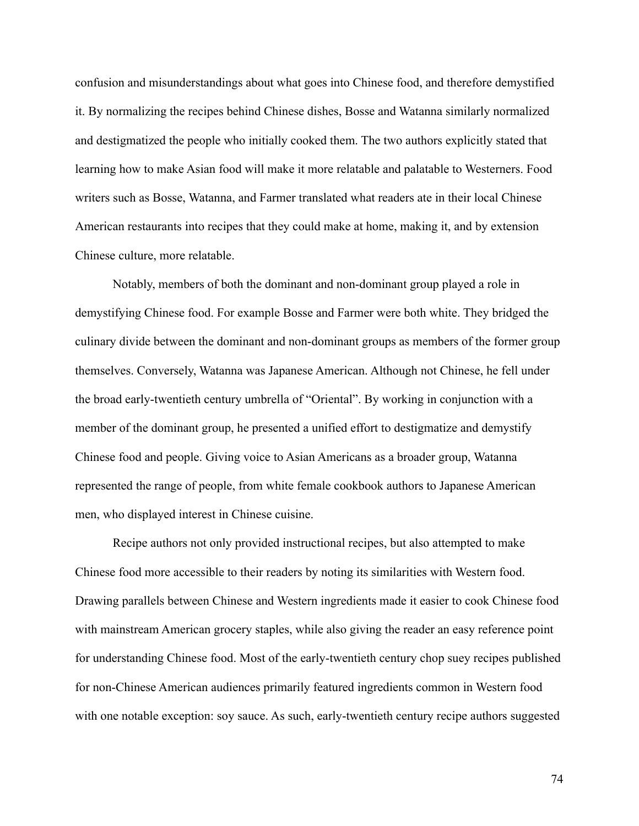confusion and misunderstandings about what goes into Chinese food, and therefore demystified it. By normalizing the recipes behind Chinese dishes, Bosse and Watanna similarly normalized and destigmatized the people who initially cooked them. The two authors explicitly stated that learning how to make Asian food will make it more relatable and palatable to Westerners. Food writers such as Bosse, Watanna, and Farmer translated what readers ate in their local Chinese American restaurants into recipes that they could make at home, making it, and by extension Chinese culture, more relatable.

Notably, members of both the dominant and non-dominant group played a role in demystifying Chinese food. For example Bosse and Farmer were both white. They bridged the culinary divide between the dominant and non-dominant groups as members of the former group themselves. Conversely, Watanna was Japanese American. Although not Chinese, he fell under the broad early-twentieth century umbrella of "Oriental". By working in conjunction with a member of the dominant group, he presented a unified effort to destigmatize and demystify Chinese food and people. Giving voice to Asian Americans as a broader group, Watanna represented the range of people, from white female cookbook authors to Japanese American men, who displayed interest in Chinese cuisine.

Recipe authors not only provided instructional recipes, but also attempted to make Chinese food more accessible to their readers by noting its similarities with Western food. Drawing parallels between Chinese and Western ingredients made it easier to cook Chinese food with mainstream American grocery staples, while also giving the reader an easy reference point for understanding Chinese food. Most of the early-twentieth century chop suey recipes published for non-Chinese American audiences primarily featured ingredients common in Western food with one notable exception: soy sauce. As such, early-twentieth century recipe authors suggested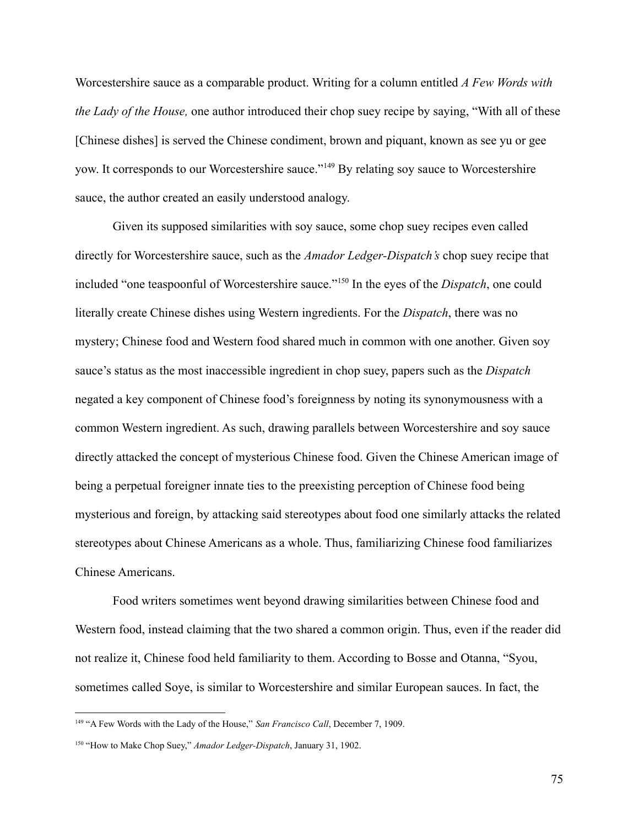Worcestershire sauce as a comparable product. Writing for a column entitled *A Few Words with the Lady of the House,* one author introduced their chop suey recipe by saying, "With all of these [Chinese dishes] is served the Chinese condiment, brown and piquant, known as see yu or gee yow. It corresponds to our Worcestershire sauce."<sup>149</sup> By relating soy sauce to Worcestershire sauce, the author created an easily understood analogy.

Given its supposed similarities with soy sauce, some chop suey recipes even called directly for Worcestershire sauce, such as the *Amador Ledger-Dispatch's* chop suey recipe that included "one teaspoonful of Worcestershire sauce."<sup>150</sup> In the eyes of the *Dispatch*, one could literally create Chinese dishes using Western ingredients. For the *Dispatch*, there was no mystery; Chinese food and Western food shared much in common with one another. Given soy sauce's status as the most inaccessible ingredient in chop suey, papers such as the *Dispatch* negated a key component of Chinese food's foreignness by noting its synonymousness with a common Western ingredient. As such, drawing parallels between Worcestershire and soy sauce directly attacked the concept of mysterious Chinese food. Given the Chinese American image of being a perpetual foreigner innate ties to the preexisting perception of Chinese food being mysterious and foreign, by attacking said stereotypes about food one similarly attacks the related stereotypes about Chinese Americans as a whole. Thus, familiarizing Chinese food familiarizes Chinese Americans.

Food writers sometimes went beyond drawing similarities between Chinese food and Western food, instead claiming that the two shared a common origin. Thus, even if the reader did not realize it, Chinese food held familiarity to them. According to Bosse and Otanna, "Syou, sometimes called Soye, is similar to Worcestershire and similar European sauces. In fact, the

<sup>149</sup> "A Few Words with the Lady of the House," *San Francisco Call*, December 7, 1909.

<sup>150</sup> "How to Make Chop Suey," *Amador Ledger-Dispatch*, January 31, 1902.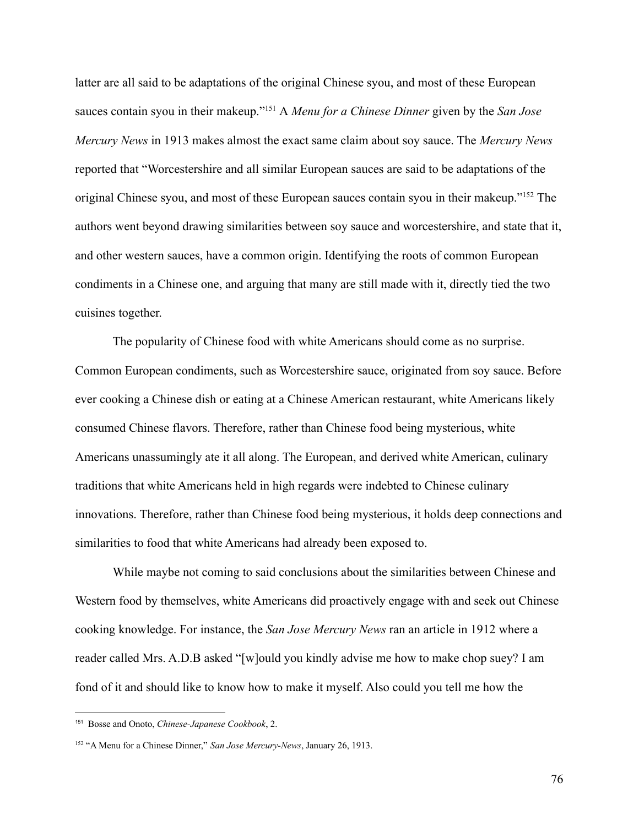latter are all said to be adaptations of the original Chinese syou, and most of these European sauces contain syou in their makeup."<sup>151</sup> A *Menu for a Chinese Dinner* given by the *San Jose Mercury News* in 1913 makes almost the exact same claim about soy sauce. The *Mercury News* reported that "Worcestershire and all similar European sauces are said to be adaptations of the original Chinese syou, and most of these European sauces contain syou in their makeup."<sup>152</sup> The authors went beyond drawing similarities between soy sauce and worcestershire, and state that it, and other western sauces, have a common origin. Identifying the roots of common European condiments in a Chinese one, and arguing that many are still made with it, directly tied the two cuisines together.

The popularity of Chinese food with white Americans should come as no surprise. Common European condiments, such as Worcestershire sauce, originated from soy sauce. Before ever cooking a Chinese dish or eating at a Chinese American restaurant, white Americans likely consumed Chinese flavors. Therefore, rather than Chinese food being mysterious, white Americans unassumingly ate it all along. The European, and derived white American, culinary traditions that white Americans held in high regards were indebted to Chinese culinary innovations. Therefore, rather than Chinese food being mysterious, it holds deep connections and similarities to food that white Americans had already been exposed to.

While maybe not coming to said conclusions about the similarities between Chinese and Western food by themselves, white Americans did proactively engage with and seek out Chinese cooking knowledge. For instance, the *San Jose Mercury News* ran an article in 1912 where a reader called Mrs. A.D.B asked "[w]ould you kindly advise me how to make chop suey? I am fond of it and should like to know how to make it myself. Also could you tell me how the

<sup>151</sup> Bosse and Onoto, *Chinese-Japanese Cookbook*, 2.

<sup>152</sup> "A Menu for a Chinese Dinner," *San Jose Mercury-News*, January 26, 1913.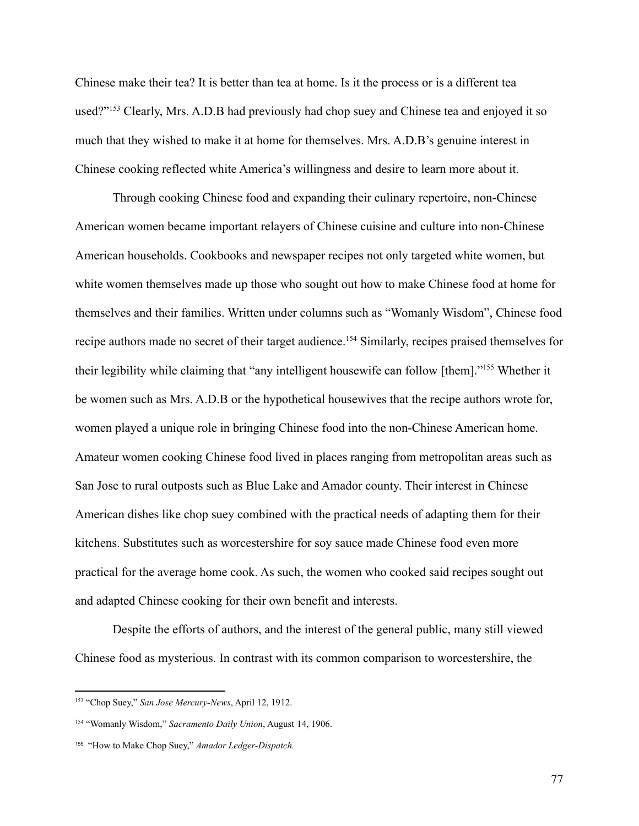Chinese make their tea? It is better than tea at home. Is it the process or is a different tea used?"<sup>153</sup> Clearly, Mrs. A.D.B had previously had chop suey and Chinese tea and enjoyed it so much that they wished to make it at home for themselves. Mrs. A.D.B's genuine interest in Chinese cooking reflected white America's willingness and desire to learn more about it.

Through cooking Chinese food and expanding their culinary repertoire, non-Chinese American women became important relayers of Chinese cuisine and culture into non-Chinese American households. Cookbooks and newspaper recipes not only targeted white women, but white women themselves made up those who sought out how to make Chinese food at home for themselves and their families. Written under columns such as "Womanly Wisdom", Chinese food recipe authors made no secret of their target audience.<sup>154</sup> Similarly, recipes praised themselves for their legibility while claiming that "any intelligent housewife can follow [them]."<sup>155</sup> Whether it be women such as Mrs. A.D.B or the hypothetical housewives that the recipe authors wrote for, women played a unique role in bringing Chinese food into the non-Chinese American home. Amateur women cooking Chinese food lived in places ranging from metropolitan areas such as San Jose to rural outposts such as Blue Lake and Amador county. Their interest in Chinese American dishes like chop suey combined with the practical needs of adapting them for their kitchens. Substitutes such as worcestershire for soy sauce made Chinese food even more practical for the average home cook. As such, the women who cooked said recipes sought out and adapted Chinese cooking for their own benefit and interests.

Despite the efforts of authors, and the interest of the general public, many still viewed Chinese food as mysterious. In contrast with its common comparison to worcestershire, the

<sup>153</sup> "Chop Suey," *San Jose Mercury-News*, April 12, 1912.

<sup>154</sup> "Womanly Wisdom," *Sacramento Daily Union*, August 14, 1906.

<sup>155</sup> "How to Make Chop Suey," *Amador Ledger-Dispatch.*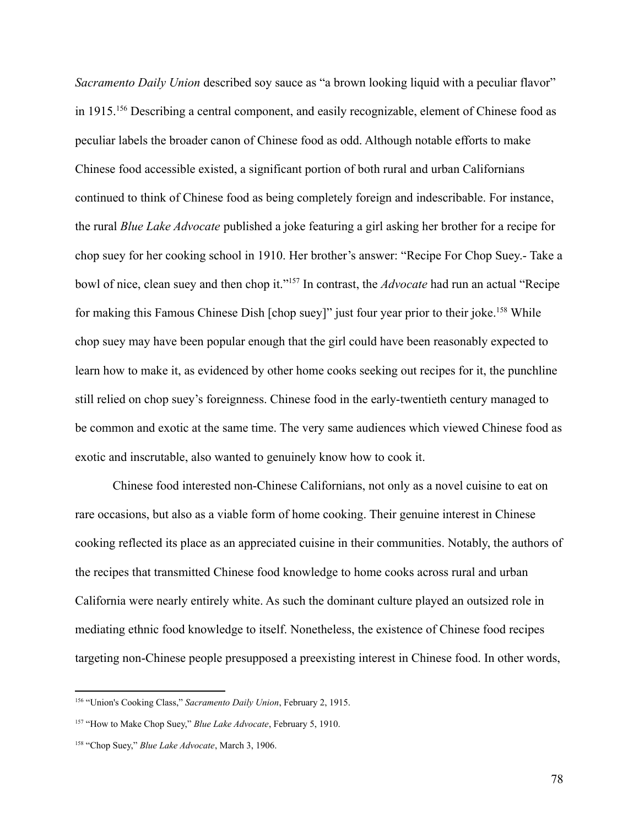*Sacramento Daily Union* described soy sauce as "a brown looking liquid with a peculiar flavor" in 1915.<sup>156</sup> Describing a central component, and easily recognizable, element of Chinese food as peculiar labels the broader canon of Chinese food as odd. Although notable efforts to make Chinese food accessible existed, a significant portion of both rural and urban Californians continued to think of Chinese food as being completely foreign and indescribable. For instance, the rural *Blue Lake Advocate* published a joke featuring a girl asking her brother for a recipe for chop suey for her cooking school in 1910. Her brother's answer: "Recipe For Chop Suey.- Take a bowl of nice, clean suey and then chop it."<sup>157</sup> In contrast, the *Advocate* had run an actual "Recipe for making this Famous Chinese Dish [chop suey]" just four year prior to their joke.<sup>158</sup> While chop suey may have been popular enough that the girl could have been reasonably expected to learn how to make it, as evidenced by other home cooks seeking out recipes for it, the punchline still relied on chop suey's foreignness. Chinese food in the early-twentieth century managed to be common and exotic at the same time. The very same audiences which viewed Chinese food as exotic and inscrutable, also wanted to genuinely know how to cook it.

Chinese food interested non-Chinese Californians, not only as a novel cuisine to eat on rare occasions, but also as a viable form of home cooking. Their genuine interest in Chinese cooking reflected its place as an appreciated cuisine in their communities. Notably, the authors of the recipes that transmitted Chinese food knowledge to home cooks across rural and urban California were nearly entirely white. As such the dominant culture played an outsized role in mediating ethnic food knowledge to itself. Nonetheless, the existence of Chinese food recipes targeting non-Chinese people presupposed a preexisting interest in Chinese food. In other words,

<sup>156</sup> "Union's Cooking Class," *Sacramento Daily Union*, February 2, 1915.

<sup>157</sup> "How to Make Chop Suey," *Blue Lake Advocate*, February 5, 1910.

<sup>158</sup> "Chop Suey," *Blue Lake Advocate*, March 3, 1906.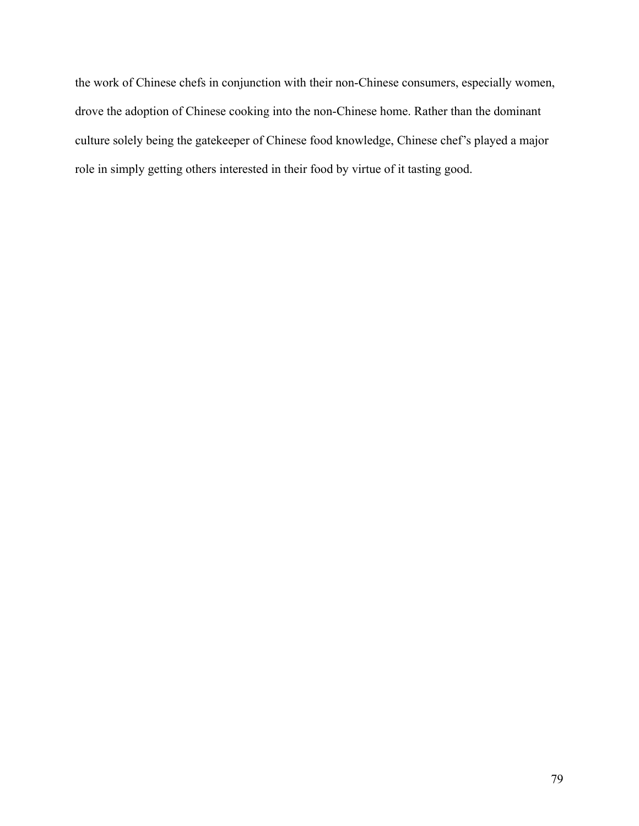the work of Chinese chefs in conjunction with their non-Chinese consumers, especially women, drove the adoption of Chinese cooking into the non-Chinese home. Rather than the dominant culture solely being the gatekeeper of Chinese food knowledge, Chinese chef's played a major role in simply getting others interested in their food by virtue of it tasting good.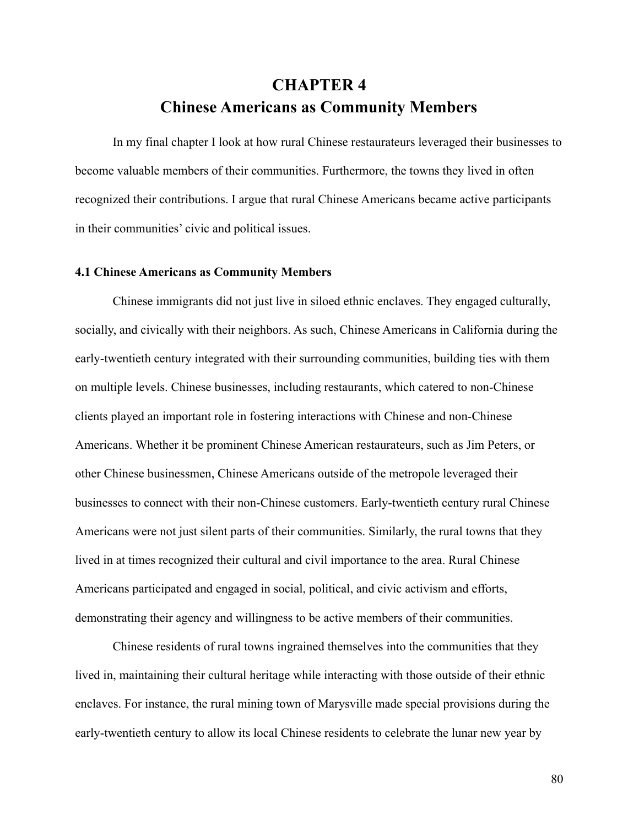## **CHAPTER 4 Chinese Americans as Community Members**

In my final chapter I look at how rural Chinese restaurateurs leveraged their businesses to become valuable members of their communities. Furthermore, the towns they lived in often recognized their contributions. I argue that rural Chinese Americans became active participants in their communities' civic and political issues.

## **4.1 Chinese Americans as Community Members**

Chinese immigrants did not just live in siloed ethnic enclaves. They engaged culturally, socially, and civically with their neighbors. As such, Chinese Americans in California during the early-twentieth century integrated with their surrounding communities, building ties with them on multiple levels. Chinese businesses, including restaurants, which catered to non-Chinese clients played an important role in fostering interactions with Chinese and non-Chinese Americans. Whether it be prominent Chinese American restaurateurs, such as Jim Peters, or other Chinese businessmen, Chinese Americans outside of the metropole leveraged their businesses to connect with their non-Chinese customers. Early-twentieth century rural Chinese Americans were not just silent parts of their communities. Similarly, the rural towns that they lived in at times recognized their cultural and civil importance to the area. Rural Chinese Americans participated and engaged in social, political, and civic activism and efforts, demonstrating their agency and willingness to be active members of their communities.

Chinese residents of rural towns ingrained themselves into the communities that they lived in, maintaining their cultural heritage while interacting with those outside of their ethnic enclaves. For instance, the rural mining town of Marysville made special provisions during the early-twentieth century to allow its local Chinese residents to celebrate the lunar new year by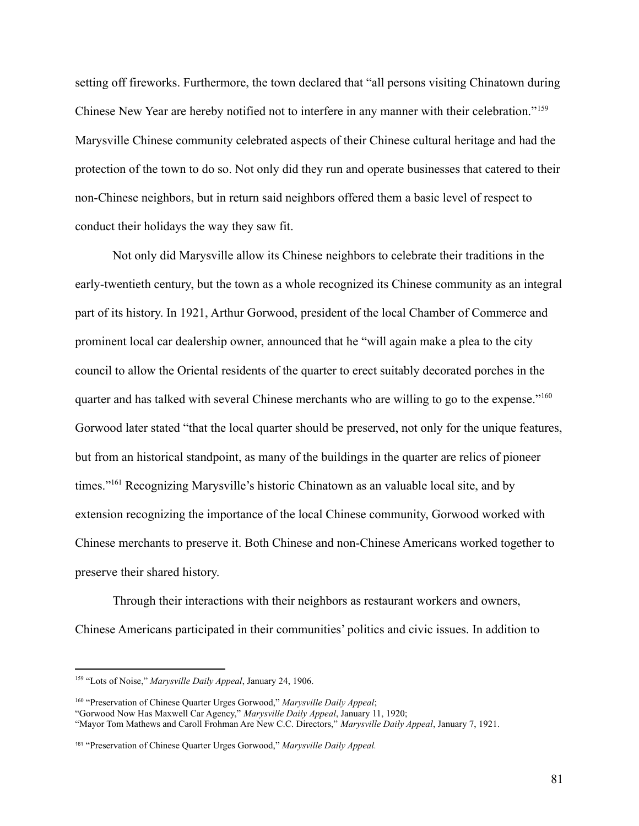setting off fireworks. Furthermore, the town declared that "all persons visiting Chinatown during Chinese New Year are hereby notified not to interfere in any manner with their celebration."<sup>159</sup> Marysville Chinese community celebrated aspects of their Chinese cultural heritage and had the protection of the town to do so. Not only did they run and operate businesses that catered to their non-Chinese neighbors, but in return said neighbors offered them a basic level of respect to conduct their holidays the way they saw fit.

Not only did Marysville allow its Chinese neighbors to celebrate their traditions in the early-twentieth century, but the town as a whole recognized its Chinese community as an integral part of its history. In 1921, Arthur Gorwood, president of the local Chamber of Commerce and prominent local car dealership owner, announced that he "will again make a plea to the city council to allow the Oriental residents of the quarter to erect suitably decorated porches in the quarter and has talked with several Chinese merchants who are willing to go to the expense."<sup>160</sup> Gorwood later stated "that the local quarter should be preserved, not only for the unique features, but from an historical standpoint, as many of the buildings in the quarter are relics of pioneer times."<sup>161</sup> Recognizing Marysville's historic Chinatown as an valuable local site, and by extension recognizing the importance of the local Chinese community, Gorwood worked with Chinese merchants to preserve it. Both Chinese and non-Chinese Americans worked together to preserve their shared history.

Through their interactions with their neighbors as restaurant workers and owners, Chinese Americans participated in their communities' politics and civic issues. In addition to

<sup>159</sup> "Lots of Noise," *Marysville Daily Appeal*, January 24, 1906.

<sup>160</sup> "Preservation of Chinese Quarter Urges Gorwood," *Marysville Daily Appeal*;

<sup>&</sup>quot;Gorwood Now Has Maxwell Car Agency," *Marysville Daily Appeal*, January 11, 1920;

<sup>&</sup>quot;Mayor Tom Mathews and Caroll Frohman Are New C.C. Directors," *Marysville Daily Appeal*, January 7, 1921.

<sup>161</sup> "Preservation of Chinese Quarter Urges Gorwood," *Marysville Daily Appeal.*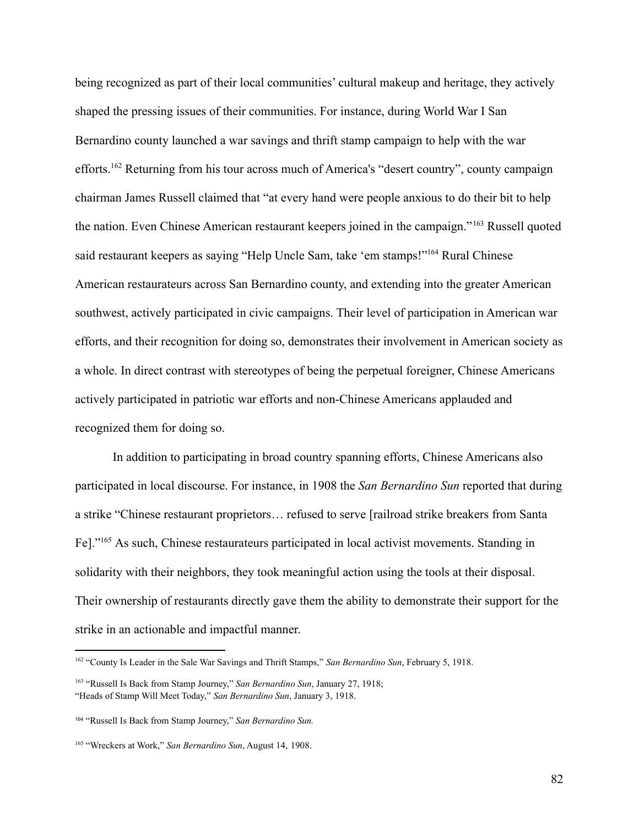being recognized as part of their local communities' cultural makeup and heritage, they actively shaped the pressing issues of their communities. For instance, during World War I San Bernardino county launched a war savings and thrift stamp campaign to help with the war efforts.<sup>162</sup> Returning from his tour across much of America's "desert country", county campaign chairman James Russell claimed that "at every hand were people anxious to do their bit to help the nation. Even Chinese American restaurant keepers joined in the campaign." <sup>163</sup> Russell quoted said restaurant keepers as saying "Help Uncle Sam, take 'em stamps!"<sup>164</sup> Rural Chinese American restaurateurs across San Bernardino county, and extending into the greater American southwest, actively participated in civic campaigns. Their level of participation in American war efforts, and their recognition for doing so, demonstrates their involvement in American society as a whole. In direct contrast with stereotypes of being the perpetual foreigner, Chinese Americans actively participated in patriotic war efforts and non-Chinese Americans applauded and recognized them for doing so.

In addition to participating in broad country spanning efforts, Chinese Americans also participated in local discourse. For instance, in 1908 the *San Bernardino Sun* reported that during a strike "Chinese restaurant proprietors… refused to serve [railroad strike breakers from Santa Fe]."<sup>165</sup> As such, Chinese restaurateurs participated in local activist movements. Standing in solidarity with their neighbors, they took meaningful action using the tools at their disposal. Their ownership of restaurants directly gave them the ability to demonstrate their support for the strike in an actionable and impactful manner.

<sup>162</sup> "County Is Leader in the Sale War Savings and Thrift Stamps," *San Bernardino Sun*, February 5, 1918.

<sup>163</sup> "Russell Is Back from Stamp Journey," *San Bernardino Sun*, January 27, 1918; "Heads of Stamp Will Meet Today," *San Bernardino Sun*, January 3, 1918.

<sup>164</sup> "Russell Is Back from Stamp Journey," *San Bernardino Sun.*

<sup>165</sup> "Wreckers at Work," *San Bernardino Sun*, August 14, 1908.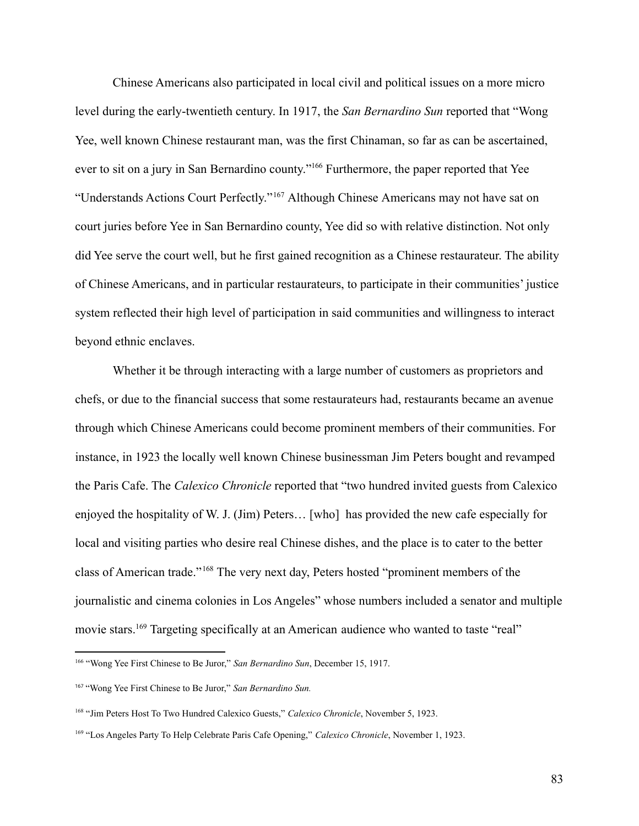Chinese Americans also participated in local civil and political issues on a more micro level during the early-twentieth century. In 1917, the *San Bernardino Sun* reported that "Wong Yee, well known Chinese restaurant man, was the first Chinaman, so far as can be ascertained, ever to sit on a jury in San Bernardino county."<sup>166</sup> Furthermore, the paper reported that Yee "Understands Actions Court Perfectly."<sup>167</sup> Although Chinese Americans may not have sat on court juries before Yee in San Bernardino county, Yee did so with relative distinction. Not only did Yee serve the court well, but he first gained recognition as a Chinese restaurateur. The ability of Chinese Americans, and in particular restaurateurs, to participate in their communities' justice system reflected their high level of participation in said communities and willingness to interact beyond ethnic enclaves.

Whether it be through interacting with a large number of customers as proprietors and chefs, or due to the financial success that some restaurateurs had, restaurants became an avenue through which Chinese Americans could become prominent members of their communities. For instance, in 1923 the locally well known Chinese businessman Jim Peters bought and revamped the Paris Cafe. The *Calexico Chronicle* reported that "two hundred invited guests from Calexico enjoyed the hospitality of W. J. (Jim) Peters… [who] has provided the new cafe especially for local and visiting parties who desire real Chinese dishes, and the place is to cater to the better class of American trade."<sup>168</sup> The very next day, Peters hosted "prominent members of the journalistic and cinema colonies in Los Angeles" whose numbers included a senator and multiple movie stars.<sup>169</sup> Targeting specifically at an American audience who wanted to taste "real"

<sup>166</sup> "Wong Yee First Chinese to Be Juror," *San Bernardino Sun*, December 15, 1917.

<sup>167</sup> "Wong Yee First Chinese to Be Juror," *San Bernardino Sun.*

<sup>168</sup> "Jim Peters Host To Two Hundred Calexico Guests," *Calexico Chronicle*, November 5, 1923.

<sup>169</sup> "Los Angeles Party To Help Celebrate Paris Cafe Opening," *Calexico Chronicle*, November 1, 1923.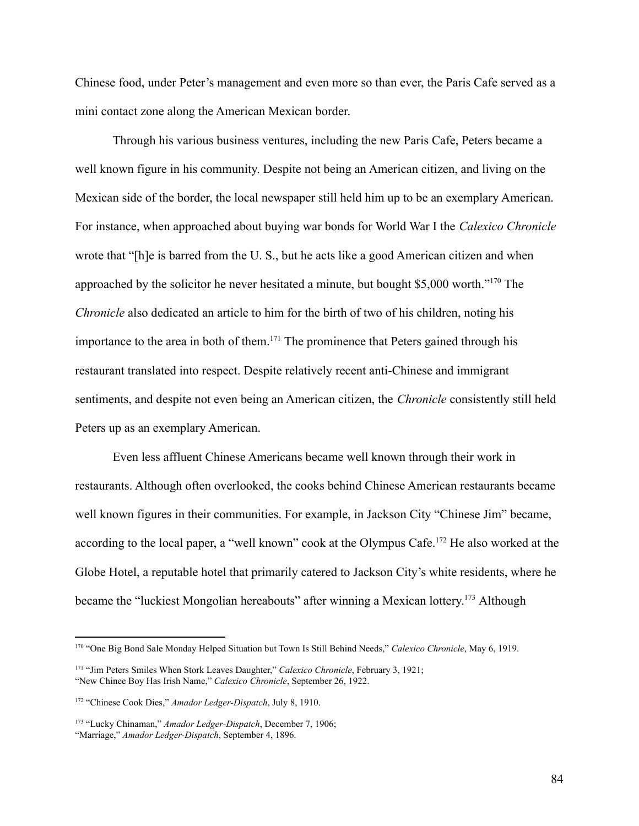Chinese food, under Peter's management and even more so than ever, the Paris Cafe served as a mini contact zone along the American Mexican border.

Through his various business ventures, including the new Paris Cafe, Peters became a well known figure in his community. Despite not being an American citizen, and living on the Mexican side of the border, the local newspaper still held him up to be an exemplary American. For instance, when approached about buying war bonds for World War I the *Calexico Chronicle* wrote that "[h]e is barred from the U. S., but he acts like a good American citizen and when approached by the solicitor he never hesitated a minute, but bought \$5,000 worth."<sup>170</sup> The *Chronicle* also dedicated an article to him for the birth of two of his children, noting his importance to the area in both of them.<sup>171</sup> The prominence that Peters gained through his restaurant translated into respect. Despite relatively recent anti-Chinese and immigrant sentiments, and despite not even being an American citizen, the *Chronicle* consistently still held Peters up as an exemplary American.

Even less affluent Chinese Americans became well known through their work in restaurants. Although often overlooked, the cooks behind Chinese American restaurants became well known figures in their communities. For example, in Jackson City "Chinese Jim" became, according to the local paper, a "well known" cook at the Olympus Cafe.<sup>172</sup> He also worked at the Globe Hotel, a reputable hotel that primarily catered to Jackson City's white residents, where he became the "luckiest Mongolian hereabouts" after winning a Mexican lottery.<sup>173</sup> Although

<sup>&</sup>lt;sup>170</sup> "One Big Bond Sale Monday Helped Situation but Town Is Still Behind Needs," *Calexico Chronicle*, May 6, 1919.

<sup>171</sup> "Jim Peters Smiles When Stork Leaves Daughter," *Calexico Chronicle*, February 3, 1921; "New Chinee Boy Has Irish Name," *Calexico Chronicle*, September 26, 1922.

<sup>172</sup> "Chinese Cook Dies," *Amador Ledger-Dispatch*, July 8, 1910.

<sup>173</sup> "Lucky Chinaman," *Amador Ledger-Dispatch*, December 7, 1906; "Marriage," *Amador Ledger-Dispatch*, September 4, 1896.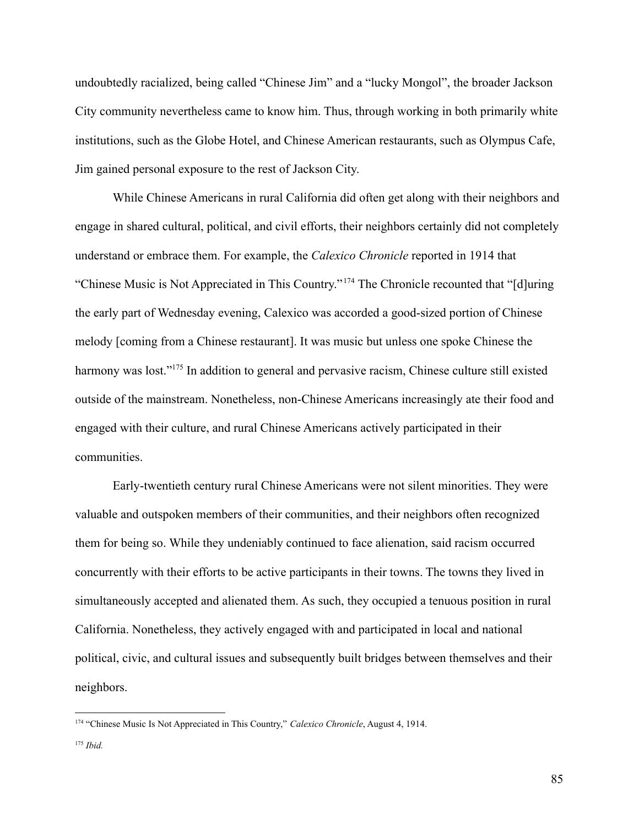undoubtedly racialized, being called "Chinese Jim" and a "lucky Mongol", the broader Jackson City community nevertheless came to know him. Thus, through working in both primarily white institutions, such as the Globe Hotel, and Chinese American restaurants, such as Olympus Cafe, Jim gained personal exposure to the rest of Jackson City.

While Chinese Americans in rural California did often get along with their neighbors and engage in shared cultural, political, and civil efforts, their neighbors certainly did not completely understand or embrace them. For example, the *Calexico Chronicle* reported in 1914 that "Chinese Music is Not Appreciated in This Country."<sup>174</sup> The Chronicle recounted that "[d]uring the early part of Wednesday evening, Calexico was accorded a good-sized portion of Chinese melody [coming from a Chinese restaurant]. It was music but unless one spoke Chinese the harmony was lost."<sup>175</sup> In addition to general and pervasive racism, Chinese culture still existed outside of the mainstream. Nonetheless, non-Chinese Americans increasingly ate their food and engaged with their culture, and rural Chinese Americans actively participated in their communities.

Early-twentieth century rural Chinese Americans were not silent minorities. They were valuable and outspoken members of their communities, and their neighbors often recognized them for being so. While they undeniably continued to face alienation, said racism occurred concurrently with their efforts to be active participants in their towns. The towns they lived in simultaneously accepted and alienated them. As such, they occupied a tenuous position in rural California. Nonetheless, they actively engaged with and participated in local and national political, civic, and cultural issues and subsequently built bridges between themselves and their neighbors.

<sup>174</sup> "Chinese Music Is Not Appreciated in This Country," *Calexico Chronicle*, August 4, 1914.

<sup>175</sup> *Ibid.*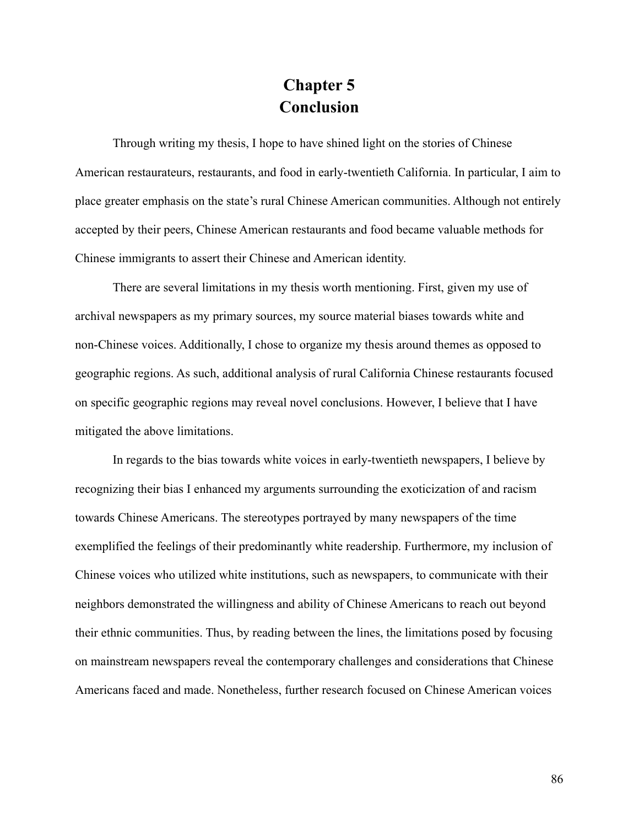## **Chapter 5 Conclusion**

Through writing my thesis, I hope to have shined light on the stories of Chinese American restaurateurs, restaurants, and food in early-twentieth California. In particular, I aim to place greater emphasis on the state's rural Chinese American communities. Although not entirely accepted by their peers, Chinese American restaurants and food became valuable methods for Chinese immigrants to assert their Chinese and American identity.

There are several limitations in my thesis worth mentioning. First, given my use of archival newspapers as my primary sources, my source material biases towards white and non-Chinese voices. Additionally, I chose to organize my thesis around themes as opposed to geographic regions. As such, additional analysis of rural California Chinese restaurants focused on specific geographic regions may reveal novel conclusions. However, I believe that I have mitigated the above limitations.

In regards to the bias towards white voices in early-twentieth newspapers, I believe by recognizing their bias I enhanced my arguments surrounding the exoticization of and racism towards Chinese Americans. The stereotypes portrayed by many newspapers of the time exemplified the feelings of their predominantly white readership. Furthermore, my inclusion of Chinese voices who utilized white institutions, such as newspapers, to communicate with their neighbors demonstrated the willingness and ability of Chinese Americans to reach out beyond their ethnic communities. Thus, by reading between the lines, the limitations posed by focusing on mainstream newspapers reveal the contemporary challenges and considerations that Chinese Americans faced and made. Nonetheless, further research focused on Chinese American voices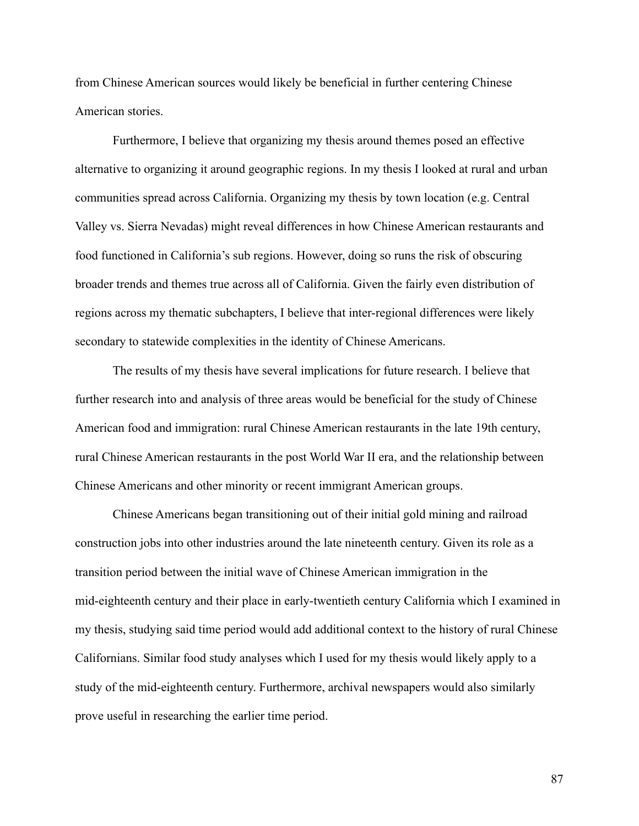from Chinese American sources would likely be beneficial in further centering Chinese American stories.

Furthermore, I believe that organizing my thesis around themes posed an effective alternative to organizing it around geographic regions. In my thesis I looked at rural and urban communities spread across California. Organizing my thesis by town location (e.g. Central Valley vs. Sierra Nevadas) might reveal differences in how Chinese American restaurants and food functioned in California's sub regions. However, doing so runs the risk of obscuring broader trends and themes true across all of California. Given the fairly even distribution of regions across my thematic subchapters, I believe that inter-regional differences were likely secondary to statewide complexities in the identity of Chinese Americans.

The results of my thesis have several implications for future research. I believe that further research into and analysis of three areas would be beneficial for the study of Chinese American food and immigration: rural Chinese American restaurants in the late 19th century, rural Chinese American restaurants in the post World War II era, and the relationship between Chinese Americans and other minority or recent immigrant American groups.

Chinese Americans began transitioning out of their initial gold mining and railroad construction jobs into other industries around the late nineteenth century. Given its role as a transition period between the initial wave of Chinese American immigration in the mid-eighteenth century and their place in early-twentieth century California which I examined in my thesis, studying said time period would add additional context to the history of rural Chinese Californians. Similar food study analyses which I used for my thesis would likely apply to a study of the mid-eighteenth century. Furthermore, archival newspapers would also similarly prove useful in researching the earlier time period.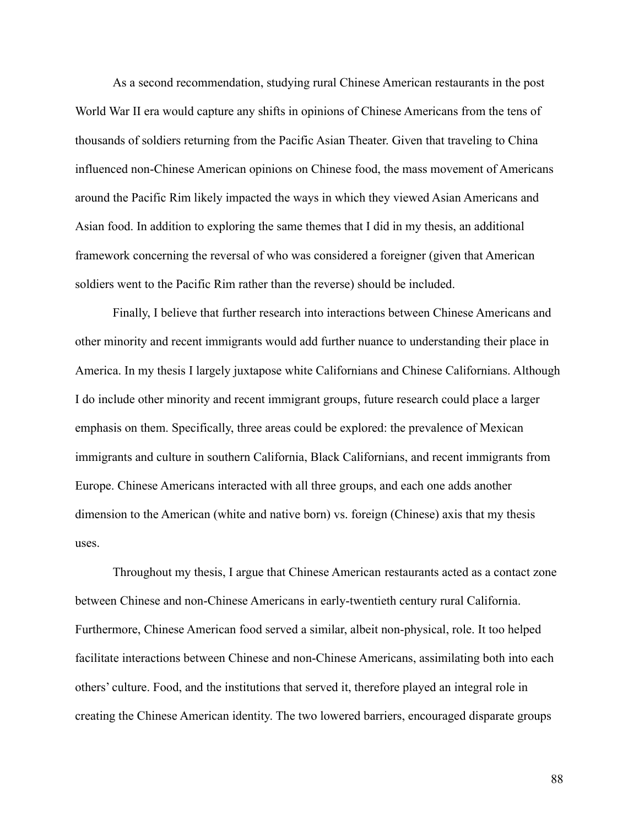As a second recommendation, studying rural Chinese American restaurants in the post World War II era would capture any shifts in opinions of Chinese Americans from the tens of thousands of soldiers returning from the Pacific Asian Theater. Given that traveling to China influenced non-Chinese American opinions on Chinese food, the mass movement of Americans around the Pacific Rim likely impacted the ways in which they viewed Asian Americans and Asian food. In addition to exploring the same themes that I did in my thesis, an additional framework concerning the reversal of who was considered a foreigner (given that American soldiers went to the Pacific Rim rather than the reverse) should be included.

Finally, I believe that further research into interactions between Chinese Americans and other minority and recent immigrants would add further nuance to understanding their place in America. In my thesis I largely juxtapose white Californians and Chinese Californians. Although I do include other minority and recent immigrant groups, future research could place a larger emphasis on them. Specifically, three areas could be explored: the prevalence of Mexican immigrants and culture in southern California, Black Californians, and recent immigrants from Europe. Chinese Americans interacted with all three groups, and each one adds another dimension to the American (white and native born) vs. foreign (Chinese) axis that my thesis uses.

Throughout my thesis, I argue that Chinese American restaurants acted as a contact zone between Chinese and non-Chinese Americans in early-twentieth century rural California. Furthermore, Chinese American food served a similar, albeit non-physical, role. It too helped facilitate interactions between Chinese and non-Chinese Americans, assimilating both into each others' culture. Food, and the institutions that served it, therefore played an integral role in creating the Chinese American identity. The two lowered barriers, encouraged disparate groups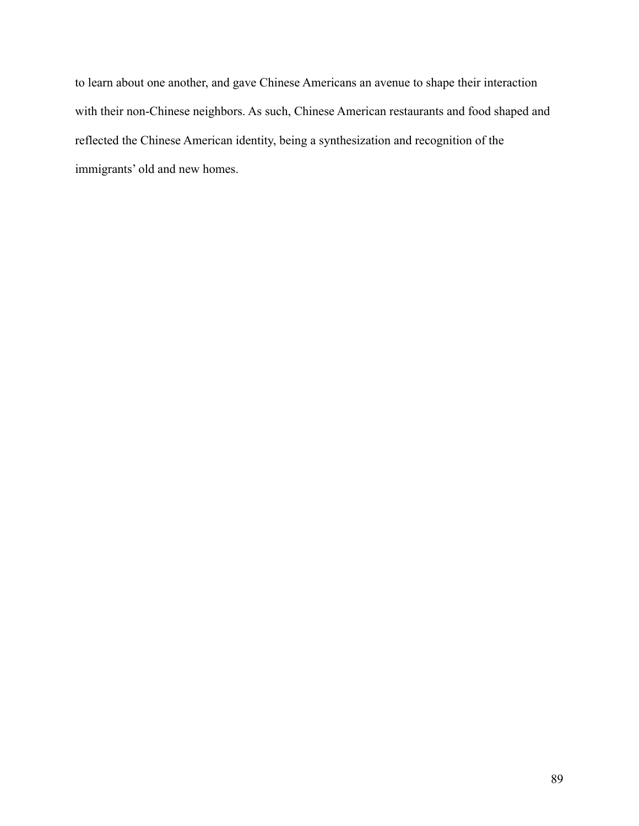to learn about one another, and gave Chinese Americans an avenue to shape their interaction with their non-Chinese neighbors. As such, Chinese American restaurants and food shaped and reflected the Chinese American identity, being a synthesization and recognition of the immigrants' old and new homes.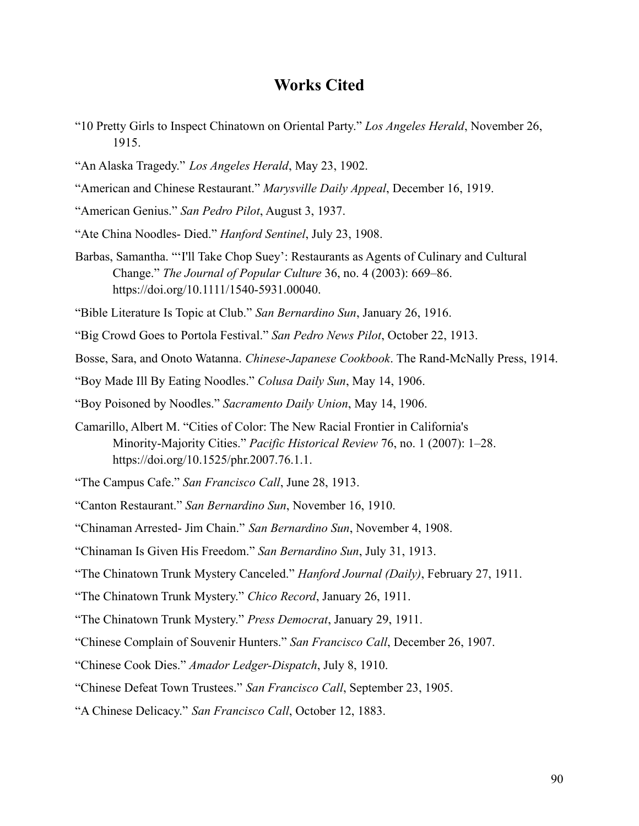## **Works Cited**

- "10 Pretty Girls to Inspect Chinatown on Oriental Party." *Los Angeles Herald*, November 26, 1915.
- "An Alaska Tragedy." *Los Angeles Herald*, May 23, 1902.
- "American and Chinese Restaurant." *Marysville Daily Appeal*, December 16, 1919.
- "American Genius." *San Pedro Pilot*, August 3, 1937.
- "Ate China Noodles- Died." *Hanford Sentinel*, July 23, 1908.
- Barbas, Samantha. "'I'll Take Chop Suey': Restaurants as Agents of Culinary and Cultural Change." *The Journal of Popular Culture* 36, no. 4 (2003): 669–86. https://doi.org/10.1111/1540-5931.00040.
- "Bible Literature Is Topic at Club." *San Bernardino Sun*, January 26, 1916.
- "Big Crowd Goes to Portola Festival." *San Pedro News Pilot*, October 22, 1913.
- Bosse, Sara, and Onoto Watanna. *Chinese-Japanese Cookbook*. The Rand-McNally Press, 1914.
- "Boy Made Ill By Eating Noodles." *Colusa Daily Sun*, May 14, 1906.
- "Boy Poisoned by Noodles." *Sacramento Daily Union*, May 14, 1906.
- Camarillo, Albert M. "Cities of Color: The New Racial Frontier in California's Minority-Majority Cities." *Pacific Historical Review* 76, no. 1 (2007): 1–28. https://doi.org/10.1525/phr.2007.76.1.1.
- "The Campus Cafe." *San Francisco Call*, June 28, 1913.
- "Canton Restaurant." *San Bernardino Sun*, November 16, 1910.
- "Chinaman Arrested- Jim Chain." *San Bernardino Sun*, November 4, 1908.
- "Chinaman Is Given His Freedom." *San Bernardino Sun*, July 31, 1913.
- "The Chinatown Trunk Mystery Canceled." *Hanford Journal (Daily)*, February 27, 1911.
- "The Chinatown Trunk Mystery." *Chico Record*, January 26, 1911.
- "The Chinatown Trunk Mystery." *Press Democrat*, January 29, 1911.
- "Chinese Complain of Souvenir Hunters." *San Francisco Call*, December 26, 1907.
- "Chinese Cook Dies." *Amador Ledger-Dispatch*, July 8, 1910.
- "Chinese Defeat Town Trustees." *San Francisco Call*, September 23, 1905.
- "A Chinese Delicacy." *San Francisco Call*, October 12, 1883.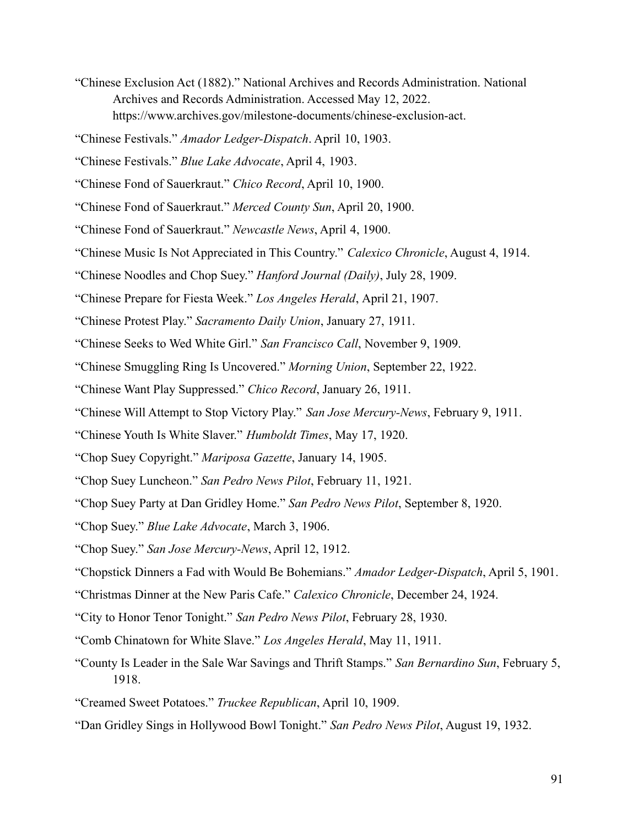- "Chinese Exclusion Act (1882)." National Archives and Records Administration. National Archives and Records Administration. Accessed May 12, 2022. https://www.archives.gov/milestone-documents/chinese-exclusion-act.
- "Chinese Festivals." *Amador Ledger-Dispatch*. April 10, 1903.
- "Chinese Festivals." *Blue Lake Advocate*, April 4, 1903.
- "Chinese Fond of Sauerkraut." *Chico Record*, April 10, 1900.
- "Chinese Fond of Sauerkraut." *Merced County Sun*, April 20, 1900.
- "Chinese Fond of Sauerkraut." *Newcastle News*, April 4, 1900.
- "Chinese Music Is Not Appreciated in This Country." *Calexico Chronicle*, August 4, 1914.
- "Chinese Noodles and Chop Suey." *Hanford Journal (Daily)*, July 28, 1909.
- "Chinese Prepare for Fiesta Week." *Los Angeles Herald*, April 21, 1907.
- "Chinese Protest Play." *Sacramento Daily Union*, January 27, 1911.
- "Chinese Seeks to Wed White Girl." *San Francisco Call*, November 9, 1909.
- "Chinese Smuggling Ring Is Uncovered." *Morning Union*, September 22, 1922.
- "Chinese Want Play Suppressed." *Chico Record*, January 26, 1911.
- "Chinese Will Attempt to Stop Victory Play." *San Jose Mercury-News*, February 9, 1911.
- "Chinese Youth Is White Slaver." *Humboldt Times*, May 17, 1920.
- "Chop Suey Copyright." *Mariposa Gazette*, January 14, 1905.
- "Chop Suey Luncheon." *San Pedro News Pilot*, February 11, 1921.
- "Chop Suey Party at Dan Gridley Home." *San Pedro News Pilot*, September 8, 1920.
- "Chop Suey." *Blue Lake Advocate*, March 3, 1906.
- "Chop Suey." *San Jose Mercury-News*, April 12, 1912.
- "Chopstick Dinners a Fad with Would Be Bohemians." *Amador Ledger-Dispatch*, April 5, 1901.
- "Christmas Dinner at the New Paris Cafe." *Calexico Chronicle*, December 24, 1924.
- "City to Honor Tenor Tonight." *San Pedro News Pilot*, February 28, 1930.
- "Comb Chinatown for White Slave." *Los Angeles Herald*, May 11, 1911.
- "County Is Leader in the Sale War Savings and Thrift Stamps." *San Bernardino Sun*, February 5, 1918.
- "Creamed Sweet Potatoes." *Truckee Republican*, April 10, 1909.
- "Dan Gridley Sings in Hollywood Bowl Tonight." *San Pedro News Pilot*, August 19, 1932.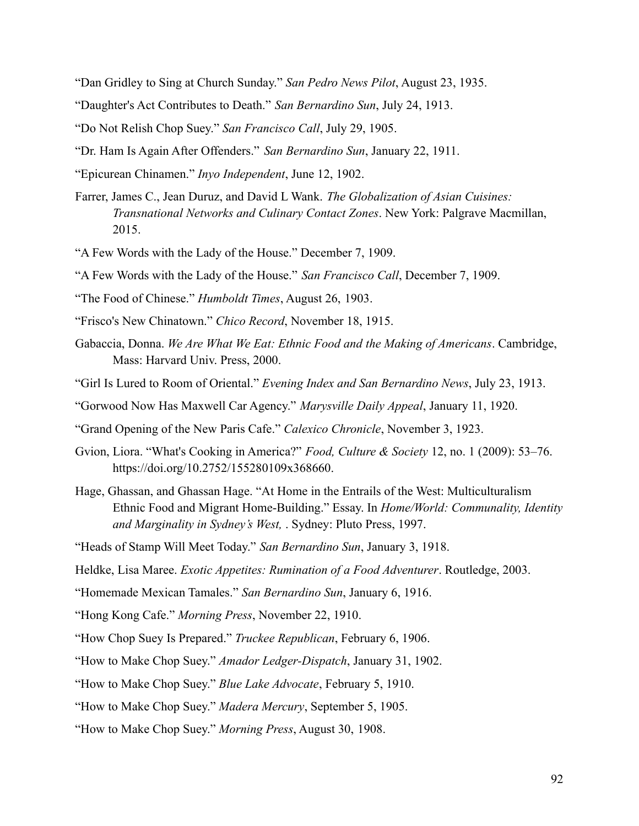- "Dan Gridley to Sing at Church Sunday." *San Pedro News Pilot*, August 23, 1935.
- "Daughter's Act Contributes to Death." *San Bernardino Sun*, July 24, 1913.
- "Do Not Relish Chop Suey." *San Francisco Call*, July 29, 1905.
- "Dr. Ham Is Again After Offenders." *San Bernardino Sun*, January 22, 1911.
- "Epicurean Chinamen." *Inyo Independent*, June 12, 1902.
- Farrer, James C., Jean Duruz, and David L Wank. *The Globalization of Asian Cuisines: Transnational Networks and Culinary Contact Zones*. New York: Palgrave Macmillan, 2015.
- "A Few Words with the Lady of the House." December 7, 1909.
- "A Few Words with the Lady of the House." *San Francisco Call*, December 7, 1909.
- "The Food of Chinese." *Humboldt Times*, August 26, 1903.
- "Frisco's New Chinatown." *Chico Record*, November 18, 1915.
- Gabaccia, Donna. *We Are What We Eat: Ethnic Food and the Making of Americans*. Cambridge, Mass: Harvard Univ. Press, 2000.
- "Girl Is Lured to Room of Oriental." *Evening Index and San Bernardino News*, July 23, 1913.
- "Gorwood Now Has Maxwell Car Agency." *Marysville Daily Appeal*, January 11, 1920.
- "Grand Opening of the New Paris Cafe." *Calexico Chronicle*, November 3, 1923.
- Gvion, Liora. "What's Cooking in America?" *Food, Culture & Society* 12, no. 1 (2009): 53–76. https://doi.org/10.2752/155280109x368660.
- Hage, Ghassan, and Ghassan Hage. "At Home in the Entrails of the West: Multiculturalism Ethnic Food and Migrant Home-Building." Essay. In *Home/World: Communality, Identity and Marginality in Sydney's West,* . Sydney: Pluto Press, 1997.
- "Heads of Stamp Will Meet Today." *San Bernardino Sun*, January 3, 1918.
- Heldke, Lisa Maree. *Exotic Appetites: Rumination of a Food Adventurer*. Routledge, 2003.
- "Homemade Mexican Tamales." *San Bernardino Sun*, January 6, 1916.
- "Hong Kong Cafe." *Morning Press*, November 22, 1910.
- "How Chop Suey Is Prepared." *Truckee Republican*, February 6, 1906.
- "How to Make Chop Suey." *Amador Ledger-Dispatch*, January 31, 1902.
- "How to Make Chop Suey." *Blue Lake Advocate*, February 5, 1910.
- "How to Make Chop Suey." *Madera Mercury*, September 5, 1905.
- "How to Make Chop Suey." *Morning Press*, August 30, 1908.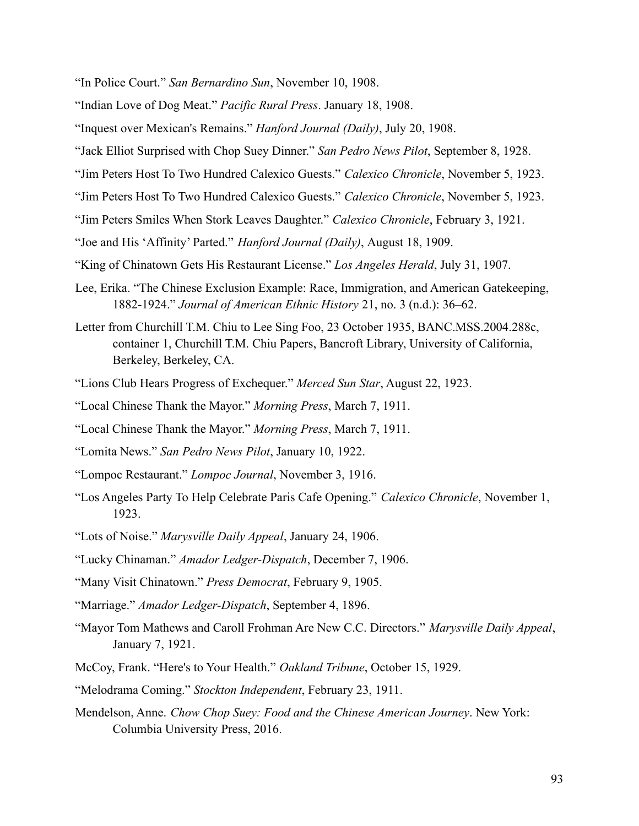"In Police Court." *San Bernardino Sun*, November 10, 1908.

- "Indian Love of Dog Meat." *Pacific Rural Press*. January 18, 1908.
- "Inquest over Mexican's Remains." *Hanford Journal (Daily)*, July 20, 1908.
- "Jack Elliot Surprised with Chop Suey Dinner." *San Pedro News Pilot*, September 8, 1928.
- "Jim Peters Host To Two Hundred Calexico Guests." *Calexico Chronicle*, November 5, 1923.
- "Jim Peters Host To Two Hundred Calexico Guests." *Calexico Chronicle*, November 5, 1923.
- "Jim Peters Smiles When Stork Leaves Daughter." *Calexico Chronicle*, February 3, 1921.
- "Joe and His 'Affinity' Parted." *Hanford Journal (Daily)*, August 18, 1909.
- "King of Chinatown Gets His Restaurant License." *Los Angeles Herald*, July 31, 1907.
- Lee, Erika. "The Chinese Exclusion Example: Race, Immigration, and American Gatekeeping, 1882-1924." *Journal of American Ethnic History* 21, no. 3 (n.d.): 36–62.
- Letter from Churchill T.M. Chiu to Lee Sing Foo, 23 October 1935, BANC.MSS.2004.288c, container 1, Churchill T.M. Chiu Papers, Bancroft Library, University of California, Berkeley, Berkeley, CA.
- "Lions Club Hears Progress of Exchequer." *Merced Sun Star*, August 22, 1923.
- "Local Chinese Thank the Mayor." *Morning Press*, March 7, 1911.
- "Local Chinese Thank the Mayor." *Morning Press*, March 7, 1911.
- "Lomita News." *San Pedro News Pilot*, January 10, 1922.
- "Lompoc Restaurant." *Lompoc Journal*, November 3, 1916.
- "Los Angeles Party To Help Celebrate Paris Cafe Opening." *Calexico Chronicle*, November 1, 1923.
- "Lots of Noise." *Marysville Daily Appeal*, January 24, 1906.
- "Lucky Chinaman." *Amador Ledger-Dispatch*, December 7, 1906.
- "Many Visit Chinatown." *Press Democrat*, February 9, 1905.
- "Marriage." *Amador Ledger-Dispatch*, September 4, 1896.
- "Mayor Tom Mathews and Caroll Frohman Are New C.C. Directors." *Marysville Daily Appeal*, January 7, 1921.
- McCoy, Frank. "Here's to Your Health." *Oakland Tribune*, October 15, 1929.
- "Melodrama Coming." *Stockton Independent*, February 23, 1911.
- Mendelson, Anne. *Chow Chop Suey: Food and the Chinese American Journey*. New York: Columbia University Press, 2016.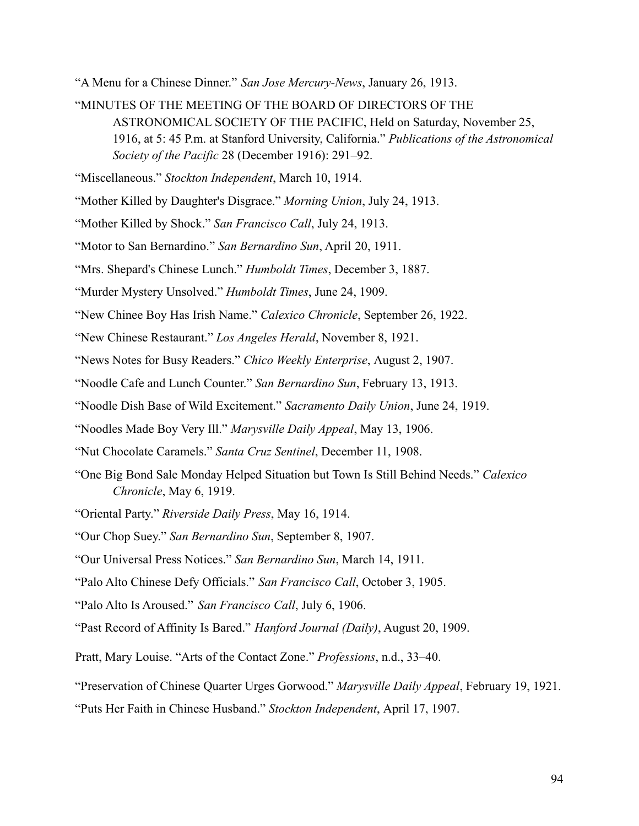"A Menu for a Chinese Dinner." *San Jose Mercury-News*, January 26, 1913.

"MINUTES OF THE MEETING OF THE BOARD OF DIRECTORS OF THE ASTRONOMICAL SOCIETY OF THE PACIFIC, Held on Saturday, November 25, 1916, at 5: 45 P.m. at Stanford University, California." *Publications of the Astronomical Society of the Pacific* 28 (December 1916): 291–92.

"Miscellaneous." *Stockton Independent*, March 10, 1914.

- "Mother Killed by Daughter's Disgrace." *Morning Union*, July 24, 1913.
- "Mother Killed by Shock." *San Francisco Call*, July 24, 1913.
- "Motor to San Bernardino." *San Bernardino Sun*, April 20, 1911.
- "Mrs. Shepard's Chinese Lunch." *Humboldt Times*, December 3, 1887.
- "Murder Mystery Unsolved." *Humboldt Times*, June 24, 1909.
- "New Chinee Boy Has Irish Name." *Calexico Chronicle*, September 26, 1922.
- "New Chinese Restaurant." *Los Angeles Herald*, November 8, 1921.
- "News Notes for Busy Readers." *Chico Weekly Enterprise*, August 2, 1907.
- "Noodle Cafe and Lunch Counter." *San Bernardino Sun*, February 13, 1913.
- "Noodle Dish Base of Wild Excitement." *Sacramento Daily Union*, June 24, 1919.
- "Noodles Made Boy Very Ill." *Marysville Daily Appeal*, May 13, 1906.
- "Nut Chocolate Caramels." *Santa Cruz Sentinel*, December 11, 1908.
- "One Big Bond Sale Monday Helped Situation but Town Is Still Behind Needs." *Calexico Chronicle*, May 6, 1919.
- "Oriental Party." *Riverside Daily Press*, May 16, 1914.
- "Our Chop Suey." *San Bernardino Sun*, September 8, 1907.
- "Our Universal Press Notices." *San Bernardino Sun*, March 14, 1911.
- "Palo Alto Chinese Defy Officials." *San Francisco Call*, October 3, 1905.
- "Palo Alto Is Aroused." *San Francisco Call*, July 6, 1906.
- "Past Record of Affinity Is Bared." *Hanford Journal (Daily)*, August 20, 1909.
- Pratt, Mary Louise. "Arts of the Contact Zone." *Professions*, n.d., 33–40.
- "Preservation of Chinese Quarter Urges Gorwood." *Marysville Daily Appeal*, February 19, 1921.
- "Puts Her Faith in Chinese Husband." *Stockton Independent*, April 17, 1907.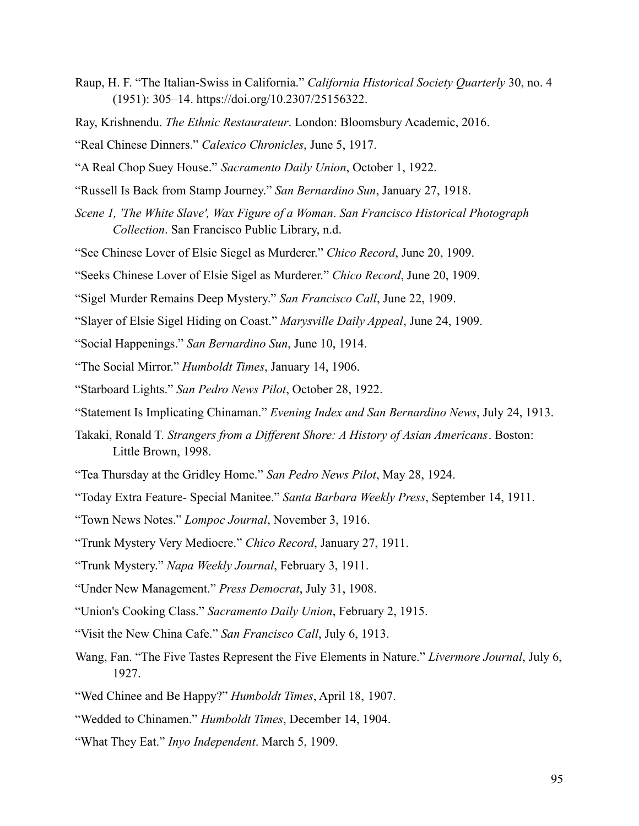- Raup, H. F. "The Italian-Swiss in California." *California Historical Society Quarterly* 30, no. 4 (1951): 305–14. https://doi.org/10.2307/25156322.
- Ray, Krishnendu. *The Ethnic Restaurateur*. London: Bloomsbury Academic, 2016.
- "Real Chinese Dinners." *Calexico Chronicles*, June 5, 1917.
- "A Real Chop Suey House." *Sacramento Daily Union*, October 1, 1922.
- "Russell Is Back from Stamp Journey." *San Bernardino Sun*, January 27, 1918.
- *Scene 1, 'The White Slave', Wax Figure of a Woman*. *San Francisco Historical Photograph Collection*. San Francisco Public Library, n.d.
- "See Chinese Lover of Elsie Siegel as Murderer." *Chico Record*, June 20, 1909.
- "Seeks Chinese Lover of Elsie Sigel as Murderer." *Chico Record*, June 20, 1909.
- "Sigel Murder Remains Deep Mystery." *San Francisco Call*, June 22, 1909.
- "Slayer of Elsie Sigel Hiding on Coast." *Marysville Daily Appeal*, June 24, 1909.
- "Social Happenings." *San Bernardino Sun*, June 10, 1914.
- "The Social Mirror." *Humboldt Times*, January 14, 1906.
- "Starboard Lights." *San Pedro News Pilot*, October 28, 1922.
- "Statement Is Implicating Chinaman." *Evening Index and San Bernardino News*, July 24, 1913.
- Takaki, Ronald T. *Strangers from a Different Shore: A History of Asian Americans*. Boston: Little Brown, 1998.
- "Tea Thursday at the Gridley Home." *San Pedro News Pilot*, May 28, 1924.
- "Today Extra Feature- Special Manitee." *Santa Barbara Weekly Press*, September 14, 1911.
- "Town News Notes." *Lompoc Journal*, November 3, 1916.
- "Trunk Mystery Very Mediocre." *Chico Record*, January 27, 1911.
- "Trunk Mystery." *Napa Weekly Journal*, February 3, 1911.
- "Under New Management." *Press Democrat*, July 31, 1908.
- "Union's Cooking Class." *Sacramento Daily Union*, February 2, 1915.
- "Visit the New China Cafe." *San Francisco Call*, July 6, 1913.
- Wang, Fan. "The Five Tastes Represent the Five Elements in Nature." *Livermore Journal*, July 6, 1927.
- "Wed Chinee and Be Happy?" *Humboldt Times*, April 18, 1907.
- "Wedded to Chinamen." *Humboldt Times*, December 14, 1904.
- "What They Eat." *Inyo Independent*. March 5, 1909.